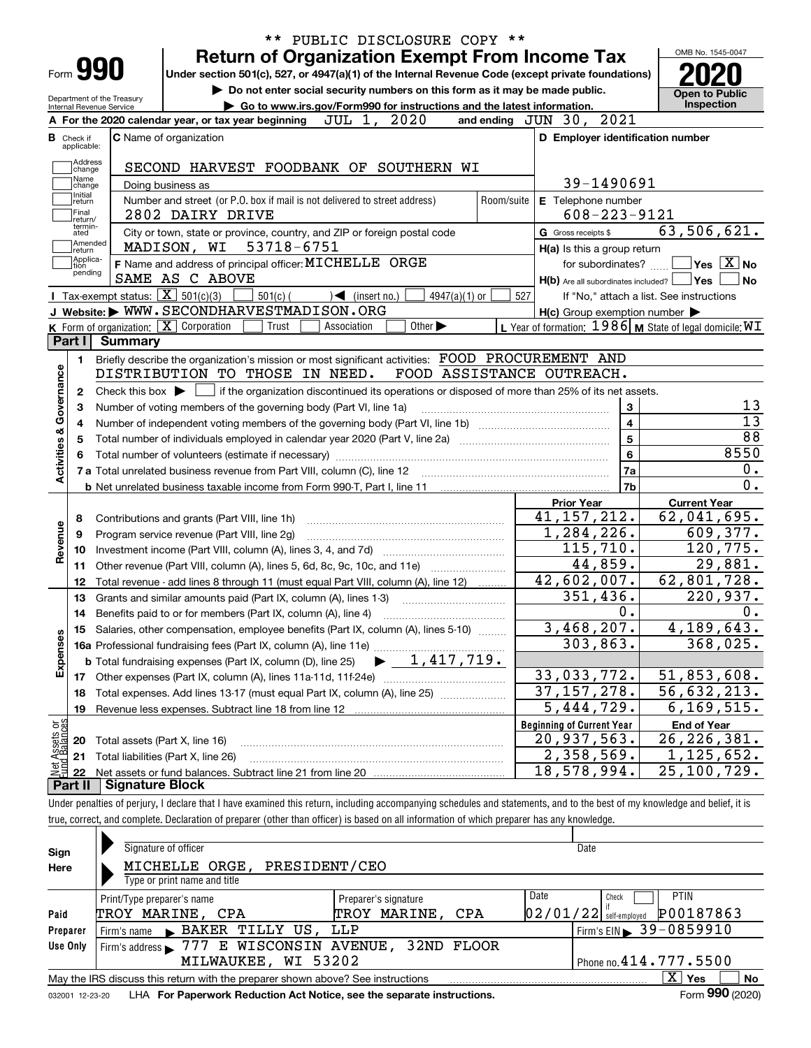|                                                                                                                                                                                                                                                        |                                                                                                                                                              | ** PUBLIC DISCLOSURE COPY ** |                                                             | OMB No. 1545-0047                                                                                                                                                                                                                                                               |  |  |  |
|--------------------------------------------------------------------------------------------------------------------------------------------------------------------------------------------------------------------------------------------------------|--------------------------------------------------------------------------------------------------------------------------------------------------------------|------------------------------|-------------------------------------------------------------|---------------------------------------------------------------------------------------------------------------------------------------------------------------------------------------------------------------------------------------------------------------------------------|--|--|--|
| Form 990                                                                                                                                                                                                                                               | <b>Return of Organization Exempt From Income Tax</b><br>Under section 501(c), 527, or 4947(a)(1) of the Internal Revenue Code (except private foundations)   |                              |                                                             |                                                                                                                                                                                                                                                                                 |  |  |  |
|                                                                                                                                                                                                                                                        |                                                                                                                                                              |                              |                                                             |                                                                                                                                                                                                                                                                                 |  |  |  |
| Do not enter social security numbers on this form as it may be made public.<br><b>Open to Public</b><br>Department of the Treasury<br>Inspection<br>Go to www.irs.gov/Form990 for instructions and the latest information.<br>Internal Revenue Service |                                                                                                                                                              |                              |                                                             |                                                                                                                                                                                                                                                                                 |  |  |  |
|                                                                                                                                                                                                                                                        | JUL 1, 2020<br>A For the 2020 calendar year, or tax year beginning                                                                                           |                              | and ending JUN 30, 2021                                     |                                                                                                                                                                                                                                                                                 |  |  |  |
| <b>B</b> Check if                                                                                                                                                                                                                                      | C Name of organization                                                                                                                                       |                              | D Employer identification number                            |                                                                                                                                                                                                                                                                                 |  |  |  |
| applicable:                                                                                                                                                                                                                                            |                                                                                                                                                              |                              |                                                             |                                                                                                                                                                                                                                                                                 |  |  |  |
| Address<br>change                                                                                                                                                                                                                                      | SECOND HARVEST FOODBANK OF SOUTHERN WI                                                                                                                       |                              |                                                             |                                                                                                                                                                                                                                                                                 |  |  |  |
| Name<br>change                                                                                                                                                                                                                                         | Doing business as                                                                                                                                            |                              | 39-1490691                                                  |                                                                                                                                                                                                                                                                                 |  |  |  |
| Initial<br>return                                                                                                                                                                                                                                      | Number and street (or P.O. box if mail is not delivered to street address)                                                                                   | Room/suite                   | E Telephone number                                          |                                                                                                                                                                                                                                                                                 |  |  |  |
| Final<br>return/                                                                                                                                                                                                                                       | 2802 DAIRY DRIVE                                                                                                                                             |                              | $608 - 223 - 9121$                                          |                                                                                                                                                                                                                                                                                 |  |  |  |
| termin-<br>ated                                                                                                                                                                                                                                        | City or town, state or province, country, and ZIP or foreign postal code                                                                                     |                              | G Gross receipts \$                                         | 63, 506, 621.                                                                                                                                                                                                                                                                   |  |  |  |
| Amended<br>∣return                                                                                                                                                                                                                                     | MADISON, WI 53718-6751                                                                                                                                       |                              | H(a) Is this a group return                                 |                                                                                                                                                                                                                                                                                 |  |  |  |
| Applica-<br>tion<br>pending                                                                                                                                                                                                                            | F Name and address of principal officer: MICHELLE ORGE                                                                                                       |                              | for subordinates?                                           | $\sqrt{}$ Yes $\sqrt{}$ X $\sqrt{}$ No                                                                                                                                                                                                                                          |  |  |  |
|                                                                                                                                                                                                                                                        | SAME AS C ABOVE                                                                                                                                              |                              | $H(b)$ Are all subordinates included? $\Box$ Yes            | ∣No                                                                                                                                                                                                                                                                             |  |  |  |
|                                                                                                                                                                                                                                                        | Tax-exempt status: $\boxed{\mathbf{X}}$ 501(c)(3)<br>$501(c)$ (<br>$\sqrt{\phantom{a}}$ (insert no.)<br>$4947(a)(1)$ or                                      | 527                          |                                                             | If "No," attach a list. See instructions                                                                                                                                                                                                                                        |  |  |  |
|                                                                                                                                                                                                                                                        | J Website: WWW.SECONDHARVESTMADISON.ORG                                                                                                                      |                              | $H(c)$ Group exemption number $\blacktriangleright$         |                                                                                                                                                                                                                                                                                 |  |  |  |
| Part I                                                                                                                                                                                                                                                 | K Form of organization: X Corporation<br>Trust<br>Association<br>Other $\blacktriangleright$<br>Summary                                                      |                              | L Year of formation: $1986$ M State of legal domicile: $WT$ |                                                                                                                                                                                                                                                                                 |  |  |  |
|                                                                                                                                                                                                                                                        |                                                                                                                                                              |                              |                                                             |                                                                                                                                                                                                                                                                                 |  |  |  |
| 1.                                                                                                                                                                                                                                                     | Briefly describe the organization's mission or most significant activities: FOOD PROCUREMENT AND<br>DISTRIBUTION TO THOSE IN NEED. FOOD ASSISTANCE OUTREACH. |                              |                                                             |                                                                                                                                                                                                                                                                                 |  |  |  |
|                                                                                                                                                                                                                                                        |                                                                                                                                                              |                              |                                                             |                                                                                                                                                                                                                                                                                 |  |  |  |
| 2                                                                                                                                                                                                                                                      | Check this box $\triangleright$ $\blacksquare$ if the organization discontinued its operations or disposed of more than 25% of its net assets.               |                              |                                                             | 13                                                                                                                                                                                                                                                                              |  |  |  |
| з                                                                                                                                                                                                                                                      | Number of voting members of the governing body (Part VI, line 1a)                                                                                            | 3                            |                                                             |                                                                                                                                                                                                                                                                                 |  |  |  |
|                                                                                                                                                                                                                                                        |                                                                                                                                                              |                              |                                                             |                                                                                                                                                                                                                                                                                 |  |  |  |
| 4                                                                                                                                                                                                                                                      |                                                                                                                                                              |                              | $\overline{\mathbf{4}}$                                     |                                                                                                                                                                                                                                                                                 |  |  |  |
| 5                                                                                                                                                                                                                                                      |                                                                                                                                                              |                              | $\overline{5}$                                              |                                                                                                                                                                                                                                                                                 |  |  |  |
|                                                                                                                                                                                                                                                        |                                                                                                                                                              |                              | $6\phantom{a}$                                              |                                                                                                                                                                                                                                                                                 |  |  |  |
|                                                                                                                                                                                                                                                        |                                                                                                                                                              |                              | 7a                                                          |                                                                                                                                                                                                                                                                                 |  |  |  |
|                                                                                                                                                                                                                                                        |                                                                                                                                                              |                              | 7b                                                          |                                                                                                                                                                                                                                                                                 |  |  |  |
|                                                                                                                                                                                                                                                        |                                                                                                                                                              |                              | <b>Prior Year</b>                                           | <b>Current Year</b>                                                                                                                                                                                                                                                             |  |  |  |
| 8<br>9                                                                                                                                                                                                                                                 | Contributions and grants (Part VIII, line 1h)                                                                                                                |                              | 41, 157, 212.                                               |                                                                                                                                                                                                                                                                                 |  |  |  |
| 10                                                                                                                                                                                                                                                     | Program service revenue (Part VIII, line 2g)                                                                                                                 |                              | 1,284,226.<br>115,710.                                      |                                                                                                                                                                                                                                                                                 |  |  |  |
| 11                                                                                                                                                                                                                                                     |                                                                                                                                                              |                              | 44,859.                                                     |                                                                                                                                                                                                                                                                                 |  |  |  |
| 12                                                                                                                                                                                                                                                     | Total revenue - add lines 8 through 11 (must equal Part VIII, column (A), line 12)                                                                           |                              | $42,602,007$ .                                              |                                                                                                                                                                                                                                                                                 |  |  |  |
| 13                                                                                                                                                                                                                                                     | Grants and similar amounts paid (Part IX, column (A), lines 1-3)                                                                                             |                              | 351,436.                                                    |                                                                                                                                                                                                                                                                                 |  |  |  |
| 14                                                                                                                                                                                                                                                     | Benefits paid to or for members (Part IX, column (A), line 4)                                                                                                |                              | 0.                                                          |                                                                                                                                                                                                                                                                                 |  |  |  |
| 15                                                                                                                                                                                                                                                     | Salaries, other compensation, employee benefits (Part IX, column (A), lines 5-10)                                                                            |                              | 3,468,207.                                                  |                                                                                                                                                                                                                                                                                 |  |  |  |
|                                                                                                                                                                                                                                                        |                                                                                                                                                              |                              | 303,863.                                                    |                                                                                                                                                                                                                                                                                 |  |  |  |
|                                                                                                                                                                                                                                                        |                                                                                                                                                              |                              |                                                             |                                                                                                                                                                                                                                                                                 |  |  |  |
|                                                                                                                                                                                                                                                        |                                                                                                                                                              |                              | 33,033,772.                                                 |                                                                                                                                                                                                                                                                                 |  |  |  |
| 18                                                                                                                                                                                                                                                     | Total expenses. Add lines 13-17 (must equal Part IX, column (A), line 25) [11, 11, 1201, 1301, 1301, 1301, 130                                               |                              | 37, 157, 278.                                               |                                                                                                                                                                                                                                                                                 |  |  |  |
| 19                                                                                                                                                                                                                                                     | Revenue less expenses. Subtract line 18 from line 12                                                                                                         |                              | 5,444,729.                                                  |                                                                                                                                                                                                                                                                                 |  |  |  |
|                                                                                                                                                                                                                                                        |                                                                                                                                                              |                              | <b>Beginning of Current Year</b>                            | <b>End of Year</b>                                                                                                                                                                                                                                                              |  |  |  |
| Activities & Governance<br>Revenue<br>Expenses<br>20                                                                                                                                                                                                   | Total assets (Part X, line 16)                                                                                                                               |                              | 20,937,563.                                                 | $\overline{13}$<br>$\overline{88}$<br>8550<br>0.<br>$\overline{0}$ .<br>62,041,695.<br>609, 377.<br>120,775.<br>29,881.<br>62,801,728.<br>$\overline{220,937}$ .<br>0.<br>4,189,643.<br>368,025.<br>51,853,608.<br>$\overline{56}$ , 632, 213.<br>6, 169, 515.<br>26, 226, 381. |  |  |  |
| Net Assets or<br>21                                                                                                                                                                                                                                    | Total liabilities (Part X, line 26)                                                                                                                          |                              | $2,358,569$ .<br>$\overline{18}$ , 578, 994.                | $\overline{1}$ , 125, 652.<br>25,100,729.                                                                                                                                                                                                                                       |  |  |  |

true, correct, and complete. Declaration of preparer (other than officer) is based on all information of which preparer has any knowledge.

| Sign            | Signature of officer                                                                                                | Date                                  |                              |  |  |  |  |  |  |  |
|-----------------|---------------------------------------------------------------------------------------------------------------------|---------------------------------------|------------------------------|--|--|--|--|--|--|--|
| Here            | MICHELLE ORGE, PRESIDENT/CEO                                                                                        |                                       |                              |  |  |  |  |  |  |  |
|                 | Type or print name and title                                                                                        |                                       |                              |  |  |  |  |  |  |  |
|                 | Print/Type preparer's name                                                                                          | Preparer's signature                  | Date<br><b>PTIN</b><br>Check |  |  |  |  |  |  |  |
| Paid            | TROY MARINE, CPA                                                                                                    | P00187863<br>$02/01/22$ self-employed |                              |  |  |  |  |  |  |  |
| Preparer        | BAKER TILLY US, LLP<br>Firm's name<br>$\mathbf{r}$                                                                  |                                       | Firm's EIN 39-0859910        |  |  |  |  |  |  |  |
| Use Only        | Firm's address > 777 E WISCONSIN AVENUE, 32ND FLOOR                                                                 |                                       |                              |  |  |  |  |  |  |  |
|                 | Phone no. $414.777.5500$<br>MILWAUKEE, WI 53202                                                                     |                                       |                              |  |  |  |  |  |  |  |
|                 | $\mathbf{x}$<br><b>No</b><br>Yes<br>May the IRS discuss this return with the preparer shown above? See instructions |                                       |                              |  |  |  |  |  |  |  |
| 032001 12-23-20 | LHA For Paperwork Reduction Act Notice, see the separate instructions.                                              |                                       | Form 990 (2020)              |  |  |  |  |  |  |  |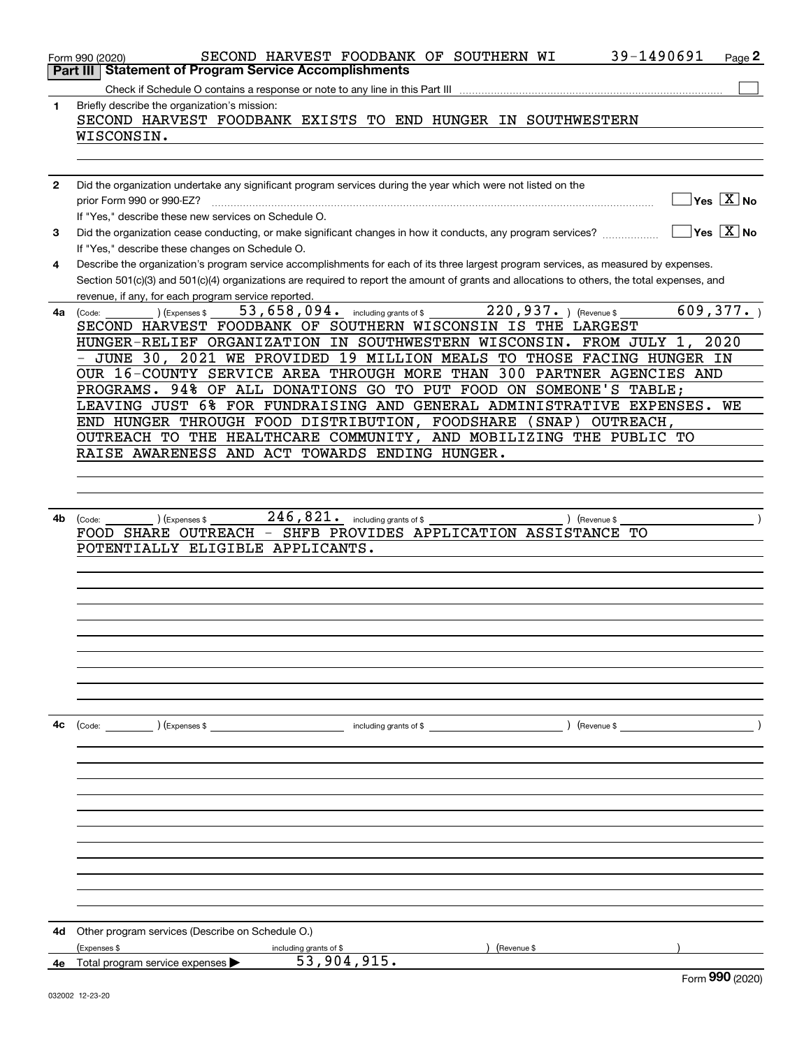|              | 39-1490691<br>SECOND HARVEST FOODBANK OF SOUTHERN WI<br>Page 2<br>Form 990 (2020)                                                                                                                                                                                                    |
|--------------|--------------------------------------------------------------------------------------------------------------------------------------------------------------------------------------------------------------------------------------------------------------------------------------|
|              | <b>Statement of Program Service Accomplishments</b><br>Part III                                                                                                                                                                                                                      |
|              |                                                                                                                                                                                                                                                                                      |
| 1            | Briefly describe the organization's mission:<br>SECOND HARVEST FOODBANK EXISTS TO END HUNGER IN SOUTHWESTERN                                                                                                                                                                         |
|              | WISCONSIN.                                                                                                                                                                                                                                                                           |
|              |                                                                                                                                                                                                                                                                                      |
|              |                                                                                                                                                                                                                                                                                      |
| $\mathbf{2}$ | Did the organization undertake any significant program services during the year which were not listed on the<br>$Yes \ \boxed{X}$ No                                                                                                                                                 |
|              | If "Yes," describe these new services on Schedule O.                                                                                                                                                                                                                                 |
| 3            | ∣Yes │X ∣No<br>Did the organization cease conducting, or make significant changes in how it conducts, any program services?<br>If "Yes," describe these changes on Schedule O.                                                                                                       |
| 4            | Describe the organization's program service accomplishments for each of its three largest program services, as measured by expenses.<br>Section 501(c)(3) and 501(c)(4) organizations are required to report the amount of grants and allocations to others, the total expenses, and |
|              | revenue, if any, for each program service reported                                                                                                                                                                                                                                   |
| 4a           | 53, 658, 094. Including grants of \$20, 937. (Revenue \$<br>609,377.<br>(Expenses \$<br>(Code:<br>SECOND HARVEST FOODBANK OF SOUTHERN WISCONSIN IS THE LARGEST                                                                                                                       |
|              | HUNGER-RELIEF ORGANIZATION IN SOUTHWESTERN WISCONSIN. FROM JULY 1, 2020                                                                                                                                                                                                              |
|              | JUNE 30, 2021 WE PROVIDED 19 MILLION MEALS TO THOSE FACING HUNGER IN                                                                                                                                                                                                                 |
|              | OUR 16-COUNTY SERVICE AREA THROUGH MORE THAN 300 PARTNER AGENCIES AND                                                                                                                                                                                                                |
|              | PROGRAMS. 94% OF ALL DONATIONS GO TO PUT FOOD ON SOMEONE'S TABLE;                                                                                                                                                                                                                    |
|              | LEAVING JUST 6% FOR FUNDRAISING AND GENERAL ADMINISTRATIVE EXPENSES. WE                                                                                                                                                                                                              |
|              | END HUNGER THROUGH FOOD DISTRIBUTION, FOODSHARE<br>(SNAP)<br>OUTREACH,                                                                                                                                                                                                               |
|              | OUTREACH TO THE HEALTHCARE COMMUNITY, AND MOBILIZING THE PUBLIC TO                                                                                                                                                                                                                   |
|              | RAISE AWARENESS AND ACT TOWARDS ENDING HUNGER.                                                                                                                                                                                                                                       |
|              |                                                                                                                                                                                                                                                                                      |
|              |                                                                                                                                                                                                                                                                                      |
| 4b           | (Code:<br>(Expenses \$<br>) (Revenue \$                                                                                                                                                                                                                                              |
|              | FOOD SHARE OUTREACH - SHFB PROVIDES APPLICATION ASSISTANCE TO                                                                                                                                                                                                                        |
|              | POTENTIALLY ELIGIBLE APPLICANTS.                                                                                                                                                                                                                                                     |
|              |                                                                                                                                                                                                                                                                                      |
|              |                                                                                                                                                                                                                                                                                      |
|              |                                                                                                                                                                                                                                                                                      |
|              |                                                                                                                                                                                                                                                                                      |
|              |                                                                                                                                                                                                                                                                                      |
|              |                                                                                                                                                                                                                                                                                      |
|              |                                                                                                                                                                                                                                                                                      |
|              |                                                                                                                                                                                                                                                                                      |
|              |                                                                                                                                                                                                                                                                                      |
| 4с           | $\left(\text{Code:}\right)$ $\left(\text{Expenses $}\right)$                                                                                                                                                                                                                         |
|              |                                                                                                                                                                                                                                                                                      |
|              |                                                                                                                                                                                                                                                                                      |
|              |                                                                                                                                                                                                                                                                                      |
|              |                                                                                                                                                                                                                                                                                      |
|              |                                                                                                                                                                                                                                                                                      |
|              |                                                                                                                                                                                                                                                                                      |
|              |                                                                                                                                                                                                                                                                                      |
|              |                                                                                                                                                                                                                                                                                      |
|              |                                                                                                                                                                                                                                                                                      |
|              |                                                                                                                                                                                                                                                                                      |
| 4d           | Other program services (Describe on Schedule O.)                                                                                                                                                                                                                                     |
|              | (Expenses \$<br>) (Revenue \$<br>including grants of \$                                                                                                                                                                                                                              |
| 4е           | $\overline{53,904,915}$ .<br>Total program service expenses<br>$000 \circ 00$                                                                                                                                                                                                        |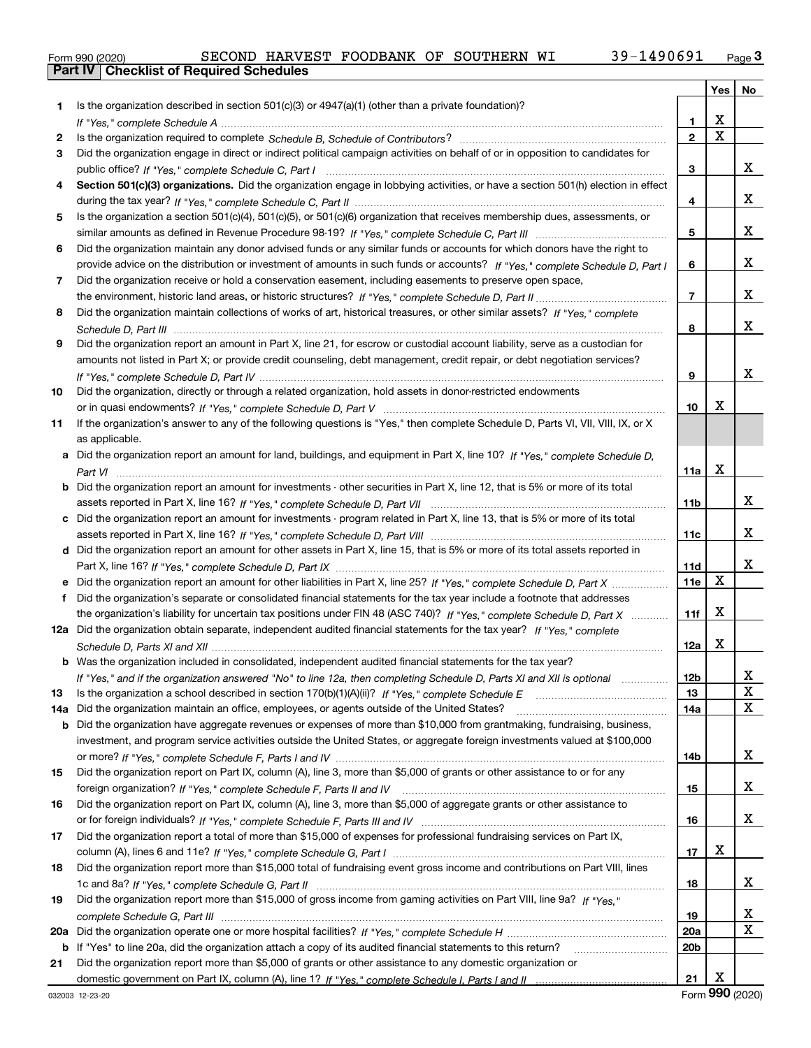|  | Form 990 (2020) |
|--|-----------------|

|     |                                                                                                                                  |                 | Yes $ $     | No |
|-----|----------------------------------------------------------------------------------------------------------------------------------|-----------------|-------------|----|
| 1   | Is the organization described in section $501(c)(3)$ or $4947(a)(1)$ (other than a private foundation)?                          |                 |             |    |
|     | If "Yes," complete Schedule A measured and the complete schedule A measured and the Schedule A measured and the                  | 1.              | х           |    |
| 2   |                                                                                                                                  | $\mathbf{2}$    | $\mathbf X$ |    |
| 3   | Did the organization engage in direct or indirect political campaign activities on behalf of or in opposition to candidates for  |                 |             |    |
|     |                                                                                                                                  | 3               |             | x  |
| 4   | Section 501(c)(3) organizations. Did the organization engage in lobbying activities, or have a section 501(h) election in effect |                 |             |    |
|     |                                                                                                                                  | 4               |             | x  |
| 5   | Is the organization a section 501(c)(4), 501(c)(5), or 501(c)(6) organization that receives membership dues, assessments, or     |                 |             |    |
|     |                                                                                                                                  | 5               |             | x  |
| 6   | Did the organization maintain any donor advised funds or any similar funds or accounts for which donors have the right to        |                 |             |    |
|     | provide advice on the distribution or investment of amounts in such funds or accounts? If "Yes," complete Schedule D, Part I     | 6               |             | x  |
| 7   | Did the organization receive or hold a conservation easement, including easements to preserve open space,                        |                 |             |    |
|     |                                                                                                                                  | $\overline{7}$  |             | x  |
| 8   | Did the organization maintain collections of works of art, historical treasures, or other similar assets? If "Yes," complete     |                 |             |    |
|     |                                                                                                                                  | 8               |             | x  |
| 9   | Did the organization report an amount in Part X, line 21, for escrow or custodial account liability, serve as a custodian for    |                 |             |    |
|     | amounts not listed in Part X; or provide credit counseling, debt management, credit repair, or debt negotiation services?        |                 |             |    |
|     |                                                                                                                                  | 9               |             | x  |
| 10  | Did the organization, directly or through a related organization, hold assets in donor-restricted endowments                     |                 |             |    |
|     |                                                                                                                                  | 10              | х           |    |
| 11  | If the organization's answer to any of the following questions is "Yes," then complete Schedule D, Parts VI, VII, VIII, IX, or X |                 |             |    |
|     | as applicable.                                                                                                                   |                 |             |    |
|     | a Did the organization report an amount for land, buildings, and equipment in Part X, line 10? If "Yes," complete Schedule D.    |                 | х           |    |
|     |                                                                                                                                  | 11a             |             |    |
|     | Did the organization report an amount for investments - other securities in Part X, line 12, that is 5% or more of its total     | 11 <sub>b</sub> |             | x  |
|     | c Did the organization report an amount for investments - program related in Part X, line 13, that is 5% or more of its total    |                 |             |    |
|     |                                                                                                                                  | 11c             |             | x  |
|     | d Did the organization report an amount for other assets in Part X, line 15, that is 5% or more of its total assets reported in  |                 |             |    |
|     |                                                                                                                                  | 11d             |             | x  |
|     |                                                                                                                                  | <b>11e</b>      | X           |    |
| f   | Did the organization's separate or consolidated financial statements for the tax year include a footnote that addresses          |                 |             |    |
|     | the organization's liability for uncertain tax positions under FIN 48 (ASC 740)? If "Yes," complete Schedule D, Part X           | 11f             | X           |    |
|     | 12a Did the organization obtain separate, independent audited financial statements for the tax year? If "Yes," complete          |                 |             |    |
|     |                                                                                                                                  | 12a             | x           |    |
|     | <b>b</b> Was the organization included in consolidated, independent audited financial statements for the tax year?               |                 |             |    |
|     | If "Yes," and if the organization answered "No" to line 12a, then completing Schedule D, Parts XI and XII is optional            | 12 <sub>b</sub> |             | 47 |
| 13  |                                                                                                                                  | 13              |             | X  |
| 14a | Did the organization maintain an office, employees, or agents outside of the United States?                                      | 14a             |             | X  |
| b   | Did the organization have aggregate revenues or expenses of more than \$10,000 from grantmaking, fundraising, business,          |                 |             |    |
|     | investment, and program service activities outside the United States, or aggregate foreign investments valued at \$100,000       |                 |             |    |
|     |                                                                                                                                  | 14b             |             | x  |
| 15  | Did the organization report on Part IX, column (A), line 3, more than \$5,000 of grants or other assistance to or for any        |                 |             |    |
|     |                                                                                                                                  | 15              |             | x  |
| 16  | Did the organization report on Part IX, column (A), line 3, more than \$5,000 of aggregate grants or other assistance to         |                 |             |    |
|     |                                                                                                                                  | 16              |             | x  |
| 17  | Did the organization report a total of more than \$15,000 of expenses for professional fundraising services on Part IX,          |                 |             |    |
|     |                                                                                                                                  | 17              | X           |    |
| 18  | Did the organization report more than \$15,000 total of fundraising event gross income and contributions on Part VIII, lines     |                 |             |    |
|     |                                                                                                                                  | 18              |             | x  |
| 19  | Did the organization report more than \$15,000 of gross income from gaming activities on Part VIII, line 9a? If "Yes."           |                 |             |    |
|     |                                                                                                                                  | 19              |             | x  |
| 20a |                                                                                                                                  | 20a             |             | X  |
| b   | If "Yes" to line 20a, did the organization attach a copy of its audited financial statements to this return?                     | 20b             |             |    |
| 21  | Did the organization report more than \$5,000 of grants or other assistance to any domestic organization or                      |                 |             |    |
|     |                                                                                                                                  | 21              | х           |    |

Form (2020) **990**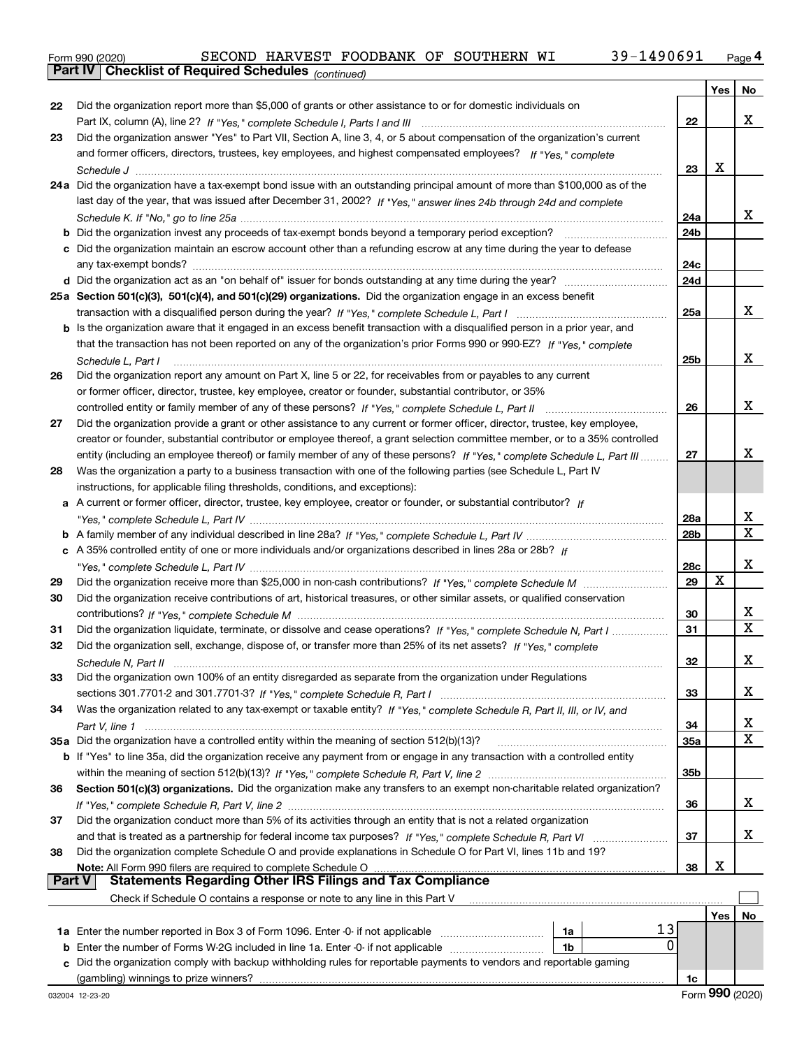|  | Form 990 (2020) |
|--|-----------------|

*(continued)*

|               |                                                                                                                              |                 | Yes         | No               |
|---------------|------------------------------------------------------------------------------------------------------------------------------|-----------------|-------------|------------------|
| 22            | Did the organization report more than \$5,000 of grants or other assistance to or for domestic individuals on                |                 |             |                  |
|               |                                                                                                                              | 22              |             | x                |
| 23            | Did the organization answer "Yes" to Part VII, Section A, line 3, 4, or 5 about compensation of the organization's current   |                 |             |                  |
|               | and former officers, directors, trustees, key employees, and highest compensated employees? If "Yes," complete               |                 |             |                  |
|               |                                                                                                                              | 23              | X           |                  |
|               | 24a Did the organization have a tax-exempt bond issue with an outstanding principal amount of more than \$100,000 as of the  |                 |             |                  |
|               | last day of the year, that was issued after December 31, 2002? If "Yes," answer lines 24b through 24d and complete           |                 |             |                  |
|               |                                                                                                                              | 24a             |             | x                |
|               | <b>b</b> Did the organization invest any proceeds of tax-exempt bonds beyond a temporary period exception?                   | 24b             |             |                  |
|               | c Did the organization maintain an escrow account other than a refunding escrow at any time during the year to defease       |                 |             |                  |
|               | any tax-exempt bonds?                                                                                                        | 24c             |             |                  |
|               |                                                                                                                              | 24d             |             |                  |
|               | 25a Section 501(c)(3), 501(c)(4), and 501(c)(29) organizations. Did the organization engage in an excess benefit             |                 |             |                  |
|               |                                                                                                                              | 25a             |             | x                |
|               | b Is the organization aware that it engaged in an excess benefit transaction with a disqualified person in a prior year, and |                 |             |                  |
|               | that the transaction has not been reported on any of the organization's prior Forms 990 or 990-EZ? If "Yes," complete        |                 |             |                  |
|               | Schedule L, Part I                                                                                                           | 25b             |             | X                |
| 26            | Did the organization report any amount on Part X, line 5 or 22, for receivables from or payables to any current              |                 |             |                  |
|               | or former officer, director, trustee, key employee, creator or founder, substantial contributor, or 35%                      |                 |             |                  |
|               | controlled entity or family member of any of these persons? If "Yes," complete Schedule L, Part II                           | 26              |             | x                |
| 27            | Did the organization provide a grant or other assistance to any current or former officer, director, trustee, key employee,  |                 |             |                  |
|               | creator or founder, substantial contributor or employee thereof, a grant selection committee member, or to a 35% controlled  |                 |             |                  |
|               | entity (including an employee thereof) or family member of any of these persons? If "Yes," complete Schedule L, Part III.    | 27              |             | х                |
| 28            | Was the organization a party to a business transaction with one of the following parties (see Schedule L, Part IV            |                 |             |                  |
|               | instructions, for applicable filing thresholds, conditions, and exceptions):                                                 |                 |             |                  |
|               | a A current or former officer, director, trustee, key employee, creator or founder, or substantial contributor? If           |                 |             |                  |
|               |                                                                                                                              | 28a             |             | х<br>$\mathbf X$ |
|               |                                                                                                                              | 28b             |             |                  |
|               | c A 35% controlled entity of one or more individuals and/or organizations described in lines 28a or 28b? If                  |                 |             | х                |
|               |                                                                                                                              | 28c<br>29       | $\mathbf X$ |                  |
| 29            |                                                                                                                              |                 |             |                  |
| 30            | Did the organization receive contributions of art, historical treasures, or other similar assets, or qualified conservation  | 30              |             | х                |
| 31            | Did the organization liquidate, terminate, or dissolve and cease operations? If "Yes," complete Schedule N, Part I           | 31              |             | $\mathbf{x}$     |
| 32            | Did the organization sell, exchange, dispose of, or transfer more than 25% of its net assets? If "Yes," complete             |                 |             |                  |
|               |                                                                                                                              | 32              |             | x                |
|               | Did the organization own 100% of an entity disregarded as separate from the organization under Regulations                   |                 |             |                  |
|               |                                                                                                                              | 33              |             | х                |
| 34            | Was the organization related to any tax-exempt or taxable entity? If "Yes," complete Schedule R, Part II, III, or IV, and    |                 |             |                  |
|               |                                                                                                                              | 34              |             | х                |
|               | 35a Did the organization have a controlled entity within the meaning of section 512(b)(13)?                                  | <b>35a</b>      |             | X                |
|               | b If "Yes" to line 35a, did the organization receive any payment from or engage in any transaction with a controlled entity  |                 |             |                  |
|               |                                                                                                                              | 35 <sub>b</sub> |             |                  |
| 36            | Section 501(c)(3) organizations. Did the organization make any transfers to an exempt non-charitable related organization?   |                 |             |                  |
|               |                                                                                                                              | 36              |             | x                |
| 37            | Did the organization conduct more than 5% of its activities through an entity that is not a related organization             |                 |             |                  |
|               |                                                                                                                              | 37              |             | x                |
| 38            | Did the organization complete Schedule O and provide explanations in Schedule O for Part VI, lines 11b and 19?               |                 |             |                  |
|               |                                                                                                                              | 38              | х           |                  |
| <b>Part V</b> | <b>Statements Regarding Other IRS Filings and Tax Compliance</b>                                                             |                 |             |                  |
|               | Check if Schedule O contains a response or note to any line in this Part V                                                   |                 |             |                  |
|               |                                                                                                                              |                 | Yes         | No               |
|               | 13<br>1a                                                                                                                     |                 |             |                  |
|               | 0<br><b>b</b> Enter the number of Forms W-2G included in line 1a. Enter -0- if not applicable<br>1b                          |                 |             |                  |
|               | c Did the organization comply with backup withholding rules for reportable payments to vendors and reportable gaming         |                 |             |                  |
|               |                                                                                                                              | 1c              |             |                  |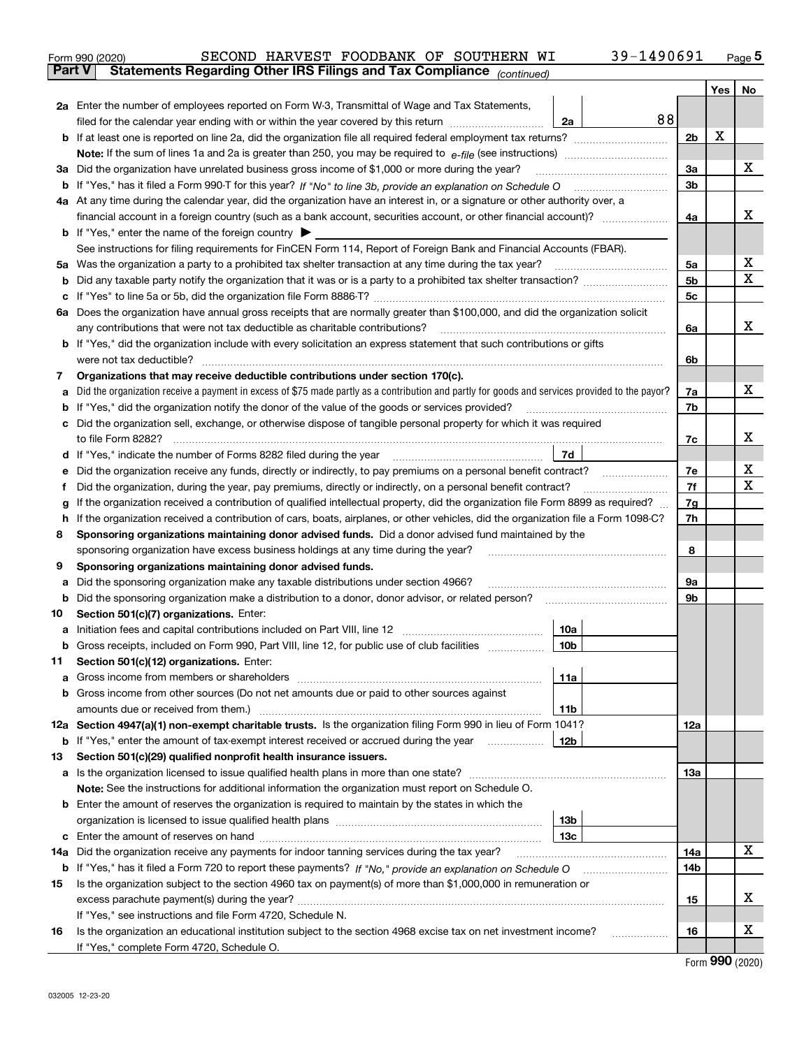|                                                                                                                     | 39-1490691<br>SECOND HARVEST FOODBANK OF SOUTHERN WI<br>Form 990 (2020)                                                                         |                |     | $_{\text{Page}}$ 5 |  |  |  |  |
|---------------------------------------------------------------------------------------------------------------------|-------------------------------------------------------------------------------------------------------------------------------------------------|----------------|-----|--------------------|--|--|--|--|
| <b>Part V</b>                                                                                                       | Statements Regarding Other IRS Filings and Tax Compliance (continued)                                                                           |                |     |                    |  |  |  |  |
|                                                                                                                     |                                                                                                                                                 |                | Yes | No                 |  |  |  |  |
|                                                                                                                     | 2a Enter the number of employees reported on Form W-3, Transmittal of Wage and Tax Statements,                                                  |                |     |                    |  |  |  |  |
|                                                                                                                     | 88<br>filed for the calendar year ending with or within the year covered by this return<br>2a                                                   |                |     |                    |  |  |  |  |
| b                                                                                                                   |                                                                                                                                                 | 2b             | x   |                    |  |  |  |  |
|                                                                                                                     |                                                                                                                                                 |                |     |                    |  |  |  |  |
| За                                                                                                                  | Did the organization have unrelated business gross income of \$1,000 or more during the year?                                                   | 3a             |     | x                  |  |  |  |  |
| b                                                                                                                   |                                                                                                                                                 | 3 <sub>b</sub> |     |                    |  |  |  |  |
|                                                                                                                     | 4a At any time during the calendar year, did the organization have an interest in, or a signature or other authority over, a                    |                |     |                    |  |  |  |  |
|                                                                                                                     |                                                                                                                                                 | 4a             |     | x                  |  |  |  |  |
|                                                                                                                     | <b>b</b> If "Yes," enter the name of the foreign country $\blacktriangleright$                                                                  |                |     |                    |  |  |  |  |
|                                                                                                                     | See instructions for filing requirements for FinCEN Form 114, Report of Foreign Bank and Financial Accounts (FBAR).                             |                |     |                    |  |  |  |  |
| 5a                                                                                                                  | Was the organization a party to a prohibited tax shelter transaction at any time during the tax year?                                           | 5a             |     | х                  |  |  |  |  |
| b                                                                                                                   |                                                                                                                                                 | 5 <sub>b</sub> |     | x                  |  |  |  |  |
| с                                                                                                                   |                                                                                                                                                 | 5c             |     |                    |  |  |  |  |
|                                                                                                                     | 6a Does the organization have annual gross receipts that are normally greater than \$100,000, and did the organization solicit                  |                |     |                    |  |  |  |  |
|                                                                                                                     | any contributions that were not tax deductible as charitable contributions?                                                                     | 6a             |     | x                  |  |  |  |  |
|                                                                                                                     | If "Yes," did the organization include with every solicitation an express statement that such contributions or gifts                            |                |     |                    |  |  |  |  |
|                                                                                                                     | were not tax deductible?                                                                                                                        | 6b             |     |                    |  |  |  |  |
| 7                                                                                                                   | Organizations that may receive deductible contributions under section 170(c).                                                                   |                |     |                    |  |  |  |  |
| а                                                                                                                   | Did the organization receive a payment in excess of \$75 made partly as a contribution and partly for goods and services provided to the payor? | 7a             |     | x                  |  |  |  |  |
| b                                                                                                                   | If "Yes," did the organization notify the donor of the value of the goods or services provided?                                                 | 7b             |     |                    |  |  |  |  |
| c                                                                                                                   | Did the organization sell, exchange, or otherwise dispose of tangible personal property for which it was required                               |                |     |                    |  |  |  |  |
|                                                                                                                     |                                                                                                                                                 | 7c             |     | x                  |  |  |  |  |
| d                                                                                                                   | 7d                                                                                                                                              |                |     |                    |  |  |  |  |
| е                                                                                                                   | Did the organization receive any funds, directly or indirectly, to pay premiums on a personal benefit contract?                                 | 7e             |     | х                  |  |  |  |  |
| f                                                                                                                   | Did the organization, during the year, pay premiums, directly or indirectly, on a personal benefit contract?                                    | 7f             |     | x                  |  |  |  |  |
| g                                                                                                                   | If the organization received a contribution of qualified intellectual property, did the organization file Form 8899 as required?                | 7g             |     |                    |  |  |  |  |
| h                                                                                                                   | If the organization received a contribution of cars, boats, airplanes, or other vehicles, did the organization file a Form 1098-C?              | 7h             |     |                    |  |  |  |  |
| 8                                                                                                                   | Sponsoring organizations maintaining donor advised funds. Did a donor advised fund maintained by the                                            |                |     |                    |  |  |  |  |
|                                                                                                                     | sponsoring organization have excess business holdings at any time during the year?                                                              | 8              |     |                    |  |  |  |  |
| 9                                                                                                                   | Sponsoring organizations maintaining donor advised funds.                                                                                       |                |     |                    |  |  |  |  |
| а                                                                                                                   | Did the sponsoring organization make any taxable distributions under section 4966?                                                              | 9а             |     |                    |  |  |  |  |
| b                                                                                                                   | Did the sponsoring organization make a distribution to a donor, donor advisor, or related person?                                               | 9b             |     |                    |  |  |  |  |
| 10                                                                                                                  | Section 501(c)(7) organizations. Enter:                                                                                                         |                |     |                    |  |  |  |  |
| а                                                                                                                   | 10a<br>10 <sub>b</sub><br>Gross receipts, included on Form 990, Part VIII, line 12, for public use of club facilities                           |                |     |                    |  |  |  |  |
|                                                                                                                     |                                                                                                                                                 |                |     |                    |  |  |  |  |
| 11<br>a                                                                                                             | Section 501(c)(12) organizations. Enter:<br>11a<br>Gross income from members or shareholders                                                    |                |     |                    |  |  |  |  |
| b                                                                                                                   | Gross income from other sources (Do not net amounts due or paid to other sources against                                                        |                |     |                    |  |  |  |  |
|                                                                                                                     | 11 <sub>b</sub><br>amounts due or received from them.)                                                                                          |                |     |                    |  |  |  |  |
|                                                                                                                     | 12a Section 4947(a)(1) non-exempt charitable trusts. Is the organization filing Form 990 in lieu of Form 1041?                                  | 12a            |     |                    |  |  |  |  |
|                                                                                                                     | 12b<br><b>b</b> If "Yes," enter the amount of tax-exempt interest received or accrued during the year                                           |                |     |                    |  |  |  |  |
| 13                                                                                                                  | Section 501(c)(29) qualified nonprofit health insurance issuers.                                                                                |                |     |                    |  |  |  |  |
| a                                                                                                                   | Is the organization licensed to issue qualified health plans in more than one state?                                                            | 13a            |     |                    |  |  |  |  |
|                                                                                                                     | Note: See the instructions for additional information the organization must report on Schedule O.                                               |                |     |                    |  |  |  |  |
| b                                                                                                                   | Enter the amount of reserves the organization is required to maintain by the states in which the                                                |                |     |                    |  |  |  |  |
|                                                                                                                     | 13 <sub>b</sub>                                                                                                                                 |                |     |                    |  |  |  |  |
| с                                                                                                                   | 13 <sub>c</sub>                                                                                                                                 |                |     |                    |  |  |  |  |
| 14a                                                                                                                 | Did the organization receive any payments for indoor tanning services during the tax year?                                                      |                |     |                    |  |  |  |  |
| <b>b</b> If "Yes," has it filed a Form 720 to report these payments? If "No," provide an explanation on Schedule O  |                                                                                                                                                 |                |     |                    |  |  |  |  |
| Is the organization subject to the section 4960 tax on payment(s) of more than \$1,000,000 in remuneration or<br>15 |                                                                                                                                                 |                |     |                    |  |  |  |  |
|                                                                                                                     | excess parachute payment(s) during the year?                                                                                                    | 15             |     | x                  |  |  |  |  |
|                                                                                                                     | If "Yes," see instructions and file Form 4720, Schedule N.                                                                                      |                |     |                    |  |  |  |  |
| 16                                                                                                                  | Is the organization an educational institution subject to the section 4968 excise tax on net investment income?                                 | 16             |     | х                  |  |  |  |  |
|                                                                                                                     | If "Yes," complete Form 4720, Schedule O.                                                                                                       |                |     |                    |  |  |  |  |
|                                                                                                                     |                                                                                                                                                 |                | റററ |                    |  |  |  |  |

Form (2020) **990**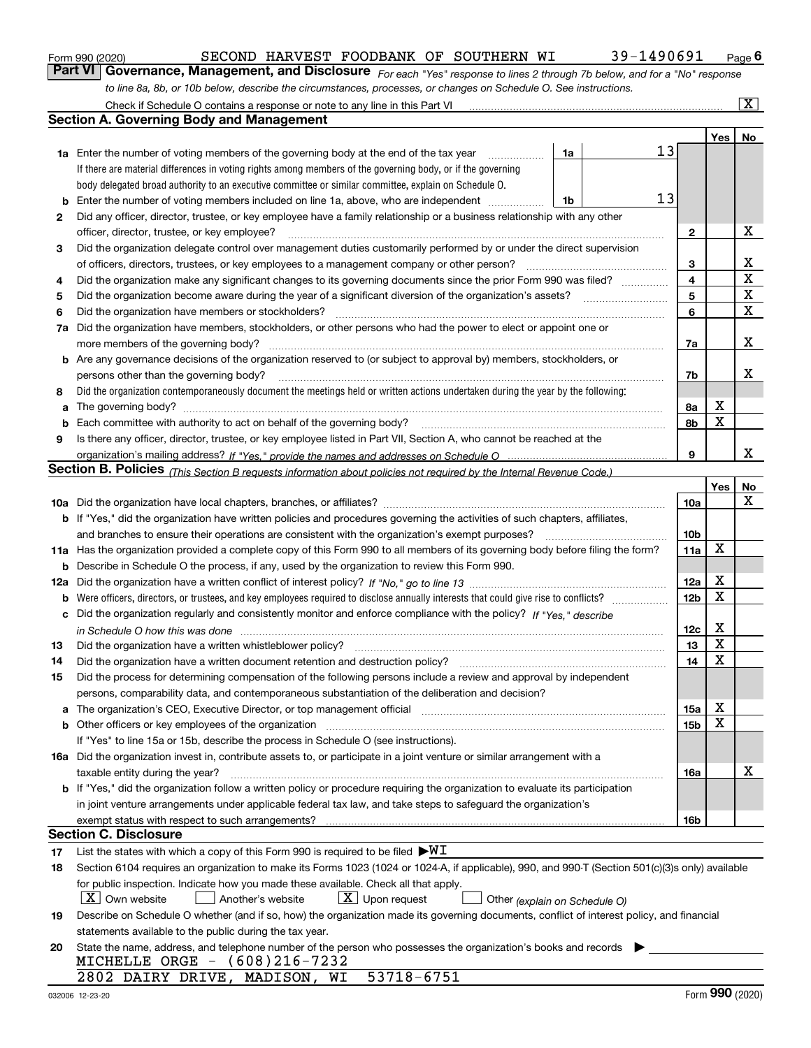|  | Form 990 (2020) |
|--|-----------------|
|  |                 |

*For each "Yes" response to lines 2 through 7b below, and for a "No" response to line 8a, 8b, or 10b below, describe the circumstances, processes, or changes on Schedule O. See instructions.* Form 990 (2020) **COND HARVEST FOODBANK OF SOUTHERN WI** 39-1490691 Page 6<br>**Part VI Governance, Management, and Disclosure** For each "Yes" response to lines 2 through 7b below, and for a "No" response

|                                                                                                           | Check if Schedule O contains a response or note to any line in this Part VI                                                                                                                                                                                                                                                     |          |                 |     | $\overline{\mathbf{x}}$ |  |  |  |  |  |
|-----------------------------------------------------------------------------------------------------------|---------------------------------------------------------------------------------------------------------------------------------------------------------------------------------------------------------------------------------------------------------------------------------------------------------------------------------|----------|-----------------|-----|-------------------------|--|--|--|--|--|
|                                                                                                           | <b>Section A. Governing Body and Management</b>                                                                                                                                                                                                                                                                                 |          |                 |     |                         |  |  |  |  |  |
|                                                                                                           |                                                                                                                                                                                                                                                                                                                                 |          |                 | Yes | No                      |  |  |  |  |  |
|                                                                                                           | <b>1a</b> Enter the number of voting members of the governing body at the end of the tax year<br>and a complete the complete state of the state of the state of the state of the state of the state of the state of the state of the state of the state of the state of the state of the state of the state of the state of the | 13<br>1a |                 |     |                         |  |  |  |  |  |
|                                                                                                           | If there are material differences in voting rights among members of the governing body, or if the governing                                                                                                                                                                                                                     |          |                 |     |                         |  |  |  |  |  |
|                                                                                                           | body delegated broad authority to an executive committee or similar committee, explain on Schedule O.                                                                                                                                                                                                                           |          |                 |     |                         |  |  |  |  |  |
| b                                                                                                         | Enter the number of voting members included on line 1a, above, who are independent                                                                                                                                                                                                                                              | 13<br>1b |                 |     |                         |  |  |  |  |  |
| 2                                                                                                         | Did any officer, director, trustee, or key employee have a family relationship or a business relationship with any other                                                                                                                                                                                                        |          |                 |     |                         |  |  |  |  |  |
|                                                                                                           | officer, director, trustee, or key employee?                                                                                                                                                                                                                                                                                    |          | $\mathbf{2}$    |     | Х                       |  |  |  |  |  |
| 3                                                                                                         | Did the organization delegate control over management duties customarily performed by or under the direct supervision                                                                                                                                                                                                           |          |                 |     |                         |  |  |  |  |  |
|                                                                                                           | of officers, directors, trustees, or key employees to a management company or other person?                                                                                                                                                                                                                                     |          | 3               |     | X                       |  |  |  |  |  |
| 4                                                                                                         | Did the organization make any significant changes to its governing documents since the prior Form 990 was filed?                                                                                                                                                                                                                |          | 4               |     | $\mathbf X$             |  |  |  |  |  |
| 5                                                                                                         | Did the organization become aware during the year of a significant diversion of the organization's assets?                                                                                                                                                                                                                      |          |                 |     |                         |  |  |  |  |  |
| 6                                                                                                         | Did the organization have members or stockholders?                                                                                                                                                                                                                                                                              |          | 6               |     | $\mathbf X$             |  |  |  |  |  |
| 7a                                                                                                        | Did the organization have members, stockholders, or other persons who had the power to elect or appoint one or                                                                                                                                                                                                                  |          |                 |     |                         |  |  |  |  |  |
|                                                                                                           | more members of the governing body?                                                                                                                                                                                                                                                                                             |          | 7a              |     | X                       |  |  |  |  |  |
|                                                                                                           | <b>b</b> Are any governance decisions of the organization reserved to (or subject to approval by) members, stockholders, or                                                                                                                                                                                                     |          |                 |     |                         |  |  |  |  |  |
|                                                                                                           | persons other than the governing body?                                                                                                                                                                                                                                                                                          |          | 7b              |     | X                       |  |  |  |  |  |
| 8                                                                                                         | Did the organization contemporaneously document the meetings held or written actions undertaken during the year by the following:                                                                                                                                                                                               |          |                 |     |                         |  |  |  |  |  |
| a                                                                                                         |                                                                                                                                                                                                                                                                                                                                 |          | 8а              | X   |                         |  |  |  |  |  |
| b                                                                                                         | Each committee with authority to act on behalf of the governing body? manufactured committee with authority to act on behalf of the governing body?                                                                                                                                                                             |          | 8b              | X   |                         |  |  |  |  |  |
| 9                                                                                                         | Is there any officer, director, trustee, or key employee listed in Part VII, Section A, who cannot be reached at the                                                                                                                                                                                                            |          |                 |     |                         |  |  |  |  |  |
|                                                                                                           |                                                                                                                                                                                                                                                                                                                                 |          | 9               |     | X                       |  |  |  |  |  |
|                                                                                                           | <b>Section B. Policies</b> (This Section B requests information about policies not required by the Internal Revenue Code.)                                                                                                                                                                                                      |          |                 |     |                         |  |  |  |  |  |
|                                                                                                           |                                                                                                                                                                                                                                                                                                                                 |          |                 | Yes | No                      |  |  |  |  |  |
|                                                                                                           |                                                                                                                                                                                                                                                                                                                                 |          | 10a             |     | x                       |  |  |  |  |  |
|                                                                                                           | <b>b</b> If "Yes," did the organization have written policies and procedures governing the activities of such chapters, affiliates,                                                                                                                                                                                             |          |                 |     |                         |  |  |  |  |  |
|                                                                                                           | and branches to ensure their operations are consistent with the organization's exempt purposes?                                                                                                                                                                                                                                 |          | 10b             |     |                         |  |  |  |  |  |
|                                                                                                           | 11a Has the organization provided a complete copy of this Form 990 to all members of its governing body before filing the form?                                                                                                                                                                                                 |          | 11a             | X   |                         |  |  |  |  |  |
| b                                                                                                         | Describe in Schedule O the process, if any, used by the organization to review this Form 990.                                                                                                                                                                                                                                   |          |                 |     |                         |  |  |  |  |  |
| 12a                                                                                                       |                                                                                                                                                                                                                                                                                                                                 |          | 12a             | X   |                         |  |  |  |  |  |
| b                                                                                                         | Were officers, directors, or trustees, and key employees required to disclose annually interests that could give rise to conflicts?                                                                                                                                                                                             |          | 12 <sub>b</sub> | X   |                         |  |  |  |  |  |
| c                                                                                                         | Did the organization regularly and consistently monitor and enforce compliance with the policy? If "Yes." describe                                                                                                                                                                                                              |          |                 |     |                         |  |  |  |  |  |
|                                                                                                           | in Schedule O how this was done www.communication.com/www.communications.com/www.communications.com/                                                                                                                                                                                                                            |          | 12c             | X   |                         |  |  |  |  |  |
| 13                                                                                                        | Did the organization have a written whistleblower policy?                                                                                                                                                                                                                                                                       |          | 13              | X   |                         |  |  |  |  |  |
| 14                                                                                                        | Did the organization have a written document retention and destruction policy?                                                                                                                                                                                                                                                  |          | 14              | X   |                         |  |  |  |  |  |
| 15                                                                                                        | Did the process for determining compensation of the following persons include a review and approval by independent                                                                                                                                                                                                              |          |                 |     |                         |  |  |  |  |  |
|                                                                                                           | persons, comparability data, and contemporaneous substantiation of the deliberation and decision?                                                                                                                                                                                                                               |          |                 |     |                         |  |  |  |  |  |
| a                                                                                                         | The organization's CEO, Executive Director, or top management official manufactured content content of the organization's CEO, executive Director, or top management official manufactured content of the original manufacture                                                                                                  |          | 15a             | х   |                         |  |  |  |  |  |
|                                                                                                           | <b>b</b> Other officers or key employees of the organization                                                                                                                                                                                                                                                                    |          | 15 <sub>b</sub> | х   |                         |  |  |  |  |  |
|                                                                                                           | If "Yes" to line 15a or 15b, describe the process in Schedule O (see instructions).                                                                                                                                                                                                                                             |          |                 |     |                         |  |  |  |  |  |
|                                                                                                           | 16a Did the organization invest in, contribute assets to, or participate in a joint venture or similar arrangement with a                                                                                                                                                                                                       |          |                 |     |                         |  |  |  |  |  |
|                                                                                                           | taxable entity during the year?                                                                                                                                                                                                                                                                                                 |          | 16a             |     | х                       |  |  |  |  |  |
|                                                                                                           | <b>b</b> If "Yes," did the organization follow a written policy or procedure requiring the organization to evaluate its participation                                                                                                                                                                                           |          |                 |     |                         |  |  |  |  |  |
|                                                                                                           | in joint venture arrangements under applicable federal tax law, and take steps to safeguard the organization's                                                                                                                                                                                                                  |          |                 |     |                         |  |  |  |  |  |
|                                                                                                           | exempt status with respect to such arrangements?                                                                                                                                                                                                                                                                                |          | 16b             |     |                         |  |  |  |  |  |
|                                                                                                           | Section C. Disclosure                                                                                                                                                                                                                                                                                                           |          |                 |     |                         |  |  |  |  |  |
| 17                                                                                                        | List the states with which a copy of this Form 990 is required to be filed $\blacktriangleright\text{WI}$                                                                                                                                                                                                                       |          |                 |     |                         |  |  |  |  |  |
| 18                                                                                                        | Section 6104 requires an organization to make its Forms 1023 (1024 or 1024-A, if applicable), 990, and 990-T (Section 501(c)(3)s only) available                                                                                                                                                                                |          |                 |     |                         |  |  |  |  |  |
|                                                                                                           | for public inspection. Indicate how you made these available. Check all that apply.                                                                                                                                                                                                                                             |          |                 |     |                         |  |  |  |  |  |
| $X$ Own website<br>$\lfloor x \rfloor$ Upon request<br>Another's website<br>Other (explain on Schedule O) |                                                                                                                                                                                                                                                                                                                                 |          |                 |     |                         |  |  |  |  |  |
| 19                                                                                                        | Describe on Schedule O whether (and if so, how) the organization made its governing documents, conflict of interest policy, and financial                                                                                                                                                                                       |          |                 |     |                         |  |  |  |  |  |
|                                                                                                           | statements available to the public during the tax year.                                                                                                                                                                                                                                                                         |          |                 |     |                         |  |  |  |  |  |
| 20                                                                                                        | State the name, address, and telephone number of the person who possesses the organization's books and records                                                                                                                                                                                                                  |          |                 |     |                         |  |  |  |  |  |
|                                                                                                           | MICHELLE ORGE - (608)216-7232                                                                                                                                                                                                                                                                                                   |          |                 |     |                         |  |  |  |  |  |
|                                                                                                           | 2802 DAIRY DRIVE, MADISON, WI<br>53718-6751                                                                                                                                                                                                                                                                                     |          |                 |     |                         |  |  |  |  |  |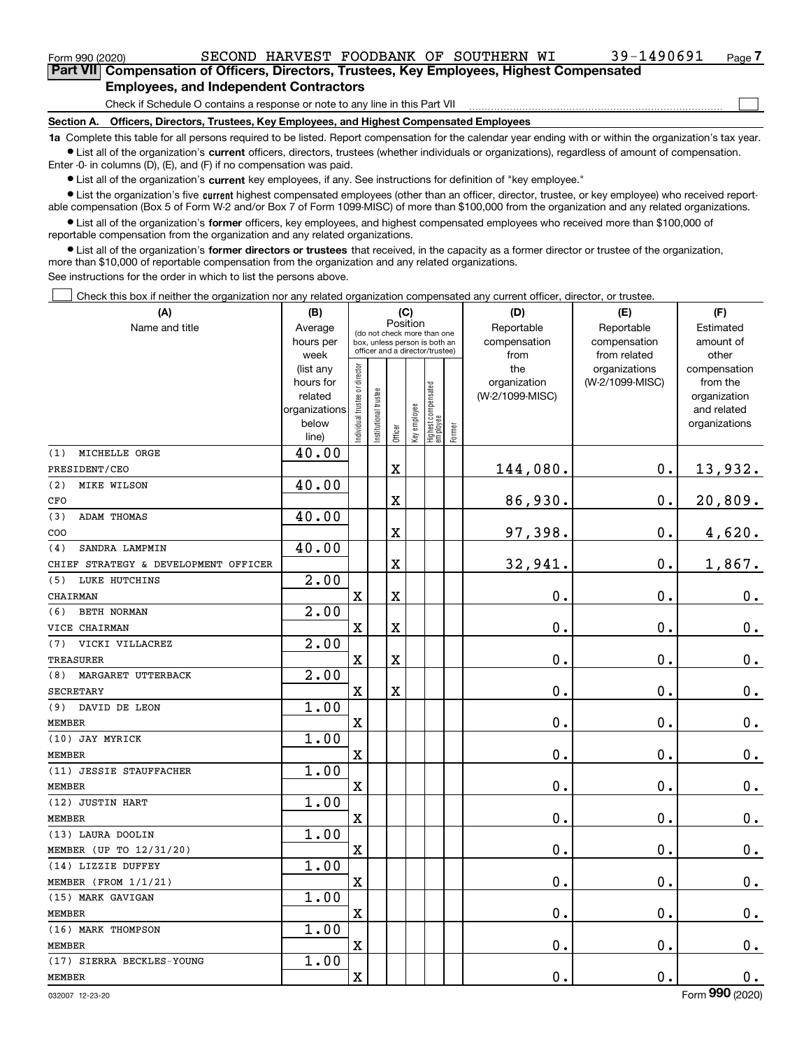$\mathcal{L}^{\text{max}}$ 

| <b>Employees, and Independent Contractors</b> |  |  |  |
|-----------------------------------------------|--|--|--|

Check if Schedule O contains a response or note to any line in this Part VII

**Section A. Officers, Directors, Trustees, Key Employees, and Highest Compensated Employees**

**1a**  Complete this table for all persons required to be listed. Report compensation for the calendar year ending with or within the organization's tax year. **•** List all of the organization's current officers, directors, trustees (whether individuals or organizations), regardless of amount of compensation.

Enter -0- in columns (D), (E), and (F) if no compensation was paid.

 $\bullet$  List all of the organization's  $\,$ current key employees, if any. See instructions for definition of "key employee."

**•** List the organization's five current highest compensated employees (other than an officer, director, trustee, or key employee) who received reportable compensation (Box 5 of Form W-2 and/or Box 7 of Form 1099-MISC) of more than \$100,000 from the organization and any related organizations.

**•** List all of the organization's former officers, key employees, and highest compensated employees who received more than \$100,000 of reportable compensation from the organization and any related organizations.

**former directors or trustees**  ¥ List all of the organization's that received, in the capacity as a former director or trustee of the organization, more than \$10,000 of reportable compensation from the organization and any related organizations.

See instructions for the order in which to list the persons above.

Check this box if neither the organization nor any related organization compensated any current officer, director, or trustee.  $\mathcal{L}^{\text{max}}$ 

| (A)                                  | (B)                    |                                         |                                                                  | (C)         |              |                                  |        | (D)                             | (E)             | (F)                      |
|--------------------------------------|------------------------|-----------------------------------------|------------------------------------------------------------------|-------------|--------------|----------------------------------|--------|---------------------------------|-----------------|--------------------------|
| Name and title                       | Average                | Position<br>(do not check more than one |                                                                  |             |              |                                  |        | Reportable                      | Reportable      | Estimated                |
|                                      | hours per              |                                         | box, unless person is both an<br>officer and a director/trustee) |             |              |                                  |        | compensation                    | compensation    | amount of                |
|                                      | week                   |                                         |                                                                  |             |              |                                  |        | from                            | from related    | other                    |
|                                      | (list any<br>hours for |                                         |                                                                  |             |              |                                  |        | the                             | organizations   | compensation<br>from the |
|                                      | related                |                                         |                                                                  |             |              |                                  |        | organization<br>(W-2/1099-MISC) | (W-2/1099-MISC) | organization             |
|                                      | organizations          |                                         |                                                                  |             |              |                                  |        |                                 |                 | and related              |
|                                      | below                  | ndividual trustee or director           | nstitutional trustee                                             |             |              |                                  |        |                                 |                 | organizations            |
|                                      | line)                  |                                         |                                                                  | Officer     | Key employee | Highest compensated<br> employee | Former |                                 |                 |                          |
| MICHELLE ORGE<br>(1)                 | 40.00                  |                                         |                                                                  |             |              |                                  |        |                                 |                 |                          |
| PRESIDENT/CEO                        |                        |                                         |                                                                  | $\mathbf X$ |              |                                  |        | 144,080.                        | $0$ .           | 13,932.                  |
| (2)<br><b>MIKE WILSON</b>            | 40.00                  |                                         |                                                                  |             |              |                                  |        |                                 |                 |                          |
| CFO                                  |                        |                                         |                                                                  | X           |              |                                  |        | 86,930.                         | 0.              | 20,809.                  |
| <b>ADAM THOMAS</b><br>(3)            | 40.00                  |                                         |                                                                  |             |              |                                  |        |                                 |                 |                          |
| COO                                  |                        |                                         |                                                                  | X           |              |                                  |        | 97,398.                         | $\mathbf 0$ .   | 4,620.                   |
| (4)<br>SANDRA LAMPMIN                | 40.00                  |                                         |                                                                  |             |              |                                  |        |                                 |                 |                          |
| CHIEF STRATEGY & DEVELOPMENT OFFICER |                        |                                         |                                                                  | X           |              |                                  |        | 32,941.                         | $\mathbf 0$ .   | 1,867.                   |
| LUKE HUTCHINS<br>(5)                 | 2.00                   |                                         |                                                                  |             |              |                                  |        |                                 |                 |                          |
| CHAIRMAN                             |                        | $\mathbf X$                             |                                                                  | X           |              |                                  |        | $\mathbf 0$ .                   | 0.              | $0_{.}$                  |
| BETH NORMAN<br>(6)                   | 2.00                   |                                         |                                                                  |             |              |                                  |        |                                 |                 |                          |
| VICE CHAIRMAN                        |                        | X                                       |                                                                  | X           |              |                                  |        | $\mathbf 0$ .                   | $\mathbf 0$ .   | $\mathbf 0$ .            |
| VICKI VILLACREZ<br>(7)               | 2.00                   |                                         |                                                                  |             |              |                                  |        |                                 |                 |                          |
| TREASURER                            |                        | $\mathbf X$                             |                                                                  | X           |              |                                  |        | $\mathbf 0$ .                   | 0.              | $\mathbf 0$ .            |
| MARGARET UTTERBACK<br>(8)            | 2.00                   |                                         |                                                                  |             |              |                                  |        |                                 |                 |                          |
| <b>SECRETARY</b>                     |                        | X                                       |                                                                  | X           |              |                                  |        | 0.                              | $\mathbf 0$ .   | $0$ .                    |
| DAVID DE LEON<br>(9)                 | 1.00                   |                                         |                                                                  |             |              |                                  |        |                                 |                 |                          |
| <b>MEMBER</b>                        |                        | $\mathbf X$                             |                                                                  |             |              |                                  |        | $\mathbf 0$ .                   | $\mathbf 0$ .   | $\mathbf 0$ .            |
| (10) JAY MYRICK                      | 1.00                   |                                         |                                                                  |             |              |                                  |        |                                 |                 |                          |
| <b>MEMBER</b>                        |                        | X                                       |                                                                  |             |              |                                  |        | $\mathbf 0$ .                   | $\mathbf 0$ .   | $\mathbf 0$ .            |
| (11) JESSIE STAUFFACHER              | 1.00                   |                                         |                                                                  |             |              |                                  |        |                                 |                 |                          |
| <b>MEMBER</b>                        |                        | X                                       |                                                                  |             |              |                                  |        | $\mathbf 0$ .                   | 0.              | $\mathbf 0$ .            |
| (12) JUSTIN HART                     | 1.00                   |                                         |                                                                  |             |              |                                  |        |                                 |                 |                          |
| <b>MEMBER</b>                        |                        | X                                       |                                                                  |             |              |                                  |        | 0.                              | $\mathbf 0$ .   | $\mathbf 0$ .            |
| (13) LAURA DOOLIN                    | 1.00                   |                                         |                                                                  |             |              |                                  |        |                                 |                 |                          |
| MEMBER (UP TO 12/31/20)              |                        | $\rm X$                                 |                                                                  |             |              |                                  |        | $\mathbf 0$ .                   | $\mathbf 0$ .   | $\mathbf 0$ .            |
| (14) LIZZIE DUFFEY                   | 1.00                   |                                         |                                                                  |             |              |                                  |        |                                 |                 |                          |
| MEMBER (FROM 1/1/21)                 |                        | X                                       |                                                                  |             |              |                                  |        | $\mathbf 0$ .                   | $\mathbf 0$ .   | $0_{.}$                  |
| (15) MARK GAVIGAN                    | 1.00                   |                                         |                                                                  |             |              |                                  |        |                                 |                 |                          |
| <b>MEMBER</b>                        |                        | $\rm X$                                 |                                                                  |             |              |                                  |        | 0.                              | $\mathbf 0$ .   | $0_{.}$                  |
| (16) MARK THOMPSON                   | 1.00                   |                                         |                                                                  |             |              |                                  |        |                                 |                 |                          |
| <b>MEMBER</b>                        |                        | X                                       |                                                                  |             |              |                                  |        | $\mathbf 0$ .                   | $\mathbf 0$ .   | $\mathbf 0$ .            |
| (17) SIERRA BECKLES-YOUNG            | 1.00                   |                                         |                                                                  |             |              |                                  |        |                                 |                 |                          |
| <b>MEMBER</b>                        |                        | $\overline{\mathbf{X}}$                 |                                                                  |             |              |                                  |        | $\mathbf 0$ .                   | $\mathbf 0$ .   | $\mathbf 0$ .            |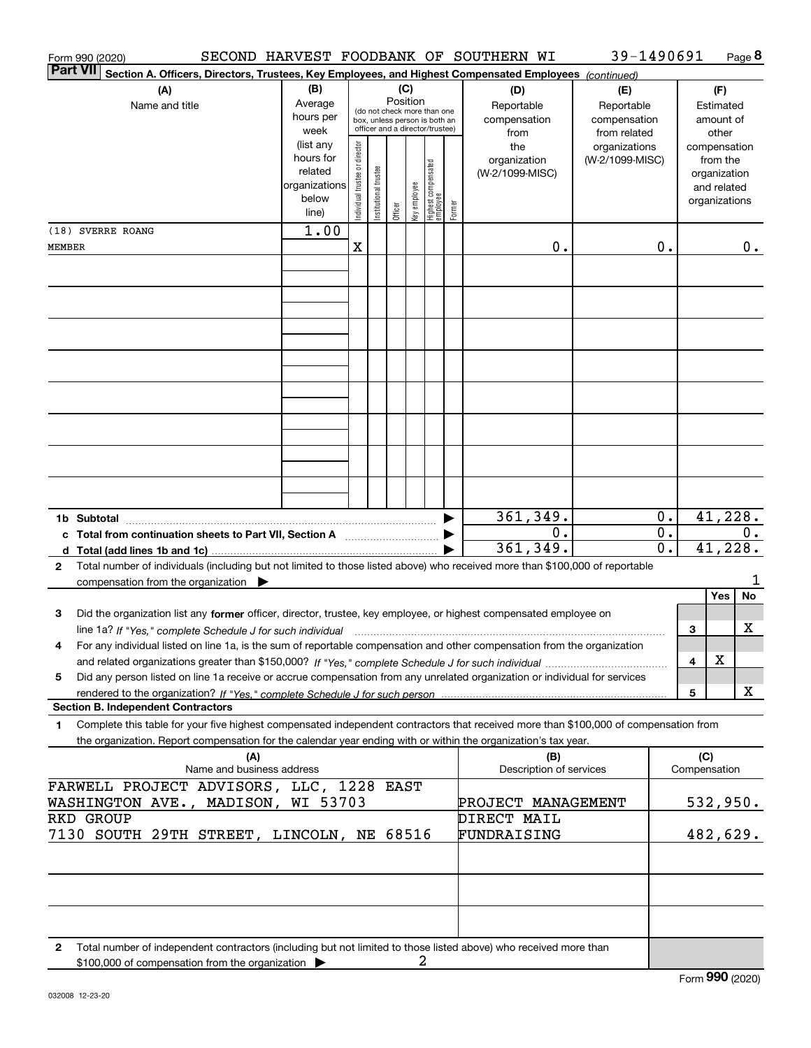| Form 990 (2020)                                                                                                                              |                          |                                |                       |                 |              |                                                                  |        | SECOND HARVEST FOODBANK OF SOUTHERN WI | 39-1490691                   |                             |     |                             | Page 8 |
|----------------------------------------------------------------------------------------------------------------------------------------------|--------------------------|--------------------------------|-----------------------|-----------------|--------------|------------------------------------------------------------------|--------|----------------------------------------|------------------------------|-----------------------------|-----|-----------------------------|--------|
| <b>Part VII</b><br>Section A. Officers, Directors, Trustees, Key Employees, and Highest Compensated Employees (continued)                    |                          |                                |                       |                 |              |                                                                  |        |                                        |                              |                             |     |                             |        |
| (A)<br>Name and title                                                                                                                        | (B)<br>Average           |                                |                       | (C)<br>Position |              | (do not check more than one                                      |        | (D)<br>Reportable                      | (E)<br>Reportable            |                             |     | (F)<br>Estimated            |        |
|                                                                                                                                              | hours per<br>week        |                                |                       |                 |              | box, unless person is both an<br>officer and a director/trustee) |        | compensation<br>from                   | compensation<br>from related |                             |     | amount of<br>other          |        |
|                                                                                                                                              | (list any                |                                |                       |                 |              |                                                                  |        | the                                    | organizations                |                             |     | compensation                |        |
|                                                                                                                                              | hours for                | Individual trustee or director |                       |                 |              |                                                                  |        | organization                           | (W-2/1099-MISC)              |                             |     | from the                    |        |
|                                                                                                                                              | related<br>organizations |                                |                       |                 |              |                                                                  |        | (W-2/1099-MISC)                        |                              |                             |     | organization<br>and related |        |
|                                                                                                                                              | below                    |                                | Institutional trustee |                 | key employee |                                                                  |        |                                        |                              |                             |     | organizations               |        |
|                                                                                                                                              | line)                    |                                |                       | Officer         |              | Highest compensated<br>  employee                                | Former |                                        |                              |                             |     |                             |        |
| (18) SVERRE ROANG                                                                                                                            | 1.00                     |                                |                       |                 |              |                                                                  |        |                                        |                              |                             |     |                             |        |
| MEMBER                                                                                                                                       |                          | X                              |                       |                 |              |                                                                  |        | $\mathbf 0$ .                          |                              | 0.                          |     |                             | 0.     |
|                                                                                                                                              |                          |                                |                       |                 |              |                                                                  |        |                                        |                              |                             |     |                             |        |
|                                                                                                                                              |                          |                                |                       |                 |              |                                                                  |        |                                        |                              |                             |     |                             |        |
|                                                                                                                                              |                          |                                |                       |                 |              |                                                                  |        |                                        |                              |                             |     |                             |        |
|                                                                                                                                              |                          |                                |                       |                 |              |                                                                  |        |                                        |                              |                             |     |                             |        |
|                                                                                                                                              |                          |                                |                       |                 |              |                                                                  |        |                                        |                              |                             |     |                             |        |
|                                                                                                                                              |                          |                                |                       |                 |              |                                                                  |        |                                        |                              |                             |     |                             |        |
|                                                                                                                                              |                          |                                |                       |                 |              |                                                                  |        |                                        |                              |                             |     |                             |        |
|                                                                                                                                              |                          |                                |                       |                 |              |                                                                  |        |                                        |                              |                             |     |                             |        |
|                                                                                                                                              |                          |                                |                       |                 |              |                                                                  |        |                                        |                              |                             |     |                             |        |
|                                                                                                                                              |                          |                                |                       |                 |              |                                                                  |        |                                        |                              |                             |     |                             |        |
|                                                                                                                                              |                          |                                |                       |                 |              |                                                                  |        |                                        |                              |                             |     |                             |        |
|                                                                                                                                              |                          |                                |                       |                 |              |                                                                  |        |                                        |                              |                             |     |                             |        |
|                                                                                                                                              |                          |                                |                       |                 |              |                                                                  |        |                                        |                              |                             |     |                             |        |
|                                                                                                                                              |                          |                                |                       |                 |              |                                                                  |        |                                        |                              |                             |     |                             |        |
| 1b Subtotal                                                                                                                                  |                          |                                |                       |                 |              |                                                                  |        | 361,349.<br>0.                         |                              | 0.<br>$\overline{0}$ .      |     | 41,228.                     | 0.     |
| c Total from continuation sheets to Part VII, Section A                                                                                      |                          |                                |                       |                 |              |                                                                  |        | 361,349.                               |                              | $\overline{\mathfrak{o}}$ . |     | 41,228.                     |        |
| Total number of individuals (including but not limited to those listed above) who received more than \$100,000 of reportable<br>$\mathbf{2}$ |                          |                                |                       |                 |              |                                                                  |        |                                        |                              |                             |     |                             |        |
| compensation from the organization $\blacktriangleright$                                                                                     |                          |                                |                       |                 |              |                                                                  |        |                                        |                              |                             |     |                             | 1      |
|                                                                                                                                              |                          |                                |                       |                 |              |                                                                  |        |                                        |                              |                             |     | Yes                         | No     |
| Did the organization list any former officer, director, trustee, key employee, or highest compensated employee on<br>з                       |                          |                                |                       |                 |              |                                                                  |        |                                        |                              |                             |     |                             |        |
| line 1a? If "Yes," complete Schedule J for such individual manufactured contained and the Yes," complete Schedule J for such individual      |                          |                                |                       |                 |              |                                                                  |        |                                        |                              |                             | 3   |                             | х      |
| For any individual listed on line 1a, is the sum of reportable compensation and other compensation from the organization<br>4                |                          |                                |                       |                 |              |                                                                  |        |                                        |                              |                             |     |                             |        |
|                                                                                                                                              |                          |                                |                       |                 |              |                                                                  |        |                                        |                              |                             | 4   | X                           |        |
| Did any person listed on line 1a receive or accrue compensation from any unrelated organization or individual for services<br>5              |                          |                                |                       |                 |              |                                                                  |        |                                        |                              |                             | 5   |                             | X      |
| <b>Section B. Independent Contractors</b>                                                                                                    |                          |                                |                       |                 |              |                                                                  |        |                                        |                              |                             |     |                             |        |
| Complete this table for your five highest compensated independent contractors that received more than \$100,000 of compensation from<br>1    |                          |                                |                       |                 |              |                                                                  |        |                                        |                              |                             |     |                             |        |
| the organization. Report compensation for the calendar year ending with or within the organization's tax year.                               |                          |                                |                       |                 |              |                                                                  |        |                                        |                              |                             |     |                             |        |
| (A)                                                                                                                                          |                          |                                |                       |                 |              |                                                                  |        | (B)                                    |                              |                             | (C) |                             |        |
| Name and business address<br>FARWELL PROJECT ADVISORS, LLC, 1228 EAST                                                                        |                          |                                |                       |                 |              |                                                                  |        | Description of services                |                              |                             |     | Compensation                |        |
| WASHINGTON AVE., MADISON, WI 53703                                                                                                           |                          |                                |                       |                 |              |                                                                  |        | PROJECT MANAGEMENT                     |                              |                             |     | 532,950.                    |        |
| RKD GROUP                                                                                                                                    |                          |                                |                       |                 |              |                                                                  |        | DIRECT MAIL                            |                              |                             |     |                             |        |
| 7130 SOUTH 29TH STREET, LINCOLN, NE 68516                                                                                                    |                          |                                |                       |                 |              |                                                                  |        | FUNDRAISING                            |                              |                             |     | 482,629.                    |        |
|                                                                                                                                              |                          |                                |                       |                 |              |                                                                  |        |                                        |                              |                             |     |                             |        |
|                                                                                                                                              |                          |                                |                       |                 |              |                                                                  |        |                                        |                              |                             |     |                             |        |
|                                                                                                                                              |                          |                                |                       |                 |              |                                                                  |        |                                        |                              |                             |     |                             |        |
|                                                                                                                                              |                          |                                |                       |                 |              |                                                                  |        |                                        |                              |                             |     |                             |        |
|                                                                                                                                              |                          |                                |                       |                 |              |                                                                  |        |                                        |                              |                             |     |                             |        |
| Total number of independent contractors (including but not limited to those listed above) who received more than<br>2                        |                          |                                |                       |                 |              |                                                                  |        |                                        |                              |                             |     |                             |        |
| \$100,000 of compensation from the organization                                                                                              |                          |                                |                       |                 | 2            |                                                                  |        |                                        |                              |                             |     |                             |        |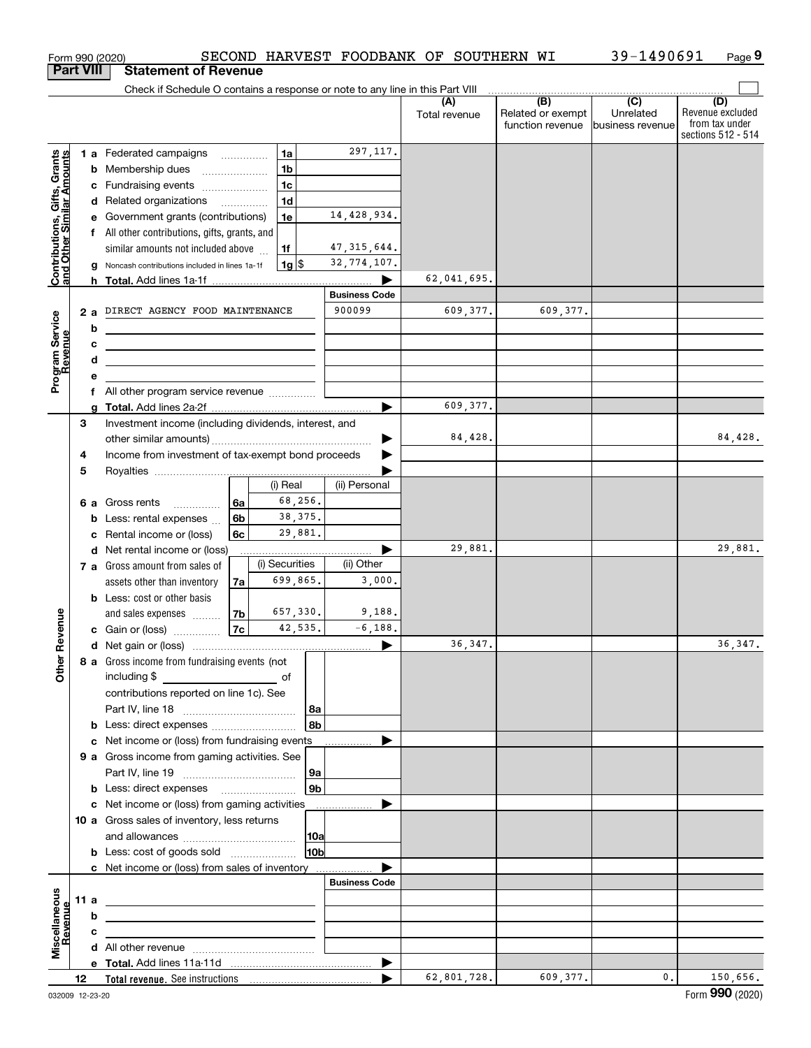|                                                           |                  |                                                    | Form 990 (2020)                                                                                                       |                                |          |                |                 |                       | SECOND HARVEST FOODBANK OF SOUTHERN WI |                                                                                                                                                                                                                                                                                                                                                                                                                                                                                    | 39-1490691                    | Page 9                                                          |
|-----------------------------------------------------------|------------------|----------------------------------------------------|-----------------------------------------------------------------------------------------------------------------------|--------------------------------|----------|----------------|-----------------|-----------------------|----------------------------------------|------------------------------------------------------------------------------------------------------------------------------------------------------------------------------------------------------------------------------------------------------------------------------------------------------------------------------------------------------------------------------------------------------------------------------------------------------------------------------------|-------------------------------|-----------------------------------------------------------------|
| <b>Part VIII</b>                                          |                  |                                                    | <b>Statement of Revenue</b>                                                                                           |                                |          |                |                 |                       |                                        |                                                                                                                                                                                                                                                                                                                                                                                                                                                                                    |                               |                                                                 |
|                                                           |                  |                                                    | Check if Schedule O contains a response or note to any line in this Part VIII                                         |                                |          |                |                 |                       |                                        | $\begin{array}{c c c c c} \hline \textbf{(B)} & \textbf{(C)} & \textbf{(D)} & \textbf{(E)} & \textbf{(E)} & \textbf{(E)} & \textbf{(E)} & \textbf{(E)} & \textbf{(E)} & \textbf{(E)} & \textbf{(E)} & \textbf{(E)} & \textbf{(E)} & \textbf{(E)} & \textbf{(E)} & \textbf{(E)} & \textbf{(E)} & \textbf{(E)} & \textbf{(E)} & \textbf{(E)} & \textbf{(E)} & \textbf{(E)} & \textbf{(E)} & \textbf{(E)} & \textbf{(E)} & \textbf{(E)} & \textbf{(E)} & \textbf{(E)} & \textbf{(E)}$ |                               |                                                                 |
|                                                           |                  |                                                    |                                                                                                                       |                                |          |                |                 |                       | (A)<br>Total revenue                   | Related or exempt<br>function revenue                                                                                                                                                                                                                                                                                                                                                                                                                                              | Unrelated<br>business revenue | (D)<br>Revenue excluded<br>from tax under<br>sections 512 - 514 |
|                                                           |                  |                                                    | 1 a Federated campaigns                                                                                               |                                |          | 1a             |                 | 297,117.              |                                        |                                                                                                                                                                                                                                                                                                                                                                                                                                                                                    |                               |                                                                 |
|                                                           |                  |                                                    | <b>b</b> Membership dues<br>$\overline{\phantom{a}}$                                                                  |                                |          | 1 <sub>b</sub> |                 |                       |                                        |                                                                                                                                                                                                                                                                                                                                                                                                                                                                                    |                               |                                                                 |
|                                                           |                  |                                                    | c Fundraising events                                                                                                  |                                |          | 1 <sub>c</sub> |                 |                       |                                        |                                                                                                                                                                                                                                                                                                                                                                                                                                                                                    |                               |                                                                 |
|                                                           |                  |                                                    | d Related organizations                                                                                               |                                |          | 1 <sub>d</sub> |                 |                       |                                        |                                                                                                                                                                                                                                                                                                                                                                                                                                                                                    |                               |                                                                 |
|                                                           |                  |                                                    | e Government grants (contributions)                                                                                   |                                |          | 1e             |                 | 14, 428, 934.         |                                        |                                                                                                                                                                                                                                                                                                                                                                                                                                                                                    |                               |                                                                 |
|                                                           |                  |                                                    | f All other contributions, gifts, grants, and                                                                         |                                |          |                |                 |                       |                                        |                                                                                                                                                                                                                                                                                                                                                                                                                                                                                    |                               |                                                                 |
|                                                           |                  |                                                    | similar amounts not included above                                                                                    |                                |          | 1f             |                 | 47, 315, 644.         |                                        |                                                                                                                                                                                                                                                                                                                                                                                                                                                                                    |                               |                                                                 |
| Contributions, Gifts, Grants<br>and Other Similar Amounts |                  | g                                                  | Noncash contributions included in lines 1a-1f                                                                         |                                |          | $1g$ \$        |                 | 32,774,107.           |                                        |                                                                                                                                                                                                                                                                                                                                                                                                                                                                                    |                               |                                                                 |
|                                                           |                  | h.                                                 |                                                                                                                       |                                |          |                |                 |                       | 62,041,695.                            |                                                                                                                                                                                                                                                                                                                                                                                                                                                                                    |                               |                                                                 |
|                                                           |                  | 2 a DIRECT AGENCY FOOD MAINTENANCE                 |                                                                                                                       | <b>Business Code</b><br>900099 | 609,377. | 609,377.       |                 |                       |                                        |                                                                                                                                                                                                                                                                                                                                                                                                                                                                                    |                               |                                                                 |
|                                                           |                  |                                                    |                                                                                                                       |                                |          |                |                 |                       |                                        |                                                                                                                                                                                                                                                                                                                                                                                                                                                                                    |                               |                                                                 |
|                                                           |                  | b<br>с                                             | <u> 1989 - Johann Barn, mars and de Branch Barn, mars and de Branch Barn, mars and de Branch Barn, mars and de Br</u> |                                |          |                |                 |                       |                                        |                                                                                                                                                                                                                                                                                                                                                                                                                                                                                    |                               |                                                                 |
| Program Service<br>Revenue                                |                  | d                                                  | <u> 1989 - Andrea Stadt Britain, amerikansk politiker (</u>                                                           |                                |          |                |                 |                       |                                        |                                                                                                                                                                                                                                                                                                                                                                                                                                                                                    |                               |                                                                 |
|                                                           |                  | е                                                  | <u> 1989 - Johann Stein, mars an de Frankrik (f. 1989)</u>                                                            |                                |          |                |                 |                       |                                        |                                                                                                                                                                                                                                                                                                                                                                                                                                                                                    |                               |                                                                 |
|                                                           |                  |                                                    | f All other program service revenue                                                                                   |                                |          |                |                 |                       |                                        |                                                                                                                                                                                                                                                                                                                                                                                                                                                                                    |                               |                                                                 |
|                                                           |                  | g                                                  |                                                                                                                       |                                |          |                |                 |                       | 609,377.                               |                                                                                                                                                                                                                                                                                                                                                                                                                                                                                    |                               |                                                                 |
|                                                           | 3                |                                                    | Investment income (including dividends, interest, and                                                                 |                                |          |                |                 |                       |                                        |                                                                                                                                                                                                                                                                                                                                                                                                                                                                                    |                               |                                                                 |
|                                                           |                  |                                                    |                                                                                                                       |                                |          |                |                 |                       | 84,428.                                |                                                                                                                                                                                                                                                                                                                                                                                                                                                                                    |                               | 84,428.                                                         |
|                                                           | 4                | Income from investment of tax-exempt bond proceeds |                                                                                                                       |                                |          |                |                 |                       |                                        |                                                                                                                                                                                                                                                                                                                                                                                                                                                                                    |                               |                                                                 |
|                                                           | 5                |                                                    |                                                                                                                       |                                |          |                |                 |                       |                                        |                                                                                                                                                                                                                                                                                                                                                                                                                                                                                    |                               |                                                                 |
|                                                           |                  |                                                    |                                                                                                                       |                                |          | (i) Real       |                 | (ii) Personal         |                                        |                                                                                                                                                                                                                                                                                                                                                                                                                                                                                    |                               |                                                                 |
|                                                           |                  |                                                    | 6 a Gross rents                                                                                                       | 6a                             |          | 68,256.        |                 |                       |                                        |                                                                                                                                                                                                                                                                                                                                                                                                                                                                                    |                               |                                                                 |
|                                                           |                  | b                                                  | Less: rental expenses                                                                                                 | 6b                             |          | 38, 375.       |                 |                       |                                        |                                                                                                                                                                                                                                                                                                                                                                                                                                                                                    |                               |                                                                 |
|                                                           |                  | c                                                  | Rental income or (loss)                                                                                               | 6с                             |          | 29,881.        |                 |                       |                                        |                                                                                                                                                                                                                                                                                                                                                                                                                                                                                    |                               |                                                                 |
|                                                           |                  |                                                    | d Net rental income or (loss)                                                                                         |                                |          |                |                 |                       | 29,881.                                |                                                                                                                                                                                                                                                                                                                                                                                                                                                                                    |                               | 29,881.                                                         |
|                                                           |                  |                                                    | 7 a Gross amount from sales of                                                                                        |                                |          | (i) Securities |                 | (ii) Other            |                                        |                                                                                                                                                                                                                                                                                                                                                                                                                                                                                    |                               |                                                                 |
|                                                           |                  |                                                    | assets other than inventory                                                                                           | 7a                             |          | 699,865.       |                 | 3,000.                |                                        |                                                                                                                                                                                                                                                                                                                                                                                                                                                                                    |                               |                                                                 |
|                                                           |                  |                                                    | <b>b</b> Less: cost or other basis                                                                                    | 7b                             |          | 657,330.       |                 | 9,188.                |                                        |                                                                                                                                                                                                                                                                                                                                                                                                                                                                                    |                               |                                                                 |
| evenue                                                    |                  |                                                    | and sales expenses<br>c Gain or (loss)                                                                                | 7c                             |          | 42,535.        |                 | $-6, 188.$            |                                        |                                                                                                                                                                                                                                                                                                                                                                                                                                                                                    |                               |                                                                 |
|                                                           |                  |                                                    |                                                                                                                       |                                |          |                |                 |                       | 36, 347.                               |                                                                                                                                                                                                                                                                                                                                                                                                                                                                                    |                               | 36, 347.                                                        |
| Œ                                                         |                  |                                                    | 8 a Gross income from fundraising events (not                                                                         |                                |          |                |                 |                       |                                        |                                                                                                                                                                                                                                                                                                                                                                                                                                                                                    |                               |                                                                 |
| Other                                                     |                  |                                                    | including \$<br><u>and the state of</u> the state of                                                                  |                                |          |                |                 |                       |                                        |                                                                                                                                                                                                                                                                                                                                                                                                                                                                                    |                               |                                                                 |
|                                                           |                  |                                                    | contributions reported on line 1c). See                                                                               |                                |          |                |                 |                       |                                        |                                                                                                                                                                                                                                                                                                                                                                                                                                                                                    |                               |                                                                 |
|                                                           |                  |                                                    |                                                                                                                       |                                |          |                | 8a              |                       |                                        |                                                                                                                                                                                                                                                                                                                                                                                                                                                                                    |                               |                                                                 |
|                                                           |                  |                                                    | b Less: direct expenses                                                                                               |                                |          |                | 8b              |                       |                                        |                                                                                                                                                                                                                                                                                                                                                                                                                                                                                    |                               |                                                                 |
|                                                           |                  |                                                    | c Net income or (loss) from fundraising events                                                                        |                                |          |                |                 |                       |                                        |                                                                                                                                                                                                                                                                                                                                                                                                                                                                                    |                               |                                                                 |
|                                                           |                  |                                                    | 9 a Gross income from gaming activities. See                                                                          |                                |          |                |                 |                       |                                        |                                                                                                                                                                                                                                                                                                                                                                                                                                                                                    |                               |                                                                 |
|                                                           |                  |                                                    |                                                                                                                       |                                |          |                | 9a              |                       |                                        |                                                                                                                                                                                                                                                                                                                                                                                                                                                                                    |                               |                                                                 |
|                                                           |                  |                                                    | <b>b</b> Less: direct expenses <b>manually</b>                                                                        |                                |          |                | 9 <sub>b</sub>  |                       |                                        |                                                                                                                                                                                                                                                                                                                                                                                                                                                                                    |                               |                                                                 |
|                                                           |                  |                                                    | c Net income or (loss) from gaming activities _______________                                                         |                                |          |                |                 |                       |                                        |                                                                                                                                                                                                                                                                                                                                                                                                                                                                                    |                               |                                                                 |
|                                                           |                  |                                                    | 10 a Gross sales of inventory, less returns                                                                           |                                |          |                |                 |                       |                                        |                                                                                                                                                                                                                                                                                                                                                                                                                                                                                    |                               |                                                                 |
|                                                           |                  |                                                    |                                                                                                                       |                                |          |                | 10a             |                       |                                        |                                                                                                                                                                                                                                                                                                                                                                                                                                                                                    |                               |                                                                 |
|                                                           |                  |                                                    | <b>b</b> Less: cost of goods sold                                                                                     |                                |          |                | 10 <sub>b</sub> |                       |                                        |                                                                                                                                                                                                                                                                                                                                                                                                                                                                                    |                               |                                                                 |
|                                                           |                  |                                                    | c Net income or (loss) from sales of inventory                                                                        |                                |          |                |                 |                       |                                        |                                                                                                                                                                                                                                                                                                                                                                                                                                                                                    |                               |                                                                 |
|                                                           |                  |                                                    |                                                                                                                       |                                |          |                |                 | <b>Business Code</b>  |                                        |                                                                                                                                                                                                                                                                                                                                                                                                                                                                                    |                               |                                                                 |
|                                                           | 11 a             |                                                    | <u> 1989 - Johann Barn, mars eta bainar eta baina eta baina eta baina eta baina eta baina eta baina eta baina e</u>   |                                |          |                |                 |                       |                                        |                                                                                                                                                                                                                                                                                                                                                                                                                                                                                    |                               |                                                                 |
|                                                           |                  | b<br>с                                             | the contract of the contract of the contract of the contract of the contract of                                       |                                |          |                |                 |                       |                                        |                                                                                                                                                                                                                                                                                                                                                                                                                                                                                    |                               |                                                                 |
| Miscellaneous                                             |                  |                                                    | the control of the control of the control of the control of the control of                                            |                                |          |                |                 |                       |                                        |                                                                                                                                                                                                                                                                                                                                                                                                                                                                                    |                               |                                                                 |
|                                                           |                  |                                                    |                                                                                                                       |                                |          |                |                 | $\blacktriangleright$ |                                        |                                                                                                                                                                                                                                                                                                                                                                                                                                                                                    |                               |                                                                 |
|                                                           | 12 <sup>12</sup> |                                                    |                                                                                                                       |                                |          |                |                 |                       | 62,801,728.                            | 609,377.                                                                                                                                                                                                                                                                                                                                                                                                                                                                           | 0.                            | 150,656.                                                        |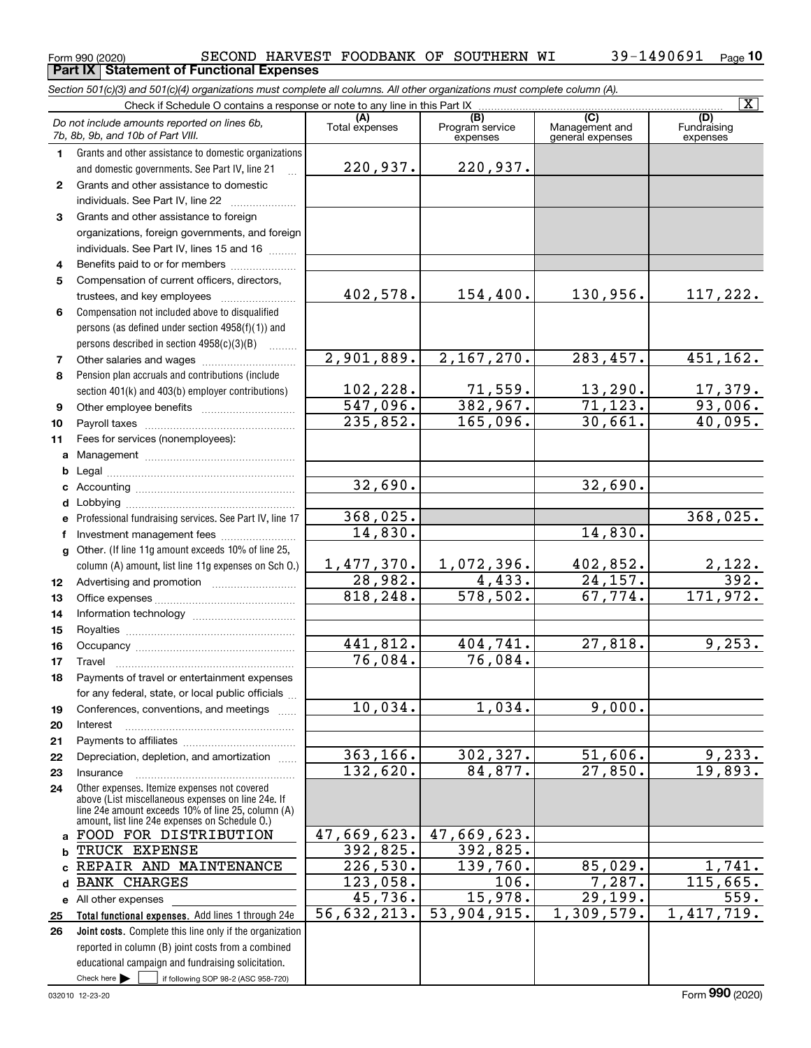## $_{\rm Form}$ 990 (2020) SECOND HARVEST FOODBANK OF SOUTHERN WI  $_{\rm 39-1490691}$   $_{\rm Page}$ **Part IX Statement of Functional Expenses**

*Section 501(c)(3) and 501(c)(4) organizations must complete all columns. All other organizations must complete column (A).*

|              | $\overline{\mathbf{x}}$                                                                                                                                                                                    |                       |                                    |                                           |                                |  |  |  |  |  |  |  |
|--------------|------------------------------------------------------------------------------------------------------------------------------------------------------------------------------------------------------------|-----------------------|------------------------------------|-------------------------------------------|--------------------------------|--|--|--|--|--|--|--|
|              | Do not include amounts reported on lines 6b,<br>7b, 8b, 9b, and 10b of Part VIII.                                                                                                                          | (A)<br>Total expenses | (B)<br>Program service<br>expenses | (C)<br>Management and<br>general expenses | (D)<br>Fundraising<br>expenses |  |  |  |  |  |  |  |
| 1.           | Grants and other assistance to domestic organizations                                                                                                                                                      |                       |                                    |                                           |                                |  |  |  |  |  |  |  |
|              | and domestic governments. See Part IV, line 21                                                                                                                                                             | 220,937.              | 220,937.                           |                                           |                                |  |  |  |  |  |  |  |
| $\mathbf{2}$ | Grants and other assistance to domestic                                                                                                                                                                    |                       |                                    |                                           |                                |  |  |  |  |  |  |  |
|              | individuals. See Part IV, line 22                                                                                                                                                                          |                       |                                    |                                           |                                |  |  |  |  |  |  |  |
| 3            | Grants and other assistance to foreign                                                                                                                                                                     |                       |                                    |                                           |                                |  |  |  |  |  |  |  |
|              | organizations, foreign governments, and foreign                                                                                                                                                            |                       |                                    |                                           |                                |  |  |  |  |  |  |  |
|              | individuals. See Part IV, lines 15 and 16                                                                                                                                                                  |                       |                                    |                                           |                                |  |  |  |  |  |  |  |
| 4            | Benefits paid to or for members                                                                                                                                                                            |                       |                                    |                                           |                                |  |  |  |  |  |  |  |
| 5            | Compensation of current officers, directors,                                                                                                                                                               |                       |                                    |                                           |                                |  |  |  |  |  |  |  |
|              | trustees, and key employees                                                                                                                                                                                | 402,578.              | 154,400.                           | 130,956.                                  | 117,222.                       |  |  |  |  |  |  |  |
| 6            | Compensation not included above to disqualified                                                                                                                                                            |                       |                                    |                                           |                                |  |  |  |  |  |  |  |
|              | persons (as defined under section 4958(f)(1)) and                                                                                                                                                          |                       |                                    |                                           |                                |  |  |  |  |  |  |  |
|              | persons described in section 4958(c)(3)(B)                                                                                                                                                                 |                       |                                    |                                           |                                |  |  |  |  |  |  |  |
| 7            | Other salaries and wages                                                                                                                                                                                   | 2,901,889.            | 2,167,270.                         | 283,457.                                  | 451, 162.                      |  |  |  |  |  |  |  |
| 8            | Pension plan accruals and contributions (include                                                                                                                                                           |                       |                                    |                                           |                                |  |  |  |  |  |  |  |
|              | section 401(k) and 403(b) employer contributions)                                                                                                                                                          | 102,228.              | 71,559.                            | 13,290.                                   | 17,379.                        |  |  |  |  |  |  |  |
| 9            |                                                                                                                                                                                                            | 547,096.              | 382,967.                           | 71, 123.                                  | 93,006.                        |  |  |  |  |  |  |  |
| 10           |                                                                                                                                                                                                            | 235,852.              | 165,096.                           | 30,661.                                   | 40,095.                        |  |  |  |  |  |  |  |
| 11           | Fees for services (nonemployees):                                                                                                                                                                          |                       |                                    |                                           |                                |  |  |  |  |  |  |  |
| a            |                                                                                                                                                                                                            |                       |                                    |                                           |                                |  |  |  |  |  |  |  |
| b            |                                                                                                                                                                                                            | 32,690.               |                                    | 32,690.                                   |                                |  |  |  |  |  |  |  |
| c            |                                                                                                                                                                                                            |                       |                                    |                                           |                                |  |  |  |  |  |  |  |
| d            |                                                                                                                                                                                                            | 368,025.              |                                    |                                           | 368,025.                       |  |  |  |  |  |  |  |
| e            | Professional fundraising services. See Part IV, line 17                                                                                                                                                    | 14,830.               |                                    | 14,830.                                   |                                |  |  |  |  |  |  |  |
| f            | Investment management fees<br>Other. (If line 11g amount exceeds 10% of line 25,                                                                                                                           |                       |                                    |                                           |                                |  |  |  |  |  |  |  |
| $\mathbf{q}$ | column (A) amount, list line 11g expenses on Sch O.)                                                                                                                                                       | 1,477,370.            | 1,072,396.                         | 402,852.                                  |                                |  |  |  |  |  |  |  |
| 12           |                                                                                                                                                                                                            | 28,982.               | 4,433.                             | 24, 157.                                  | $\frac{2,122}{392}$ .          |  |  |  |  |  |  |  |
| 13           |                                                                                                                                                                                                            | 818,248.              | $\overline{578,502}$ .             | 67,774.                                   | 171,972.                       |  |  |  |  |  |  |  |
| 14           |                                                                                                                                                                                                            |                       |                                    |                                           |                                |  |  |  |  |  |  |  |
| 15           |                                                                                                                                                                                                            |                       |                                    |                                           |                                |  |  |  |  |  |  |  |
| 16           |                                                                                                                                                                                                            | 441,812.              | 404,741.                           | 27,818.                                   | 9,253.                         |  |  |  |  |  |  |  |
| 17           | Travel                                                                                                                                                                                                     | 76,084.               | 76,084.                            |                                           |                                |  |  |  |  |  |  |  |
| 18           | Payments of travel or entertainment expenses                                                                                                                                                               |                       |                                    |                                           |                                |  |  |  |  |  |  |  |
|              | for any federal, state, or local public officials                                                                                                                                                          |                       |                                    |                                           |                                |  |  |  |  |  |  |  |
| 19           | Conferences, conventions, and meetings                                                                                                                                                                     | 10,034.               | 1,034.                             | 9,000.                                    |                                |  |  |  |  |  |  |  |
| 20           | Interest                                                                                                                                                                                                   |                       |                                    |                                           |                                |  |  |  |  |  |  |  |
| 21           |                                                                                                                                                                                                            |                       |                                    |                                           |                                |  |  |  |  |  |  |  |
| 22           | Depreciation, depletion, and amortization                                                                                                                                                                  | 363, 166.             | 302,327.                           | 51,606.                                   | 9,233.                         |  |  |  |  |  |  |  |
| 23           | Insurance                                                                                                                                                                                                  | 132,620.              | 84,877.                            | 27,850.                                   | 19,893.                        |  |  |  |  |  |  |  |
| 24           | Other expenses. Itemize expenses not covered<br>above (List miscellaneous expenses on line 24e. If<br>line 24e amount exceeds 10% of line 25, column (A)<br>amount, list line 24e expenses on Schedule 0.) |                       |                                    |                                           |                                |  |  |  |  |  |  |  |
| a            | FOOD FOR DISTRIBUTION                                                                                                                                                                                      | 47,669,623.           | 47,669,623.                        |                                           |                                |  |  |  |  |  |  |  |
| b            | TRUCK EXPENSE                                                                                                                                                                                              | 392,825.              | 392,825.                           |                                           |                                |  |  |  |  |  |  |  |
| c            | REPAIR AND MAINTENANCE                                                                                                                                                                                     | 226,530.              | 139,760.                           | 85,029.                                   | 1,741.                         |  |  |  |  |  |  |  |
| d            | <b>BANK CHARGES</b>                                                                                                                                                                                        | 123,058.              | $\overline{1}06$ .                 | 7,287.                                    | 115,665.                       |  |  |  |  |  |  |  |
|              | e All other expenses                                                                                                                                                                                       | 45,736.               | 15,978.                            | 29, 199.                                  | 559.                           |  |  |  |  |  |  |  |
| 25           | Total functional expenses. Add lines 1 through 24e                                                                                                                                                         | 56,632,213.           | 53,904,915.                        | 1,309,579.                                | 1,417,719.                     |  |  |  |  |  |  |  |
| 26           | Joint costs. Complete this line only if the organization                                                                                                                                                   |                       |                                    |                                           |                                |  |  |  |  |  |  |  |
|              | reported in column (B) joint costs from a combined                                                                                                                                                         |                       |                                    |                                           |                                |  |  |  |  |  |  |  |
|              | educational campaign and fundraising solicitation.                                                                                                                                                         |                       |                                    |                                           |                                |  |  |  |  |  |  |  |
|              | Check here $\blacktriangleright$<br>if following SOP 98-2 (ASC 958-720)                                                                                                                                    |                       |                                    |                                           |                                |  |  |  |  |  |  |  |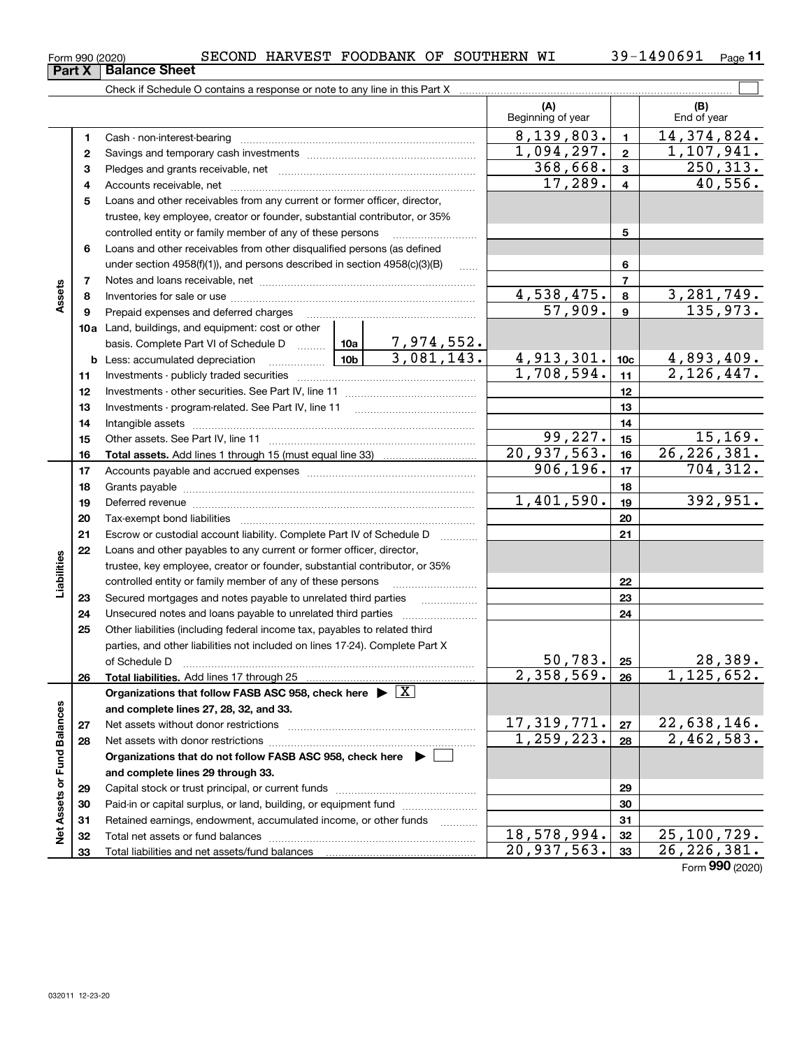| <b>Part X Balance Sheet</b>             |
|-----------------------------------------|
| Check if Schedule O contains a response |

|                             |    |                                                                                                                                                                                                                               |                                 |                 | (A)                             |                         | (B)                         |
|-----------------------------|----|-------------------------------------------------------------------------------------------------------------------------------------------------------------------------------------------------------------------------------|---------------------------------|-----------------|---------------------------------|-------------------------|-----------------------------|
|                             |    |                                                                                                                                                                                                                               |                                 |                 | Beginning of year               |                         | End of year                 |
|                             | 1  |                                                                                                                                                                                                                               |                                 |                 | 8,139,803.                      | $\mathbf{1}$            | 14, 374, 824.               |
|                             | 2  |                                                                                                                                                                                                                               |                                 |                 | 1,094,297.                      | $\mathbf{2}$            | 1,107,941.                  |
|                             | з  |                                                                                                                                                                                                                               |                                 |                 | 368,668.                        | 3                       | 250, 313.                   |
|                             | 4  |                                                                                                                                                                                                                               |                                 |                 | 17,289.                         | $\overline{\mathbf{4}}$ | 40,556.                     |
|                             | 5  | Loans and other receivables from any current or former officer, director,                                                                                                                                                     |                                 |                 |                                 |                         |                             |
|                             |    | trustee, key employee, creator or founder, substantial contributor, or 35%                                                                                                                                                    |                                 |                 |                                 |                         |                             |
|                             |    | controlled entity or family member of any of these persons                                                                                                                                                                    |                                 |                 |                                 | 5                       |                             |
|                             | 6  | Loans and other receivables from other disqualified persons (as defined                                                                                                                                                       |                                 |                 |                                 |                         |                             |
|                             |    | under section 4958(f)(1)), and persons described in section 4958(c)(3)(B)                                                                                                                                                     |                                 | 6               |                                 |                         |                             |
|                             | 7  |                                                                                                                                                                                                                               |                                 |                 | $\overline{7}$                  |                         |                             |
| Assets                      | 8  |                                                                                                                                                                                                                               |                                 |                 | 4,538,475.                      | 8                       | $\frac{3,281,749}{135,973}$ |
|                             | 9  | Prepaid expenses and deferred charges                                                                                                                                                                                         |                                 |                 | $\overline{57,909}$ .           | 9                       |                             |
|                             |    | 10a Land, buildings, and equipment: cost or other                                                                                                                                                                             |                                 |                 |                                 |                         |                             |
|                             |    | basis. Complete Part VI of Schedule D  10a 7, 974, 552.                                                                                                                                                                       |                                 |                 |                                 |                         |                             |
|                             |    | <b>b</b> Less: accumulated depreciation                                                                                                                                                                                       | $\frac{4,913,301.}{1,708,594.}$ | 10 <sub>c</sub> | $\frac{4,893,409.}{2,126,447.}$ |                         |                             |
|                             | 11 |                                                                                                                                                                                                                               |                                 | 11              |                                 |                         |                             |
|                             | 12 |                                                                                                                                                                                                                               |                                 | 12              |                                 |                         |                             |
|                             | 13 | Investments - program-related. See Part IV, line 11                                                                                                                                                                           |                                 | 13              |                                 |                         |                             |
|                             | 14 |                                                                                                                                                                                                                               |                                 | 14              |                                 |                         |                             |
|                             | 15 |                                                                                                                                                                                                                               | 99,227.                         | 15              | 15, 169.                        |                         |                             |
|                             | 16 |                                                                                                                                                                                                                               |                                 |                 | 20,937,563.                     | 16                      | 26, 226, 381.               |
|                             | 17 |                                                                                                                                                                                                                               | 906, 196.                       | 17              | 704, 312.                       |                         |                             |
|                             | 18 |                                                                                                                                                                                                                               |                                 | 18              |                                 |                         |                             |
|                             | 19 | Deferred revenue material contracts and contracts are contracted and contract and contract are contracted and contract are contracted and contract are contracted and contract are contracted and contract are contracted and | 1,401,590.                      | 19              | 392,951.                        |                         |                             |
|                             | 20 |                                                                                                                                                                                                                               |                                 |                 |                                 | 20                      |                             |
|                             | 21 | Escrow or custodial account liability. Complete Part IV of Schedule D                                                                                                                                                         |                                 | .               |                                 | 21                      |                             |
|                             | 22 | Loans and other payables to any current or former officer, director,                                                                                                                                                          |                                 |                 |                                 |                         |                             |
|                             |    | trustee, key employee, creator or founder, substantial contributor, or 35%                                                                                                                                                    |                                 |                 |                                 |                         |                             |
| Liabilities                 |    | controlled entity or family member of any of these persons                                                                                                                                                                    |                                 |                 |                                 | 22                      |                             |
|                             | 23 | Secured mortgages and notes payable to unrelated third parties                                                                                                                                                                |                                 |                 |                                 | 23                      |                             |
|                             | 24 |                                                                                                                                                                                                                               |                                 |                 |                                 | 24                      |                             |
|                             | 25 | Other liabilities (including federal income tax, payables to related third                                                                                                                                                    |                                 |                 |                                 |                         |                             |
|                             |    | parties, and other liabilities not included on lines 17-24). Complete Part X                                                                                                                                                  |                                 |                 | 50,783.                         |                         | 28,389.                     |
|                             |    | of Schedule D                                                                                                                                                                                                                 |                                 |                 | 2,358,569.                      | 25                      | 1,125,652.                  |
|                             | 26 | Total liabilities. Add lines 17 through 25<br>Organizations that follow FASB ASC 958, check here $\blacktriangleright \boxed{X}$                                                                                              |                                 |                 |                                 | 26                      |                             |
|                             |    |                                                                                                                                                                                                                               |                                 |                 |                                 |                         |                             |
|                             | 27 | and complete lines 27, 28, 32, and 33.<br>Net assets without donor restrictions                                                                                                                                               |                                 |                 | 17, 319, 771.                   | 27                      | 22,638,146.                 |
|                             | 28 |                                                                                                                                                                                                                               |                                 |                 | $\overline{1,259,223}$ .        | 28                      | 2,462,583.                  |
|                             |    | Organizations that do not follow FASB ASC 958, check here $\blacktriangleright$                                                                                                                                               |                                 |                 |                                 |                         |                             |
|                             |    | and complete lines 29 through 33.                                                                                                                                                                                             |                                 |                 |                                 |                         |                             |
|                             | 29 |                                                                                                                                                                                                                               |                                 |                 |                                 | 29                      |                             |
|                             | 30 | Paid-in or capital surplus, or land, building, or equipment fund                                                                                                                                                              |                                 |                 |                                 | 30                      |                             |
|                             | 31 | Retained earnings, endowment, accumulated income, or other funds                                                                                                                                                              |                                 | .               |                                 | 31                      |                             |
| Net Assets or Fund Balances | 32 |                                                                                                                                                                                                                               |                                 |                 | 18,578,994.                     | 32                      | 25,100,729.                 |
|                             | 33 |                                                                                                                                                                                                                               |                                 |                 | 20,937,563.                     | 33                      | 26, 226, 381.               |

Form (2020) **990**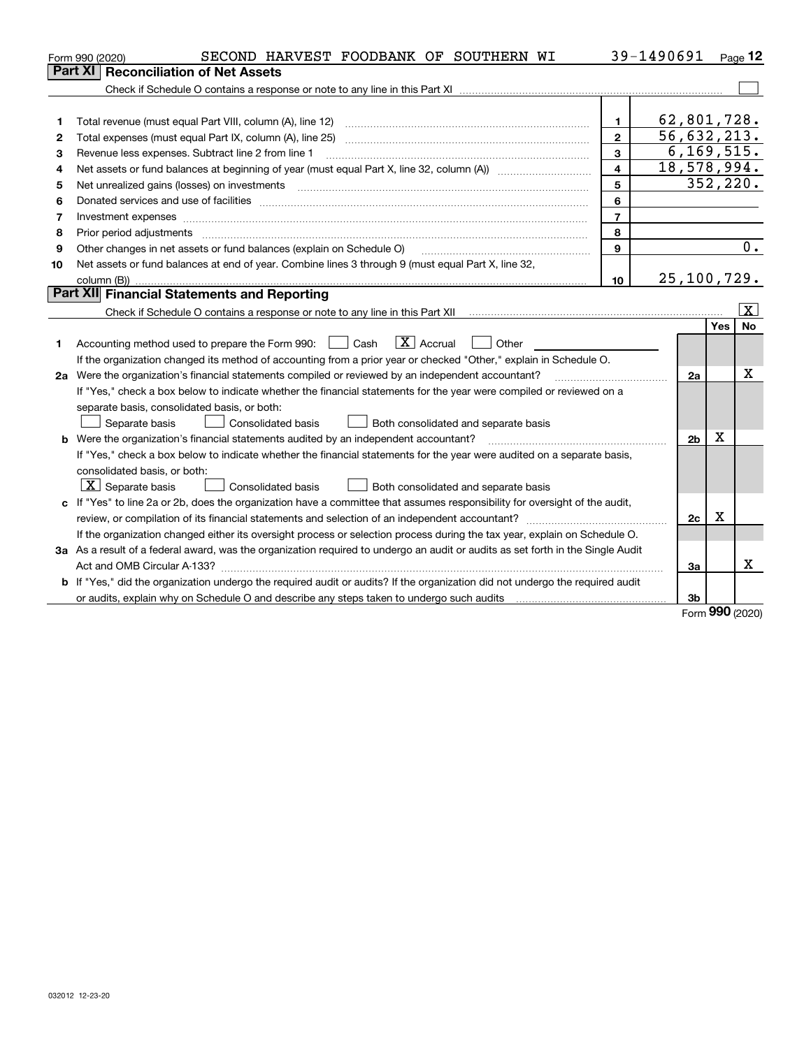|    | SECOND HARVEST FOODBANK OF SOUTHERN WI<br>Form 990 (2020)                                                                                                           |                | 39-1490691     |     | Page $12$          |  |
|----|---------------------------------------------------------------------------------------------------------------------------------------------------------------------|----------------|----------------|-----|--------------------|--|
|    | <b>Reconciliation of Net Assets</b><br><b>Part XI</b>                                                                                                               |                |                |     |                    |  |
|    |                                                                                                                                                                     |                |                |     |                    |  |
|    |                                                                                                                                                                     |                |                |     |                    |  |
| 1  | Total revenue (must equal Part VIII, column (A), line 12)                                                                                                           | $\mathbf{1}$   | 62,801,728.    |     |                    |  |
| 2  |                                                                                                                                                                     | $\overline{2}$ | 56,632,213.    |     |                    |  |
| 3  | Revenue less expenses. Subtract line 2 from line 1                                                                                                                  | 3              | 6, 169, 515.   |     |                    |  |
| 4  |                                                                                                                                                                     | 4              | 18,578,994.    |     |                    |  |
| 5  | Net unrealized gains (losses) on investments                                                                                                                        | 5              |                |     | 352, 220.          |  |
| 6  |                                                                                                                                                                     | 6              |                |     |                    |  |
| 7  | Investment expenses www.communication.com/www.communication.com/www.communication.com/www.com                                                                       | $\overline{7}$ |                |     |                    |  |
| 8  | Prior period adjustments                                                                                                                                            | 8              |                |     |                    |  |
| 9  | Other changes in net assets or fund balances (explain on Schedule O)                                                                                                | 9              |                |     | 0.                 |  |
| 10 | Net assets or fund balances at end of year. Combine lines 3 through 9 (must equal Part X, line 32,                                                                  |                |                |     |                    |  |
|    |                                                                                                                                                                     | 10             | 25,100,729.    |     |                    |  |
|    | Part XII Financial Statements and Reporting                                                                                                                         |                |                |     |                    |  |
|    | Check if Schedule O contains a response or note to any line in this Part XII [11] [12] Check if Schedule O contains a response or note to any line in this Part XII |                |                |     | $\boxed{\text{X}}$ |  |
|    |                                                                                                                                                                     |                |                | Yes | No                 |  |
| 1  | $\boxed{\mathbf{X}}$ Accrual<br>Accounting method used to prepare the Form 990: <u>II</u> Cash<br>Other                                                             |                |                |     |                    |  |
|    | If the organization changed its method of accounting from a prior year or checked "Other," explain in Schedule O.                                                   |                |                |     |                    |  |
|    | 2a Were the organization's financial statements compiled or reviewed by an independent accountant?                                                                  |                | 2a             |     | x                  |  |
|    | If "Yes," check a box below to indicate whether the financial statements for the year were compiled or reviewed on a                                                |                |                |     |                    |  |
|    | separate basis, consolidated basis, or both:                                                                                                                        |                |                |     |                    |  |
|    | Separate basis<br>Consolidated basis<br>Both consolidated and separate basis                                                                                        |                |                |     |                    |  |
|    | <b>b</b> Were the organization's financial statements audited by an independent accountant?                                                                         |                | 2 <sub>b</sub> | х   |                    |  |
|    | If "Yes," check a box below to indicate whether the financial statements for the year were audited on a separate basis,                                             |                |                |     |                    |  |
|    | consolidated basis, or both:                                                                                                                                        |                |                |     |                    |  |
|    | $X$ Separate basis<br><b>Consolidated basis</b><br>Both consolidated and separate basis                                                                             |                |                |     |                    |  |
|    | c If "Yes" to line 2a or 2b, does the organization have a committee that assumes responsibility for oversight of the audit,                                         |                |                | x   |                    |  |
|    |                                                                                                                                                                     |                |                |     |                    |  |
|    | If the organization changed either its oversight process or selection process during the tax year, explain on Schedule O.                                           |                |                |     |                    |  |
|    | 3a As a result of a federal award, was the organization required to undergo an audit or audits as set forth in the Single Audit                                     |                |                |     |                    |  |
|    |                                                                                                                                                                     |                | За             |     | x                  |  |
|    | b If "Yes," did the organization undergo the required audit or audits? If the organization did not undergo the required audit                                       |                |                |     |                    |  |
|    | or audits, explain why on Schedule O and describe any steps taken to undergo such audits                                                                            |                | 3b             |     |                    |  |

Form (2020) **990**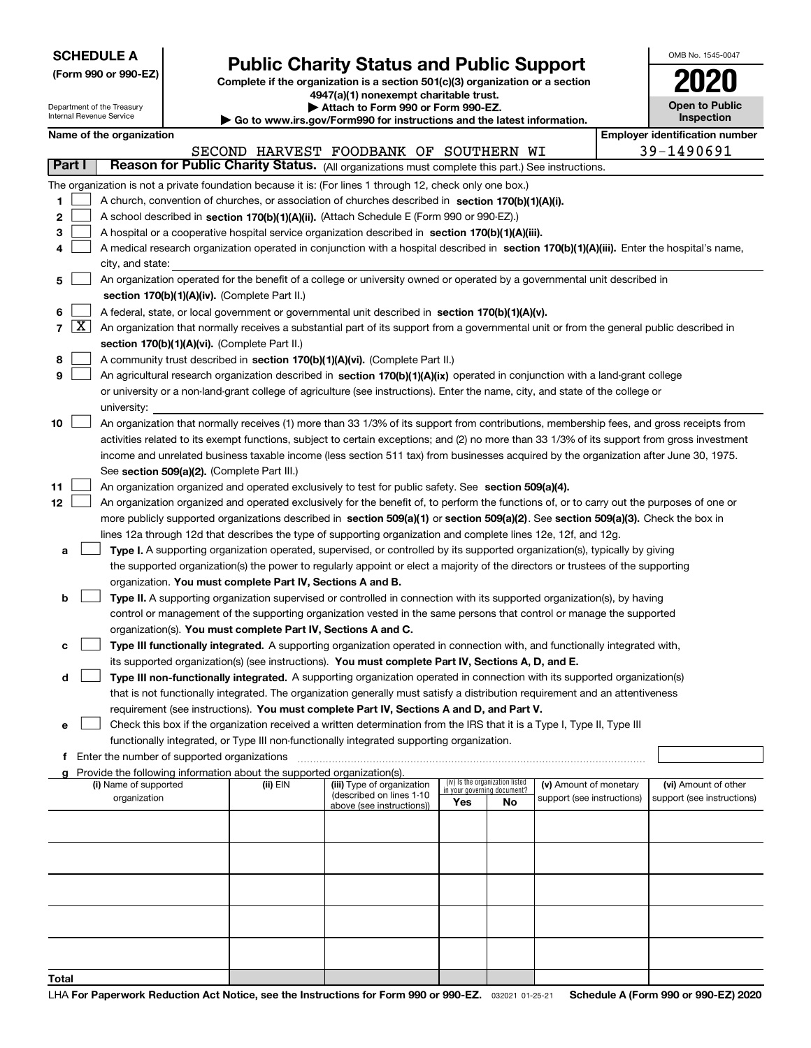|  | <b>SCHEDULE A</b> |
|--|-------------------|
|--|-------------------|

Department of the Treasury

**(Form 990 or 990-EZ)**

## **Public Charity Status and Public Support**

**Complete if the organization is a section 501(c)(3) organization or a section 4947(a)(1) nonexempt charitable trust. | Attach to Form 990 or Form 990-EZ.** 

|  | $\blacktriangleright$ Allach to Form 330 or Form 330-LZ.       |  |
|--|----------------------------------------------------------------|--|
|  | uuw ire aov/Eorm000 for inetructions and the latest informatio |  |

| OMB No 1545-0047                    |
|-------------------------------------|
| 2020                                |
| <b>Open to Public</b><br>Inspection |

٦

|                |                     | Internal Revenue Service |                                               |                                                                                                  | $\blacktriangleright$ Go to www.irs.gov/Form990 for instructions and the latest information.                                                                                                                             |                                    |                                 |                            |  |  | <b>Inspection</b>                     |  |  |
|----------------|---------------------|--------------------------|-----------------------------------------------|--------------------------------------------------------------------------------------------------|--------------------------------------------------------------------------------------------------------------------------------------------------------------------------------------------------------------------------|------------------------------------|---------------------------------|----------------------------|--|--|---------------------------------------|--|--|
|                |                     | Name of the organization |                                               |                                                                                                  |                                                                                                                                                                                                                          |                                    |                                 |                            |  |  | <b>Employer identification number</b> |  |  |
|                |                     |                          |                                               |                                                                                                  | SECOND HARVEST FOODBANK OF SOUTHERN WI                                                                                                                                                                                   |                                    |                                 |                            |  |  | 39-1490691                            |  |  |
|                | Part I              |                          |                                               |                                                                                                  | Reason for Public Charity Status. (All organizations must complete this part.) See instructions.                                                                                                                         |                                    |                                 |                            |  |  |                                       |  |  |
|                |                     |                          |                                               |                                                                                                  | The organization is not a private foundation because it is: (For lines 1 through 12, check only one box.)                                                                                                                |                                    |                                 |                            |  |  |                                       |  |  |
| 1.             |                     |                          |                                               |                                                                                                  | A church, convention of churches, or association of churches described in section 170(b)(1)(A)(i).                                                                                                                       |                                    |                                 |                            |  |  |                                       |  |  |
| 2              |                     |                          |                                               |                                                                                                  | A school described in section 170(b)(1)(A)(ii). (Attach Schedule E (Form 990 or 990-EZ).)                                                                                                                                |                                    |                                 |                            |  |  |                                       |  |  |
| 3              |                     |                          |                                               |                                                                                                  | A hospital or a cooperative hospital service organization described in section 170(b)(1)(A)(iii).                                                                                                                        |                                    |                                 |                            |  |  |                                       |  |  |
| 4              |                     |                          |                                               |                                                                                                  | A medical research organization operated in conjunction with a hospital described in section 170(b)(1)(A)(iii). Enter the hospital's name,                                                                               |                                    |                                 |                            |  |  |                                       |  |  |
|                |                     | city, and state:         |                                               |                                                                                                  |                                                                                                                                                                                                                          |                                    |                                 |                            |  |  |                                       |  |  |
| 5.             |                     |                          |                                               |                                                                                                  | An organization operated for the benefit of a college or university owned or operated by a governmental unit described in                                                                                                |                                    |                                 |                            |  |  |                                       |  |  |
|                |                     |                          |                                               | section 170(b)(1)(A)(iv). (Complete Part II.)                                                    |                                                                                                                                                                                                                          |                                    |                                 |                            |  |  |                                       |  |  |
| 6              |                     |                          |                                               | A federal, state, or local government or governmental unit described in section 170(b)(1)(A)(v). |                                                                                                                                                                                                                          |                                    |                                 |                            |  |  |                                       |  |  |
| $\overline{7}$ | $\lfloor x \rfloor$ |                          |                                               |                                                                                                  | An organization that normally receives a substantial part of its support from a governmental unit or from the general public described in                                                                                |                                    |                                 |                            |  |  |                                       |  |  |
|                |                     |                          |                                               | section 170(b)(1)(A)(vi). (Complete Part II.)                                                    |                                                                                                                                                                                                                          |                                    |                                 |                            |  |  |                                       |  |  |
| 8              |                     |                          |                                               |                                                                                                  | A community trust described in section 170(b)(1)(A)(vi). (Complete Part II.)                                                                                                                                             |                                    |                                 |                            |  |  |                                       |  |  |
| 9              |                     |                          |                                               |                                                                                                  | An agricultural research organization described in section 170(b)(1)(A)(ix) operated in conjunction with a land-grant college                                                                                            |                                    |                                 |                            |  |  |                                       |  |  |
|                |                     |                          |                                               |                                                                                                  | or university or a non-land-grant college of agriculture (see instructions). Enter the name, city, and state of the college or                                                                                           |                                    |                                 |                            |  |  |                                       |  |  |
|                |                     | university:              |                                               |                                                                                                  |                                                                                                                                                                                                                          |                                    |                                 |                            |  |  |                                       |  |  |
| 10             |                     |                          |                                               |                                                                                                  | An organization that normally receives (1) more than 33 1/3% of its support from contributions, membership fees, and gross receipts from                                                                                 |                                    |                                 |                            |  |  |                                       |  |  |
|                |                     |                          |                                               |                                                                                                  | activities related to its exempt functions, subject to certain exceptions; and (2) no more than 33 1/3% of its support from gross investment                                                                             |                                    |                                 |                            |  |  |                                       |  |  |
|                |                     |                          |                                               |                                                                                                  | income and unrelated business taxable income (less section 511 tax) from businesses acquired by the organization after June 30, 1975.                                                                                    |                                    |                                 |                            |  |  |                                       |  |  |
|                |                     |                          |                                               | See section 509(a)(2). (Complete Part III.)                                                      |                                                                                                                                                                                                                          |                                    |                                 |                            |  |  |                                       |  |  |
| 11             |                     |                          |                                               |                                                                                                  | An organization organized and operated exclusively to test for public safety. See section 509(a)(4).                                                                                                                     |                                    |                                 |                            |  |  |                                       |  |  |
| 12             |                     |                          |                                               |                                                                                                  | An organization organized and operated exclusively for the benefit of, to perform the functions of, or to carry out the purposes of one or                                                                               |                                    |                                 |                            |  |  |                                       |  |  |
|                |                     |                          |                                               |                                                                                                  | more publicly supported organizations described in section 509(a)(1) or section 509(a)(2). See section 509(a)(3). Check the box in                                                                                       |                                    |                                 |                            |  |  |                                       |  |  |
|                |                     |                          |                                               |                                                                                                  | lines 12a through 12d that describes the type of supporting organization and complete lines 12e, 12f, and 12g.                                                                                                           |                                    |                                 |                            |  |  |                                       |  |  |
| а              |                     |                          |                                               |                                                                                                  | Type I. A supporting organization operated, supervised, or controlled by its supported organization(s), typically by giving                                                                                              |                                    |                                 |                            |  |  |                                       |  |  |
|                |                     |                          |                                               |                                                                                                  | the supported organization(s) the power to regularly appoint or elect a majority of the directors or trustees of the supporting                                                                                          |                                    |                                 |                            |  |  |                                       |  |  |
|                |                     |                          |                                               | organization. You must complete Part IV, Sections A and B.                                       |                                                                                                                                                                                                                          |                                    |                                 |                            |  |  |                                       |  |  |
| b              |                     |                          |                                               |                                                                                                  | Type II. A supporting organization supervised or controlled in connection with its supported organization(s), by having                                                                                                  |                                    |                                 |                            |  |  |                                       |  |  |
|                |                     |                          |                                               |                                                                                                  | control or management of the supporting organization vested in the same persons that control or manage the supported                                                                                                     |                                    |                                 |                            |  |  |                                       |  |  |
|                |                     |                          |                                               | organization(s). You must complete Part IV, Sections A and C.                                    |                                                                                                                                                                                                                          |                                    |                                 |                            |  |  |                                       |  |  |
|                |                     |                          |                                               |                                                                                                  | Type III functionally integrated. A supporting organization operated in connection with, and functionally integrated with,                                                                                               |                                    |                                 |                            |  |  |                                       |  |  |
| с              |                     |                          |                                               |                                                                                                  | its supported organization(s) (see instructions). You must complete Part IV, Sections A, D, and E.                                                                                                                       |                                    |                                 |                            |  |  |                                       |  |  |
|                |                     |                          |                                               |                                                                                                  | Type III non-functionally integrated. A supporting organization operated in connection with its supported organization(s)                                                                                                |                                    |                                 |                            |  |  |                                       |  |  |
| d              |                     |                          |                                               |                                                                                                  |                                                                                                                                                                                                                          |                                    |                                 |                            |  |  |                                       |  |  |
|                |                     |                          |                                               |                                                                                                  | that is not functionally integrated. The organization generally must satisfy a distribution requirement and an attentiveness<br>requirement (see instructions). You must complete Part IV, Sections A and D, and Part V. |                                    |                                 |                            |  |  |                                       |  |  |
|                |                     |                          |                                               |                                                                                                  |                                                                                                                                                                                                                          |                                    |                                 |                            |  |  |                                       |  |  |
| е              |                     |                          |                                               |                                                                                                  | Check this box if the organization received a written determination from the IRS that it is a Type I, Type II, Type III<br>functionally integrated, or Type III non-functionally integrated supporting organization.     |                                    |                                 |                            |  |  |                                       |  |  |
|                |                     |                          | f Enter the number of supported organizations |                                                                                                  |                                                                                                                                                                                                                          |                                    |                                 |                            |  |  |                                       |  |  |
|                |                     |                          |                                               | Provide the following information about the supported organization(s).                           |                                                                                                                                                                                                                          |                                    |                                 |                            |  |  |                                       |  |  |
|                |                     | (i) Name of supported    |                                               | (ii) EIN                                                                                         | (iii) Type of organization                                                                                                                                                                                               |                                    | (iv) Is the organization listed | (v) Amount of monetary     |  |  | (vi) Amount of other                  |  |  |
|                |                     | organization             |                                               |                                                                                                  | (described on lines 1-10                                                                                                                                                                                                 | in your governing document?<br>Yes | No                              | support (see instructions) |  |  | support (see instructions)            |  |  |
|                |                     |                          |                                               |                                                                                                  | above (see instructions))                                                                                                                                                                                                |                                    |                                 |                            |  |  |                                       |  |  |
|                |                     |                          |                                               |                                                                                                  |                                                                                                                                                                                                                          |                                    |                                 |                            |  |  |                                       |  |  |
|                |                     |                          |                                               |                                                                                                  |                                                                                                                                                                                                                          |                                    |                                 |                            |  |  |                                       |  |  |
|                |                     |                          |                                               |                                                                                                  |                                                                                                                                                                                                                          |                                    |                                 |                            |  |  |                                       |  |  |
|                |                     |                          |                                               |                                                                                                  |                                                                                                                                                                                                                          |                                    |                                 |                            |  |  |                                       |  |  |
|                |                     |                          |                                               |                                                                                                  |                                                                                                                                                                                                                          |                                    |                                 |                            |  |  |                                       |  |  |
|                |                     |                          |                                               |                                                                                                  |                                                                                                                                                                                                                          |                                    |                                 |                            |  |  |                                       |  |  |
|                |                     |                          |                                               |                                                                                                  |                                                                                                                                                                                                                          |                                    |                                 |                            |  |  |                                       |  |  |
|                |                     |                          |                                               |                                                                                                  |                                                                                                                                                                                                                          |                                    |                                 |                            |  |  |                                       |  |  |
|                |                     |                          |                                               |                                                                                                  |                                                                                                                                                                                                                          |                                    |                                 |                            |  |  |                                       |  |  |
|                |                     |                          |                                               |                                                                                                  |                                                                                                                                                                                                                          |                                    |                                 |                            |  |  |                                       |  |  |
| Total          |                     |                          |                                               |                                                                                                  |                                                                                                                                                                                                                          |                                    |                                 |                            |  |  |                                       |  |  |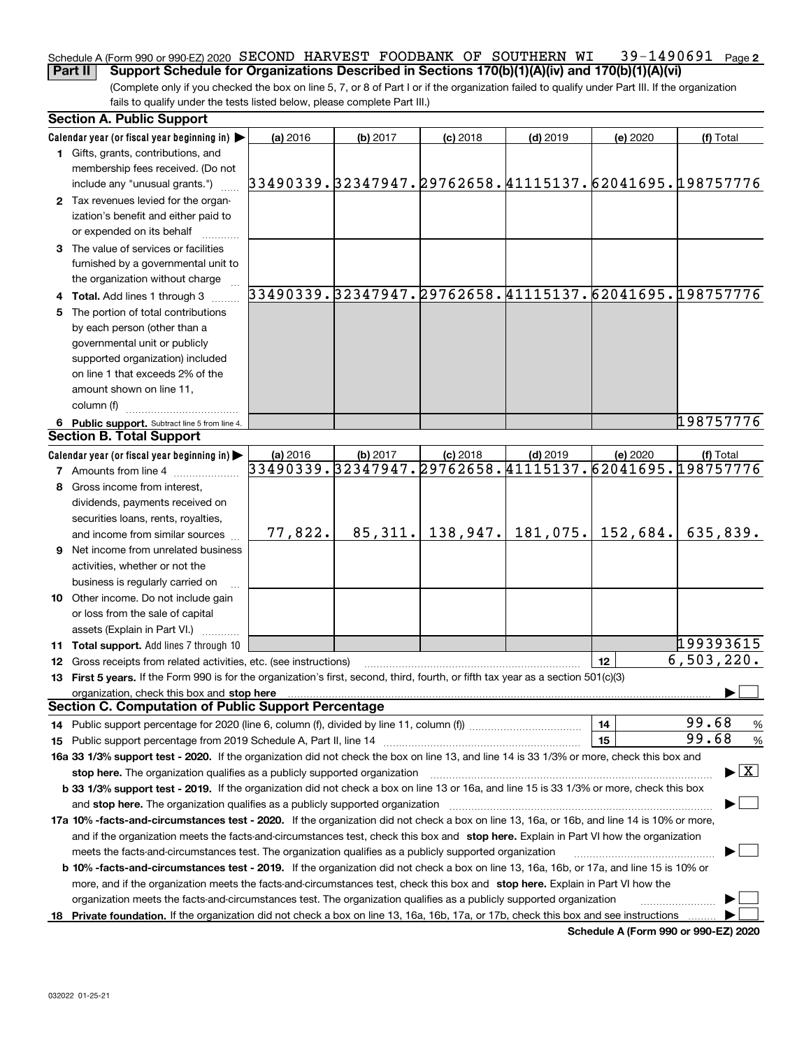#### **2** Schedule A (Form 990 or 990-EZ) 2020  $\,$  SECOND  $\,$  HARVEST  $\,$  FOODBANK  $\,$  OF  $\,$  SOUTHERN  $\,$  WI  $\,$   $\,$   $\,$  39 $-1490691$   $\,$   $\,$  Page **Part II Support Schedule for Organizations Described in Sections 170(b)(1)(A)(iv) and 170(b)(1)(A)(vi)**

(Complete only if you checked the box on line 5, 7, or 8 of Part I or if the organization failed to qualify under Part III. If the organization fails to qualify under the tests listed below, please complete Part III.)

|    | <b>Section A. Public Support</b>                                                                                                               |                                                             |          |            |            |          |                                          |  |  |  |
|----|------------------------------------------------------------------------------------------------------------------------------------------------|-------------------------------------------------------------|----------|------------|------------|----------|------------------------------------------|--|--|--|
|    | Calendar year (or fiscal year beginning in) $\blacktriangleright$                                                                              | (a) 2016                                                    | (b) 2017 | $(c)$ 2018 | $(d)$ 2019 | (e) 2020 | (f) Total                                |  |  |  |
|    | 1 Gifts, grants, contributions, and                                                                                                            |                                                             |          |            |            |          |                                          |  |  |  |
|    | membership fees received. (Do not                                                                                                              |                                                             |          |            |            |          |                                          |  |  |  |
|    | include any "unusual grants.")                                                                                                                 | 33490339. 32347947. 29762658. 41115137. 62041695. 198757776 |          |            |            |          |                                          |  |  |  |
|    | 2 Tax revenues levied for the organ-                                                                                                           |                                                             |          |            |            |          |                                          |  |  |  |
|    | ization's benefit and either paid to                                                                                                           |                                                             |          |            |            |          |                                          |  |  |  |
|    | or expended on its behalf                                                                                                                      |                                                             |          |            |            |          |                                          |  |  |  |
|    | 3 The value of services or facilities                                                                                                          |                                                             |          |            |            |          |                                          |  |  |  |
|    | furnished by a governmental unit to                                                                                                            |                                                             |          |            |            |          |                                          |  |  |  |
|    | the organization without charge                                                                                                                |                                                             |          |            |            |          |                                          |  |  |  |
|    | 4 Total. Add lines 1 through 3                                                                                                                 | 33490339.32347947.29762658.41115137.62041695.198757776      |          |            |            |          |                                          |  |  |  |
| 5. | The portion of total contributions                                                                                                             |                                                             |          |            |            |          |                                          |  |  |  |
|    | by each person (other than a                                                                                                                   |                                                             |          |            |            |          |                                          |  |  |  |
|    | governmental unit or publicly                                                                                                                  |                                                             |          |            |            |          |                                          |  |  |  |
|    | supported organization) included                                                                                                               |                                                             |          |            |            |          |                                          |  |  |  |
|    | on line 1 that exceeds 2% of the                                                                                                               |                                                             |          |            |            |          |                                          |  |  |  |
|    | amount shown on line 11,                                                                                                                       |                                                             |          |            |            |          |                                          |  |  |  |
|    | column (f)                                                                                                                                     |                                                             |          |            |            |          |                                          |  |  |  |
|    | 6 Public support. Subtract line 5 from line 4.                                                                                                 |                                                             |          |            |            |          | 198757776                                |  |  |  |
|    | <b>Section B. Total Support</b>                                                                                                                |                                                             |          |            |            |          |                                          |  |  |  |
|    | Calendar year (or fiscal year beginning in)                                                                                                    | (a) 2016                                                    | (b) 2017 | $(c)$ 2018 | $(d)$ 2019 | (e) 2020 | (f) Total                                |  |  |  |
|    | <b>7</b> Amounts from line 4                                                                                                                   | 33490339.32347947.29762658.41115137.62041695.198757776      |          |            |            |          |                                          |  |  |  |
|    | 8 Gross income from interest,                                                                                                                  |                                                             |          |            |            |          |                                          |  |  |  |
|    | dividends, payments received on                                                                                                                |                                                             |          |            |            |          |                                          |  |  |  |
|    | securities loans, rents, royalties,                                                                                                            |                                                             |          |            |            |          |                                          |  |  |  |
|    | and income from similar sources                                                                                                                | 77,822.                                                     | 85,311.  | 138,947.   | 181,075.   | 152,684. | 635,839.                                 |  |  |  |
|    |                                                                                                                                                |                                                             |          |            |            |          |                                          |  |  |  |
|    | 9 Net income from unrelated business                                                                                                           |                                                             |          |            |            |          |                                          |  |  |  |
|    | activities, whether or not the                                                                                                                 |                                                             |          |            |            |          |                                          |  |  |  |
|    | business is regularly carried on                                                                                                               |                                                             |          |            |            |          |                                          |  |  |  |
|    | 10 Other income. Do not include gain                                                                                                           |                                                             |          |            |            |          |                                          |  |  |  |
|    | or loss from the sale of capital                                                                                                               |                                                             |          |            |            |          |                                          |  |  |  |
|    | assets (Explain in Part VI.) <b>Constant</b>                                                                                                   |                                                             |          |            |            |          | 199393615                                |  |  |  |
|    | 11 Total support. Add lines 7 through 10                                                                                                       |                                                             |          |            |            |          | 6,503,220.                               |  |  |  |
|    | <b>12</b> Gross receipts from related activities, etc. (see instructions)                                                                      |                                                             |          |            |            | 12       |                                          |  |  |  |
|    | 13 First 5 years. If the Form 990 is for the organization's first, second, third, fourth, or fifth tax year as a section 501(c)(3)             |                                                             |          |            |            |          |                                          |  |  |  |
|    | organization, check this box and stop here<br><b>Section C. Computation of Public Support Percentage</b>                                       |                                                             |          |            |            |          |                                          |  |  |  |
|    |                                                                                                                                                |                                                             |          |            |            |          | 99.68                                    |  |  |  |
|    | 14 Public support percentage for 2020 (line 6, column (f), divided by line 11, column (f) <i>mummumumum</i>                                    |                                                             |          |            |            | 14       | %<br>99.68                               |  |  |  |
|    |                                                                                                                                                |                                                             |          |            |            | 15       | %                                        |  |  |  |
|    | 16a 33 1/3% support test - 2020. If the organization did not check the box on line 13, and line 14 is 33 1/3% or more, check this box and      |                                                             |          |            |            |          | $\blacktriangleright$ $\boxed{\text{X}}$ |  |  |  |
|    | stop here. The organization qualifies as a publicly supported organization                                                                     |                                                             |          |            |            |          |                                          |  |  |  |
|    | b 33 1/3% support test - 2019. If the organization did not check a box on line 13 or 16a, and line 15 is 33 1/3% or more, check this box       |                                                             |          |            |            |          |                                          |  |  |  |
|    | and stop here. The organization qualifies as a publicly supported organization                                                                 |                                                             |          |            |            |          |                                          |  |  |  |
|    | 17a 10% -facts-and-circumstances test - 2020. If the organization did not check a box on line 13, 16a, or 16b, and line 14 is 10% or more,     |                                                             |          |            |            |          |                                          |  |  |  |
|    | and if the organization meets the facts-and-circumstances test, check this box and stop here. Explain in Part VI how the organization          |                                                             |          |            |            |          |                                          |  |  |  |
|    | meets the facts-and-circumstances test. The organization qualifies as a publicly supported organization                                        |                                                             |          |            |            |          |                                          |  |  |  |
|    | <b>b 10% -facts-and-circumstances test - 2019.</b> If the organization did not check a box on line 13, 16a, 16b, or 17a, and line 15 is 10% or |                                                             |          |            |            |          |                                          |  |  |  |
|    | more, and if the organization meets the facts-and-circumstances test, check this box and stop here. Explain in Part VI how the                 |                                                             |          |            |            |          |                                          |  |  |  |
|    | organization meets the facts-and-circumstances test. The organization qualifies as a publicly supported organization                           |                                                             |          |            |            |          |                                          |  |  |  |
|    | 18 Private foundation. If the organization did not check a box on line 13, 16a, 16b, 17a, or 17b, check this box and see instructions          |                                                             |          |            |            |          |                                          |  |  |  |

**Schedule A (Form 990 or 990-EZ) 2020**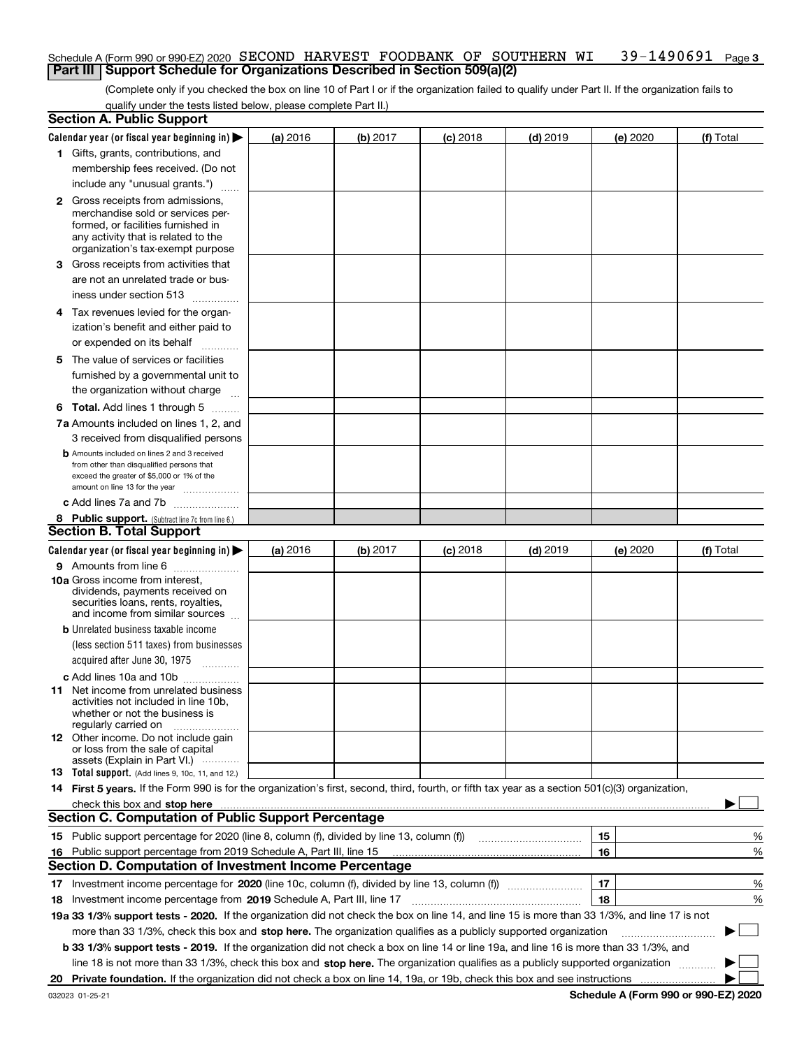#### **3** Schedule A (Form 990 or 990-EZ) 2020  $\,$  SECOND  $\,$  HARVEST  $\,$  FOODBANK  $\,$  OF  $\,$  SOUTHERN  $\,$  WI  $\,$   $\,$   $\,$  39 $-1490691$   $\,$   $\,$  Page **Part III Support Schedule for Organizations Described in Section 509(a)(2)**

(Complete only if you checked the box on line 10 of Part I or if the organization failed to qualify under Part II. If the organization fails to qualify under the tests listed below, please complete Part II.)

|    | <b>Section A. Public Support</b>                                                                                                                 |          |          |            |            |          |           |  |
|----|--------------------------------------------------------------------------------------------------------------------------------------------------|----------|----------|------------|------------|----------|-----------|--|
|    | Calendar year (or fiscal year beginning in) $\blacktriangleright$                                                                                | (a) 2016 | (b) 2017 | $(c)$ 2018 | $(d)$ 2019 | (e) 2020 | (f) Total |  |
|    | 1 Gifts, grants, contributions, and                                                                                                              |          |          |            |            |          |           |  |
|    | membership fees received. (Do not                                                                                                                |          |          |            |            |          |           |  |
|    | include any "unusual grants.")                                                                                                                   |          |          |            |            |          |           |  |
|    | <b>2</b> Gross receipts from admissions,                                                                                                         |          |          |            |            |          |           |  |
|    | merchandise sold or services per-                                                                                                                |          |          |            |            |          |           |  |
|    | formed, or facilities furnished in                                                                                                               |          |          |            |            |          |           |  |
|    | any activity that is related to the<br>organization's tax-exempt purpose                                                                         |          |          |            |            |          |           |  |
|    | 3 Gross receipts from activities that                                                                                                            |          |          |            |            |          |           |  |
|    | are not an unrelated trade or bus-                                                                                                               |          |          |            |            |          |           |  |
|    |                                                                                                                                                  |          |          |            |            |          |           |  |
|    | iness under section 513                                                                                                                          |          |          |            |            |          |           |  |
|    | 4 Tax revenues levied for the organ-                                                                                                             |          |          |            |            |          |           |  |
|    | ization's benefit and either paid to                                                                                                             |          |          |            |            |          |           |  |
|    | or expended on its behalf<br>.                                                                                                                   |          |          |            |            |          |           |  |
|    | 5 The value of services or facilities                                                                                                            |          |          |            |            |          |           |  |
|    | furnished by a governmental unit to                                                                                                              |          |          |            |            |          |           |  |
|    | the organization without charge                                                                                                                  |          |          |            |            |          |           |  |
|    | <b>6 Total.</b> Add lines 1 through 5                                                                                                            |          |          |            |            |          |           |  |
|    | 7a Amounts included on lines 1, 2, and                                                                                                           |          |          |            |            |          |           |  |
|    | 3 received from disqualified persons                                                                                                             |          |          |            |            |          |           |  |
|    | <b>b</b> Amounts included on lines 2 and 3 received                                                                                              |          |          |            |            |          |           |  |
|    | from other than disqualified persons that                                                                                                        |          |          |            |            |          |           |  |
|    | exceed the greater of \$5,000 or 1% of the<br>amount on line 13 for the year                                                                     |          |          |            |            |          |           |  |
|    | c Add lines 7a and 7b                                                                                                                            |          |          |            |            |          |           |  |
|    | 8 Public support. (Subtract line 7c from line 6.)                                                                                                |          |          |            |            |          |           |  |
|    | <b>Section B. Total Support</b>                                                                                                                  |          |          |            |            |          |           |  |
|    | Calendar year (or fiscal year beginning in)                                                                                                      | (a) 2016 | (b) 2017 | $(c)$ 2018 | $(d)$ 2019 | (e) 2020 | (f) Total |  |
|    | 9 Amounts from line 6                                                                                                                            |          |          |            |            |          |           |  |
|    | <b>10a</b> Gross income from interest,                                                                                                           |          |          |            |            |          |           |  |
|    | dividends, payments received on                                                                                                                  |          |          |            |            |          |           |  |
|    | securities loans, rents, royalties,<br>and income from similar sources                                                                           |          |          |            |            |          |           |  |
|    | <b>b</b> Unrelated business taxable income                                                                                                       |          |          |            |            |          |           |  |
|    | (less section 511 taxes) from businesses                                                                                                         |          |          |            |            |          |           |  |
|    | acquired after June 30, 1975 [10001]                                                                                                             |          |          |            |            |          |           |  |
|    |                                                                                                                                                  |          |          |            |            |          |           |  |
|    | c Add lines 10a and 10b<br>11 Net income from unrelated business                                                                                 |          |          |            |            |          |           |  |
|    | activities not included in line 10b,                                                                                                             |          |          |            |            |          |           |  |
|    | whether or not the business is                                                                                                                   |          |          |            |            |          |           |  |
|    | regularly carried on                                                                                                                             |          |          |            |            |          |           |  |
|    | <b>12</b> Other income. Do not include gain<br>or loss from the sale of capital                                                                  |          |          |            |            |          |           |  |
|    | assets (Explain in Part VI.)                                                                                                                     |          |          |            |            |          |           |  |
|    | <b>13</b> Total support. (Add lines 9, 10c, 11, and 12.)                                                                                         |          |          |            |            |          |           |  |
|    | 14 First 5 years. If the Form 990 is for the organization's first, second, third, fourth, or fifth tax year as a section 501(c)(3) organization, |          |          |            |            |          |           |  |
|    | check this box and stop here measurements are constructed as the state of the state of the state of the state o                                  |          |          |            |            |          |           |  |
|    | <b>Section C. Computation of Public Support Percentage</b>                                                                                       |          |          |            |            |          |           |  |
|    | 15 Public support percentage for 2020 (line 8, column (f), divided by line 13, column (f))                                                       |          |          |            |            | 15       | %         |  |
|    | 16 Public support percentage from 2019 Schedule A, Part III, line 15                                                                             |          |          |            |            | 16       | %         |  |
|    | Section D. Computation of Investment Income Percentage                                                                                           |          |          |            |            |          |           |  |
|    | 17<br>17 Investment income percentage for 2020 (line 10c, column (f), divided by line 13, column (f))<br>%                                       |          |          |            |            |          |           |  |
|    | <b>18</b> Investment income percentage from <b>2019</b> Schedule A, Part III, line 17                                                            |          |          |            |            | 18       | %         |  |
|    | 19a 33 1/3% support tests - 2020. If the organization did not check the box on line 14, and line 15 is more than 33 1/3%, and line 17 is not     |          |          |            |            |          |           |  |
|    | more than 33 1/3%, check this box and stop here. The organization qualifies as a publicly supported organization                                 |          |          |            |            |          | ▶         |  |
|    | b 33 1/3% support tests - 2019. If the organization did not check a box on line 14 or line 19a, and line 16 is more than 33 1/3%, and            |          |          |            |            |          |           |  |
|    | line 18 is not more than 33 1/3%, check this box and stop here. The organization qualifies as a publicly supported organization                  |          |          |            |            |          |           |  |
| 20 |                                                                                                                                                  |          |          |            |            |          |           |  |
|    |                                                                                                                                                  |          |          |            |            |          |           |  |

**Schedule A (Form 990 or 990-EZ) 2020**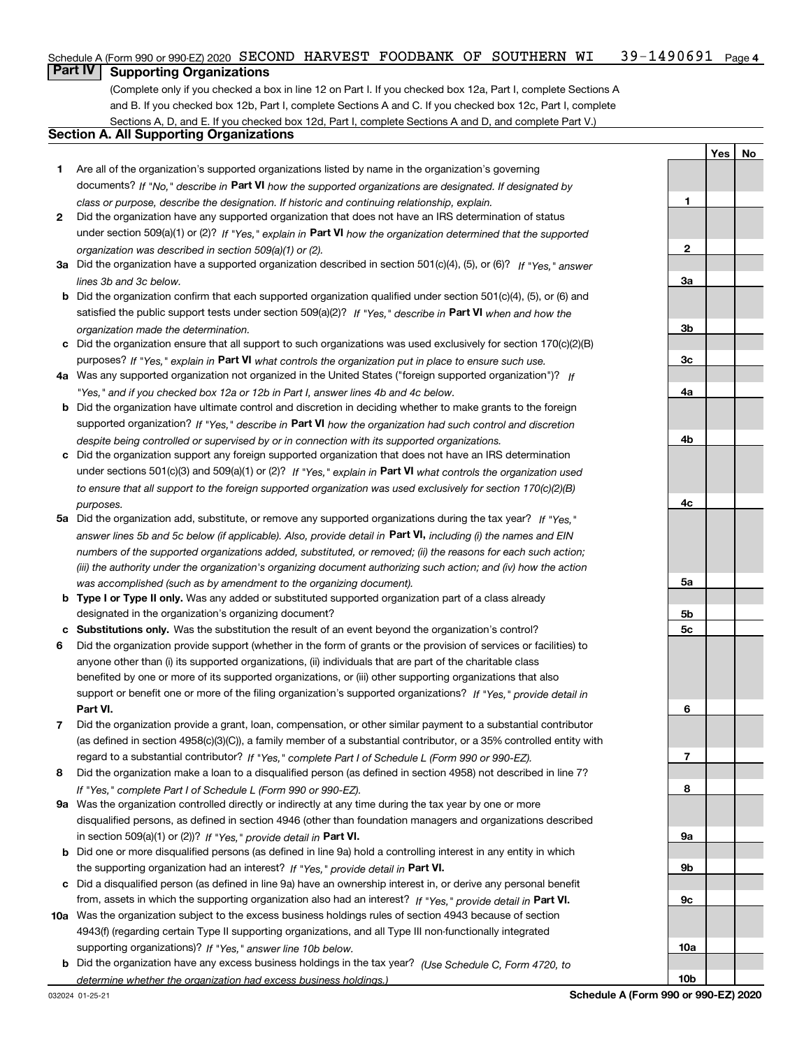#### 39-1490691 Page 4 Schedule A (Form 990 or 990-EZ) 2020  $\,$  SECOND  $\,$  HARVEST  $\,$  FOODBANK  $\,$  OF  $\,$  SOUTHERN  $\,$  WI  $\,$   $\,$   $\,$  39 $-1490691$   $\,$   $\,$  Page

## **Part IV Supporting Organizations**

(Complete only if you checked a box in line 12 on Part I. If you checked box 12a, Part I, complete Sections A and B. If you checked box 12b, Part I, complete Sections A and C. If you checked box 12c, Part I, complete Sections A, D, and E. If you checked box 12d, Part I, complete Sections A and D, and complete Part V.)

## **Section A. All Supporting Organizations**

- **1** Are all of the organization's supported organizations listed by name in the organization's governing documents? If "No," describe in **Part VI** how the supported organizations are designated. If designated by *class or purpose, describe the designation. If historic and continuing relationship, explain.*
- **2** Did the organization have any supported organization that does not have an IRS determination of status under section 509(a)(1) or (2)? If "Yes," explain in Part VI how the organization determined that the supported *organization was described in section 509(a)(1) or (2).*
- **3a** Did the organization have a supported organization described in section 501(c)(4), (5), or (6)? If "Yes," answer *lines 3b and 3c below.*
- **b** Did the organization confirm that each supported organization qualified under section 501(c)(4), (5), or (6) and satisfied the public support tests under section 509(a)(2)? If "Yes," describe in **Part VI** when and how the *organization made the determination.*
- **c**Did the organization ensure that all support to such organizations was used exclusively for section 170(c)(2)(B) purposes? If "Yes," explain in **Part VI** what controls the organization put in place to ensure such use.
- **4a***If* Was any supported organization not organized in the United States ("foreign supported organization")? *"Yes," and if you checked box 12a or 12b in Part I, answer lines 4b and 4c below.*
- **b** Did the organization have ultimate control and discretion in deciding whether to make grants to the foreign supported organization? If "Yes," describe in **Part VI** how the organization had such control and discretion *despite being controlled or supervised by or in connection with its supported organizations.*
- **c** Did the organization support any foreign supported organization that does not have an IRS determination under sections 501(c)(3) and 509(a)(1) or (2)? If "Yes," explain in **Part VI** what controls the organization used *to ensure that all support to the foreign supported organization was used exclusively for section 170(c)(2)(B) purposes.*
- **5a***If "Yes,"* Did the organization add, substitute, or remove any supported organizations during the tax year? answer lines 5b and 5c below (if applicable). Also, provide detail in **Part VI,** including (i) the names and EIN *numbers of the supported organizations added, substituted, or removed; (ii) the reasons for each such action; (iii) the authority under the organization's organizing document authorizing such action; and (iv) how the action was accomplished (such as by amendment to the organizing document).*
- **b** Type I or Type II only. Was any added or substituted supported organization part of a class already designated in the organization's organizing document?
- **cSubstitutions only.**  Was the substitution the result of an event beyond the organization's control?
- **6** Did the organization provide support (whether in the form of grants or the provision of services or facilities) to **Part VI.** *If "Yes," provide detail in* support or benefit one or more of the filing organization's supported organizations? anyone other than (i) its supported organizations, (ii) individuals that are part of the charitable class benefited by one or more of its supported organizations, or (iii) other supporting organizations that also
- **7**Did the organization provide a grant, loan, compensation, or other similar payment to a substantial contributor *If "Yes," complete Part I of Schedule L (Form 990 or 990-EZ).* regard to a substantial contributor? (as defined in section 4958(c)(3)(C)), a family member of a substantial contributor, or a 35% controlled entity with
- **8** Did the organization make a loan to a disqualified person (as defined in section 4958) not described in line 7? *If "Yes," complete Part I of Schedule L (Form 990 or 990-EZ).*
- **9a** Was the organization controlled directly or indirectly at any time during the tax year by one or more in section 509(a)(1) or (2))? If "Yes," *provide detail in* <code>Part VI.</code> disqualified persons, as defined in section 4946 (other than foundation managers and organizations described
- **b** Did one or more disqualified persons (as defined in line 9a) hold a controlling interest in any entity in which the supporting organization had an interest? If "Yes," provide detail in P**art VI**.
- **c**Did a disqualified person (as defined in line 9a) have an ownership interest in, or derive any personal benefit from, assets in which the supporting organization also had an interest? If "Yes," provide detail in P**art VI.**
- **10a** Was the organization subject to the excess business holdings rules of section 4943 because of section supporting organizations)? If "Yes," answer line 10b below. 4943(f) (regarding certain Type II supporting organizations, and all Type III non-functionally integrated
- **b** Did the organization have any excess business holdings in the tax year? (Use Schedule C, Form 4720, to *determine whether the organization had excess business holdings.)*

**YesNo**

**1**

**10b**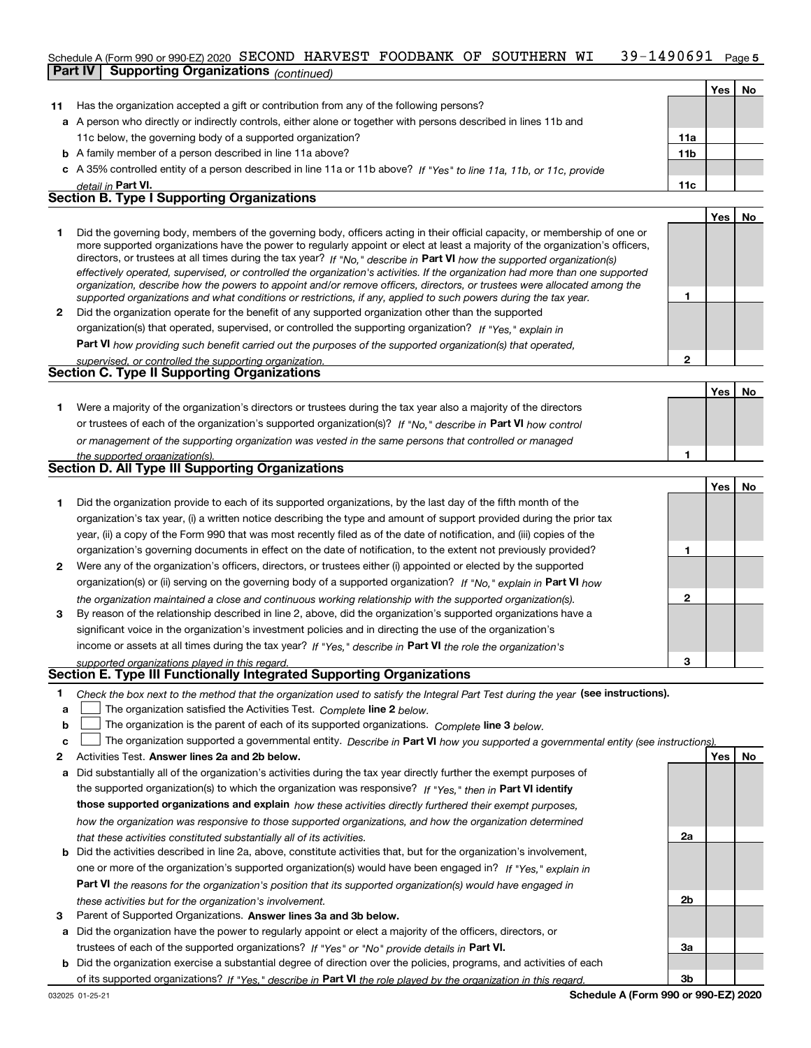#### 39-1490691 Page 5 Schedule A (Form 990 or 990-EZ) 2020  $\,$  SECOND  $\,$  HARVEST  $\,$  FOODBANK  $\,$  OF  $\,$  SOUTHERN  $\,$  WI  $\,$   $\,$   $\,$  39 $-1490691$   $\,$   $\,$  Page **Part IV Supporting Organizations** *(continued)*

|    |                                                                                                                                                                                                                                                                                                                                                                                        |     | Yes | No. |
|----|----------------------------------------------------------------------------------------------------------------------------------------------------------------------------------------------------------------------------------------------------------------------------------------------------------------------------------------------------------------------------------------|-----|-----|-----|
| 11 | Has the organization accepted a gift or contribution from any of the following persons?                                                                                                                                                                                                                                                                                                |     |     |     |
|    | a A person who directly or indirectly controls, either alone or together with persons described in lines 11b and                                                                                                                                                                                                                                                                       |     |     |     |
|    | 11c below, the governing body of a supported organization?                                                                                                                                                                                                                                                                                                                             | 11a |     |     |
|    | <b>b</b> A family member of a person described in line 11a above?                                                                                                                                                                                                                                                                                                                      | 11b |     |     |
|    | c A 35% controlled entity of a person described in line 11a or 11b above? If "Yes" to line 11a, 11b, or 11c, provide                                                                                                                                                                                                                                                                   |     |     |     |
|    | detail in Part VI.                                                                                                                                                                                                                                                                                                                                                                     | 11c |     |     |
|    | <b>Section B. Type I Supporting Organizations</b>                                                                                                                                                                                                                                                                                                                                      |     |     |     |
|    |                                                                                                                                                                                                                                                                                                                                                                                        |     | Yes | No  |
|    | Did the governing body, members of the governing body, officers acting in their official capacity, or membership of one or<br>more supported organizations have the power to regularly appoint or elect at least a majority of the organization's officers,<br>directors, or trustees at all times during the tax year? If "No." describe in Part VI how the supported organization(s) |     |     |     |

|              | directors, or trustees at all times during the tax year? If "No," describe in Part VI how the supported organization(s)        |
|--------------|--------------------------------------------------------------------------------------------------------------------------------|
|              | effectively operated, supervised, or controlled the organization's activities. If the organization had more than one supported |
|              | organization, describe how the powers to appoint and/or remove officers, directors, or trustees were allocated among the       |
|              | supported organizations and what conditions or restrictions, if any, applied to such powers during the tax year.               |
| $\mathbf{2}$ | Did the organization operate for the benefit of any supported organization other than the supported                            |
|              | organization(s) that operated, supervised, or controlled the supporting organization? If "Yes," explain in                     |
|              |                                                                                                                                |

**Part VI**  *how providing such benefit carried out the purposes of the supported organization(s) that operated,*

| supervised, or controlled the supporting organization. |  |
|--------------------------------------------------------|--|
| <b>Section C. Type II Supporting Organizations</b>     |  |
|                                                        |  |

**1**or trustees of each of the organization's supported organization(s)? If "No," describe in **Part VI** how control **1***or management of the supporting organization was vested in the same persons that controlled or managed the supported organization(s).* Were a majority of the organization's directors or trustees during the tax year also a majority of the directors

| <b>Section D. All Type III Supporting Organizations</b> |  |
|---------------------------------------------------------|--|
|                                                         |  |

|              |                                                                                                                        |   | Yes l | No |
|--------------|------------------------------------------------------------------------------------------------------------------------|---|-------|----|
|              | Did the organization provide to each of its supported organizations, by the last day of the fifth month of the         |   |       |    |
|              | organization's tax year, (i) a written notice describing the type and amount of support provided during the prior tax  |   |       |    |
|              | year, (ii) a copy of the Form 990 that was most recently filed as of the date of notification, and (iii) copies of the |   |       |    |
|              | organization's governing documents in effect on the date of notification, to the extent not previously provided?       |   |       |    |
| $\mathbf{2}$ | Were any of the organization's officers, directors, or trustees either (i) appointed or elected by the supported       |   |       |    |
|              | organization(s) or (ii) serving on the governing body of a supported organization? If "No," explain in Part VI how     |   |       |    |
|              | the organization maintained a close and continuous working relationship with the supported organization(s).            | 2 |       |    |
| 3            | By reason of the relationship described in line 2, above, did the organization's supported organizations have a        |   |       |    |
|              | significant voice in the organization's investment policies and in directing the use of the organization's             |   |       |    |
|              | income or assets at all times during the tax year? If "Yes," describe in Part VI the role the organization's           |   |       |    |
|              | supported organizations played in this regard                                                                          | з |       |    |

# *supported organizations played in this regard.* **Section E. Type III Functionally Integrated Supporting Organizations**

- **1**Check the box next to the method that the organization used to satisfy the Integral Part Test during the year (see instructions).
- **alinupy** The organization satisfied the Activities Test. Complete line 2 below.
- **b**The organization is the parent of each of its supported organizations. *Complete* line 3 *below.*  $\mathcal{L}^{\text{max}}$

|  |  |  | $\mathbf{c}$ The organization supported a governmental entity. Describe in Part VI how you supported a governmental entity (see instructions). |  |
|--|--|--|------------------------------------------------------------------------------------------------------------------------------------------------|--|
|--|--|--|------------------------------------------------------------------------------------------------------------------------------------------------|--|

- **2Answer lines 2a and 2b below. Yes No** Activities Test.
- **a** Did substantially all of the organization's activities during the tax year directly further the exempt purposes of the supported organization(s) to which the organization was responsive? If "Yes," then in **Part VI identify those supported organizations and explain**  *how these activities directly furthered their exempt purposes, how the organization was responsive to those supported organizations, and how the organization determined that these activities constituted substantially all of its activities.*
- **b** Did the activities described in line 2a, above, constitute activities that, but for the organization's involvement, **Part VI**  *the reasons for the organization's position that its supported organization(s) would have engaged in* one or more of the organization's supported organization(s) would have been engaged in? If "Yes," e*xplain in these activities but for the organization's involvement.*
- **3** Parent of Supported Organizations. Answer lines 3a and 3b below.
- **a** Did the organization have the power to regularly appoint or elect a majority of the officers, directors, or trustees of each of the supported organizations? If "Yes" or "No" provide details in **Part VI.**
- **b** Did the organization exercise a substantial degree of direction over the policies, programs, and activities of each of its supported organizations? If "Yes," describe in Part VI the role played by the organization in this regard.

**2a**

**2b**

**3a**

**3b**

**1**

**2**

**YesNo**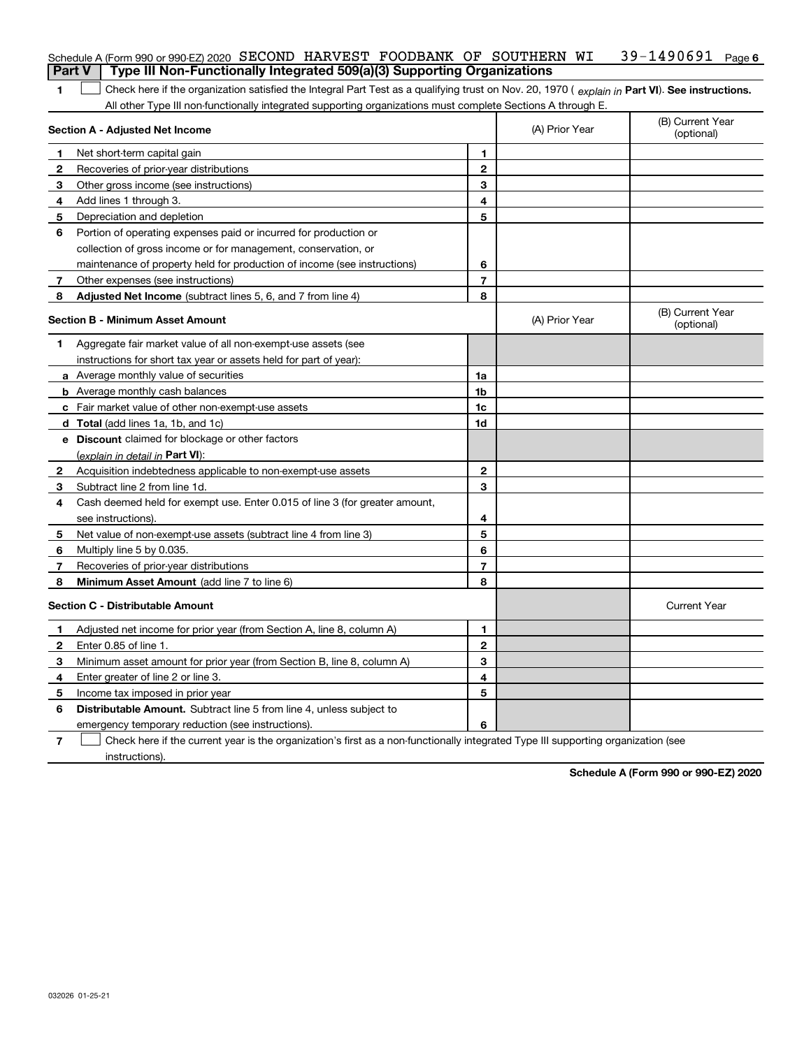|              | Schedule A (Form 990 or 990-EZ) 2020 SECOND HARVEST FOODBANK OF SOUTHERN WI                                                                    |                |                | 39-1490691 $Page 6$            |
|--------------|------------------------------------------------------------------------------------------------------------------------------------------------|----------------|----------------|--------------------------------|
|              | Type III Non-Functionally Integrated 509(a)(3) Supporting Organizations<br><b>Part V</b>                                                       |                |                |                                |
| 1            | Check here if the organization satisfied the Integral Part Test as a qualifying trust on Nov. 20, 1970 (explain in Part VI). See instructions. |                |                |                                |
|              | All other Type III non-functionally integrated supporting organizations must complete Sections A through E.                                    |                |                |                                |
|              | Section A - Adjusted Net Income                                                                                                                |                | (A) Prior Year | (B) Current Year<br>(optional) |
| 1            | Net short-term capital gain                                                                                                                    | 1              |                |                                |
| $\mathbf{2}$ | Recoveries of prior-year distributions                                                                                                         | $\mathbf{2}$   |                |                                |
| 3            | Other gross income (see instructions)                                                                                                          | 3              |                |                                |
| 4            | Add lines 1 through 3.                                                                                                                         | 4              |                |                                |
| 5            | Depreciation and depletion                                                                                                                     | 5              |                |                                |
| 6            | Portion of operating expenses paid or incurred for production or                                                                               |                |                |                                |
|              | collection of gross income or for management, conservation, or                                                                                 |                |                |                                |
|              | maintenance of property held for production of income (see instructions)                                                                       | 6              |                |                                |
| 7            | Other expenses (see instructions)                                                                                                              | $\overline{7}$ |                |                                |
| 8            | Adjusted Net Income (subtract lines 5, 6, and 7 from line 4)                                                                                   | 8              |                |                                |
|              | <b>Section B - Minimum Asset Amount</b>                                                                                                        |                | (A) Prior Year | (B) Current Year<br>(optional) |
| 1            | Aggregate fair market value of all non-exempt-use assets (see                                                                                  |                |                |                                |
|              | instructions for short tax year or assets held for part of year):                                                                              |                |                |                                |
|              | a Average monthly value of securities                                                                                                          | 1a             |                |                                |
|              | <b>b</b> Average monthly cash balances                                                                                                         | 1b             |                |                                |
|              | c Fair market value of other non-exempt-use assets                                                                                             | 1c             |                |                                |
|              | d Total (add lines 1a, 1b, and 1c)                                                                                                             | 1d             |                |                                |
|              | <b>e</b> Discount claimed for blockage or other factors                                                                                        |                |                |                                |
|              | (explain in detail in Part VI):                                                                                                                |                |                |                                |
| $\mathbf{2}$ | Acquisition indebtedness applicable to non-exempt-use assets                                                                                   | $\mathbf{2}$   |                |                                |
| 3            | Subtract line 2 from line 1d.                                                                                                                  | 3              |                |                                |
| 4            | Cash deemed held for exempt use. Enter 0.015 of line 3 (for greater amount,                                                                    |                |                |                                |
|              | see instructions).                                                                                                                             | 4              |                |                                |
| 5            | Net value of non-exempt-use assets (subtract line 4 from line 3)                                                                               | 5              |                |                                |
| 6            | Multiply line 5 by 0.035.                                                                                                                      | 6              |                |                                |
| 7            | Recoveries of prior-year distributions                                                                                                         | 7              |                |                                |
| 8            | Minimum Asset Amount (add line 7 to line 6)                                                                                                    | 8              |                |                                |
|              | <b>Section C - Distributable Amount</b>                                                                                                        |                |                | <b>Current Year</b>            |
| 1            | Adjusted net income for prior year (from Section A, line 8, column A)                                                                          | 1              |                |                                |
| $\mathbf{2}$ | Enter 0.85 of line 1.                                                                                                                          | $\mathbf{2}$   |                |                                |
| 3            | Minimum asset amount for prior year (from Section B, line 8, column A)                                                                         | 3              |                |                                |
| 4            | Enter greater of line 2 or line 3.                                                                                                             | 4              |                |                                |
| 5            | Income tax imposed in prior year                                                                                                               | 5              |                |                                |
| 6            | <b>Distributable Amount.</b> Subtract line 5 from line 4, unless subject to                                                                    |                |                |                                |
|              | emergency temporary reduction (see instructions).                                                                                              | 6              |                |                                |
|              | $\Box$ Observations of the conservation and the H                                                                                              |                |                |                                |

**7** Check here if the current year is the organization's first as a non-functionally integrated Type III supporting organization (see instructions).

**Schedule A (Form 990 or 990-EZ) 2020**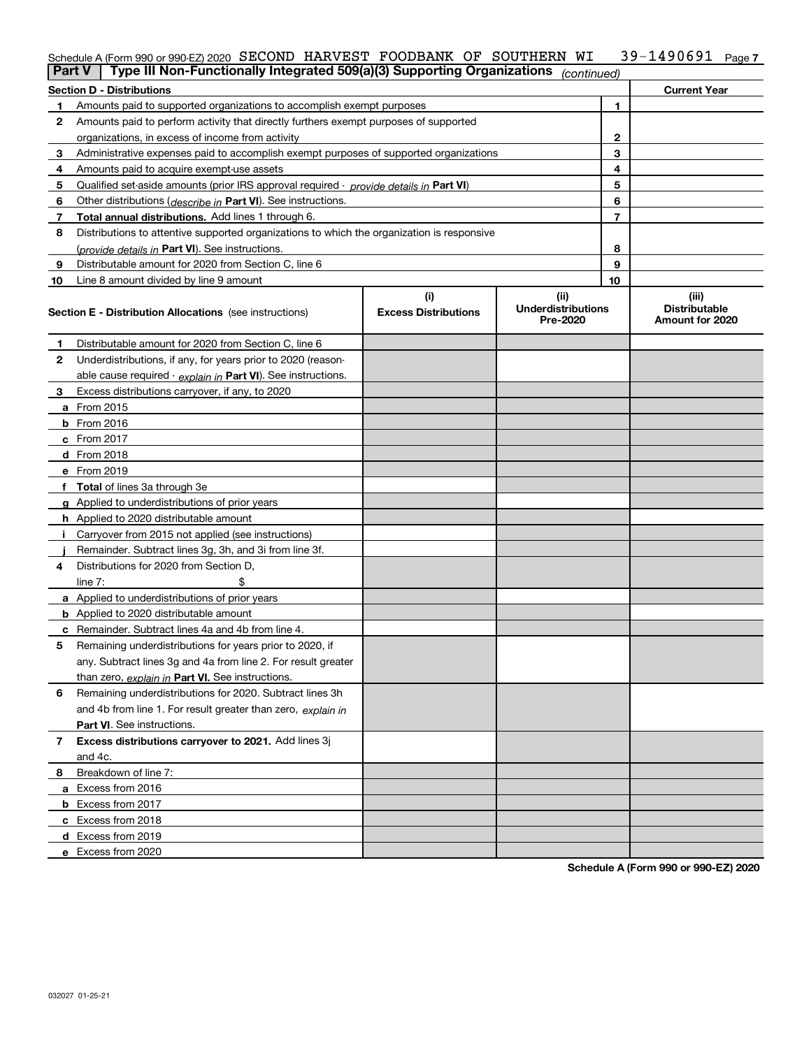## **7** Schedule A (Form 990 or 990-EZ) 2020 Page SECOND HARVEST FOODBANK OF SOUTHERN WI 39-1490691

|    | Type III Non-Functionally Integrated 509(a)(3) Supporting Organizations<br><b>Part V</b><br>(continued) |                                    |                                               |                |                                                  |  |
|----|---------------------------------------------------------------------------------------------------------|------------------------------------|-----------------------------------------------|----------------|--------------------------------------------------|--|
|    | <b>Section D - Distributions</b>                                                                        |                                    |                                               |                | <b>Current Year</b>                              |  |
| 1. | Amounts paid to supported organizations to accomplish exempt purposes                                   |                                    |                                               | 1              |                                                  |  |
| 2  | Amounts paid to perform activity that directly furthers exempt purposes of supported                    |                                    |                                               |                |                                                  |  |
|    | organizations, in excess of income from activity                                                        |                                    |                                               | 2              |                                                  |  |
| 3  | Administrative expenses paid to accomplish exempt purposes of supported organizations                   |                                    |                                               | 3              |                                                  |  |
| 4  | Amounts paid to acquire exempt-use assets                                                               |                                    |                                               | 4              |                                                  |  |
| 5  | Qualified set aside amounts (prior IRS approval required - provide details in Part VI)                  |                                    |                                               | 5              |                                                  |  |
| 6  | Other distributions (describe in Part VI). See instructions.                                            |                                    |                                               | 6              |                                                  |  |
| 7  | <b>Total annual distributions.</b> Add lines 1 through 6.                                               |                                    |                                               | $\overline{7}$ |                                                  |  |
| 8  | Distributions to attentive supported organizations to which the organization is responsive              |                                    |                                               |                |                                                  |  |
|    | (provide details in Part VI). See instructions.                                                         |                                    |                                               | 8              |                                                  |  |
| 9  | Distributable amount for 2020 from Section C, line 6                                                    |                                    |                                               | 9              |                                                  |  |
| 10 | Line 8 amount divided by line 9 amount                                                                  |                                    |                                               | 10             |                                                  |  |
|    | <b>Section E - Distribution Allocations</b> (see instructions)                                          | (i)<br><b>Excess Distributions</b> | (ii)<br><b>Underdistributions</b><br>Pre-2020 |                | (iii)<br><b>Distributable</b><br>Amount for 2020 |  |
| 1  | Distributable amount for 2020 from Section C, line 6                                                    |                                    |                                               |                |                                                  |  |
| 2  | Underdistributions, if any, for years prior to 2020 (reason-                                            |                                    |                                               |                |                                                  |  |
|    | able cause required - explain in Part VI). See instructions.                                            |                                    |                                               |                |                                                  |  |
| 3  | Excess distributions carryover, if any, to 2020                                                         |                                    |                                               |                |                                                  |  |
|    | <b>a</b> From 2015                                                                                      |                                    |                                               |                |                                                  |  |
|    | <b>b</b> From $2016$                                                                                    |                                    |                                               |                |                                                  |  |
|    | $c$ From 2017                                                                                           |                                    |                                               |                |                                                  |  |
|    | <b>d</b> From 2018                                                                                      |                                    |                                               |                |                                                  |  |
|    | e From 2019                                                                                             |                                    |                                               |                |                                                  |  |
|    | f Total of lines 3a through 3e                                                                          |                                    |                                               |                |                                                  |  |
|    | g Applied to underdistributions of prior years                                                          |                                    |                                               |                |                                                  |  |
|    | <b>h</b> Applied to 2020 distributable amount                                                           |                                    |                                               |                |                                                  |  |
| ÷. | Carryover from 2015 not applied (see instructions)                                                      |                                    |                                               |                |                                                  |  |
|    | Remainder. Subtract lines 3g, 3h, and 3i from line 3f.                                                  |                                    |                                               |                |                                                  |  |
| 4  | Distributions for 2020 from Section D,                                                                  |                                    |                                               |                |                                                  |  |
|    | \$<br>line $7:$                                                                                         |                                    |                                               |                |                                                  |  |
|    | a Applied to underdistributions of prior years                                                          |                                    |                                               |                |                                                  |  |
|    | <b>b</b> Applied to 2020 distributable amount                                                           |                                    |                                               |                |                                                  |  |
|    | c Remainder. Subtract lines 4a and 4b from line 4.                                                      |                                    |                                               |                |                                                  |  |
| 5  | Remaining underdistributions for years prior to 2020, if                                                |                                    |                                               |                |                                                  |  |
|    | any. Subtract lines 3g and 4a from line 2. For result greater                                           |                                    |                                               |                |                                                  |  |
|    | than zero, explain in Part VI. See instructions.                                                        |                                    |                                               |                |                                                  |  |
| 6  | Remaining underdistributions for 2020. Subtract lines 3h                                                |                                    |                                               |                |                                                  |  |
|    | and 4b from line 1. For result greater than zero, explain in                                            |                                    |                                               |                |                                                  |  |
|    | <b>Part VI.</b> See instructions.                                                                       |                                    |                                               |                |                                                  |  |
| 7  | Excess distributions carryover to 2021. Add lines 3j                                                    |                                    |                                               |                |                                                  |  |
|    | and 4c.                                                                                                 |                                    |                                               |                |                                                  |  |
| 8  | Breakdown of line 7:                                                                                    |                                    |                                               |                |                                                  |  |
|    | a Excess from 2016                                                                                      |                                    |                                               |                |                                                  |  |
|    | <b>b</b> Excess from 2017                                                                               |                                    |                                               |                |                                                  |  |
|    | c Excess from 2018                                                                                      |                                    |                                               |                |                                                  |  |
|    | d Excess from 2019                                                                                      |                                    |                                               |                |                                                  |  |
|    | e Excess from 2020                                                                                      |                                    |                                               |                |                                                  |  |

**Schedule A (Form 990 or 990-EZ) 2020**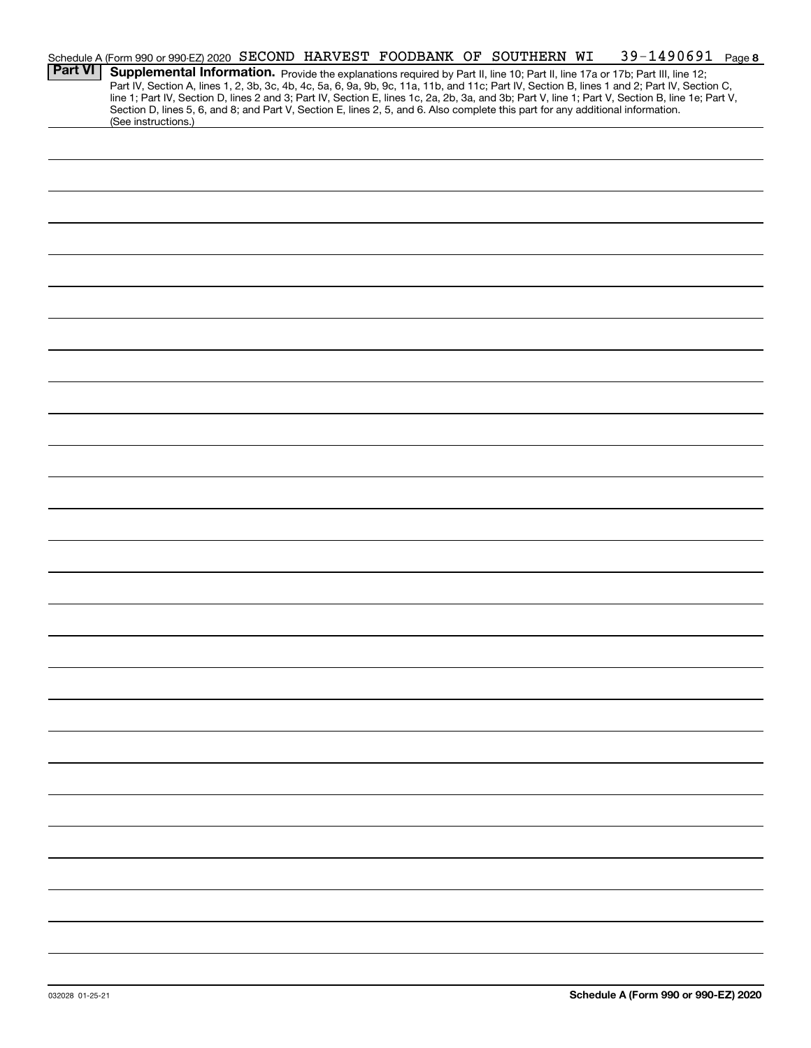|                | Schedule A (Form 990 or 990-EZ) 2020 SECOND HARVEST FOODBANK OF SOUTHERN WI                                                                                                                                                                                                                      |  |  |  | 39-1490691 Page 8 |  |
|----------------|--------------------------------------------------------------------------------------------------------------------------------------------------------------------------------------------------------------------------------------------------------------------------------------------------|--|--|--|-------------------|--|
| <b>Part VI</b> | Supplemental Information. Provide the explanations required by Part II, line 10; Part II, line 17a or 17b; Part III, line 12;                                                                                                                                                                    |  |  |  |                   |  |
|                | Part IV, Section A, lines 1, 2, 3b, 3c, 4b, 4c, 5a, 6, 9a, 9b, 9c, 11a, 11b, and 11c; Part IV, Section B, lines 1 and 2; Part IV, Section C,<br>line 1; Part IV, Section D, lines 2 and 3; Part IV, Section E, lines 1c, 2a, 2b, 3a, and 3b; Part V, line 1; Part V, Section B, line 1e; Part V, |  |  |  |                   |  |
|                | Section D, lines 5, 6, and 8; and Part V, Section E, lines 2, 5, and 6. Also complete this part for any additional information.                                                                                                                                                                  |  |  |  |                   |  |
|                | (See instructions.)                                                                                                                                                                                                                                                                              |  |  |  |                   |  |
|                |                                                                                                                                                                                                                                                                                                  |  |  |  |                   |  |
|                |                                                                                                                                                                                                                                                                                                  |  |  |  |                   |  |
|                |                                                                                                                                                                                                                                                                                                  |  |  |  |                   |  |
|                |                                                                                                                                                                                                                                                                                                  |  |  |  |                   |  |
|                |                                                                                                                                                                                                                                                                                                  |  |  |  |                   |  |
|                |                                                                                                                                                                                                                                                                                                  |  |  |  |                   |  |
|                |                                                                                                                                                                                                                                                                                                  |  |  |  |                   |  |
|                |                                                                                                                                                                                                                                                                                                  |  |  |  |                   |  |
|                |                                                                                                                                                                                                                                                                                                  |  |  |  |                   |  |
|                |                                                                                                                                                                                                                                                                                                  |  |  |  |                   |  |
|                |                                                                                                                                                                                                                                                                                                  |  |  |  |                   |  |
|                |                                                                                                                                                                                                                                                                                                  |  |  |  |                   |  |
|                |                                                                                                                                                                                                                                                                                                  |  |  |  |                   |  |
|                |                                                                                                                                                                                                                                                                                                  |  |  |  |                   |  |
|                |                                                                                                                                                                                                                                                                                                  |  |  |  |                   |  |
|                |                                                                                                                                                                                                                                                                                                  |  |  |  |                   |  |
|                |                                                                                                                                                                                                                                                                                                  |  |  |  |                   |  |
|                |                                                                                                                                                                                                                                                                                                  |  |  |  |                   |  |
|                |                                                                                                                                                                                                                                                                                                  |  |  |  |                   |  |
|                |                                                                                                                                                                                                                                                                                                  |  |  |  |                   |  |
|                |                                                                                                                                                                                                                                                                                                  |  |  |  |                   |  |
|                |                                                                                                                                                                                                                                                                                                  |  |  |  |                   |  |
|                |                                                                                                                                                                                                                                                                                                  |  |  |  |                   |  |
|                |                                                                                                                                                                                                                                                                                                  |  |  |  |                   |  |
|                |                                                                                                                                                                                                                                                                                                  |  |  |  |                   |  |
|                |                                                                                                                                                                                                                                                                                                  |  |  |  |                   |  |
|                |                                                                                                                                                                                                                                                                                                  |  |  |  |                   |  |
|                |                                                                                                                                                                                                                                                                                                  |  |  |  |                   |  |
|                |                                                                                                                                                                                                                                                                                                  |  |  |  |                   |  |
|                |                                                                                                                                                                                                                                                                                                  |  |  |  |                   |  |
|                |                                                                                                                                                                                                                                                                                                  |  |  |  |                   |  |
|                |                                                                                                                                                                                                                                                                                                  |  |  |  |                   |  |
|                |                                                                                                                                                                                                                                                                                                  |  |  |  |                   |  |
|                |                                                                                                                                                                                                                                                                                                  |  |  |  |                   |  |
|                |                                                                                                                                                                                                                                                                                                  |  |  |  |                   |  |
|                |                                                                                                                                                                                                                                                                                                  |  |  |  |                   |  |
|                |                                                                                                                                                                                                                                                                                                  |  |  |  |                   |  |
|                |                                                                                                                                                                                                                                                                                                  |  |  |  |                   |  |
|                |                                                                                                                                                                                                                                                                                                  |  |  |  |                   |  |
|                |                                                                                                                                                                                                                                                                                                  |  |  |  |                   |  |
|                |                                                                                                                                                                                                                                                                                                  |  |  |  |                   |  |
|                |                                                                                                                                                                                                                                                                                                  |  |  |  |                   |  |
|                |                                                                                                                                                                                                                                                                                                  |  |  |  |                   |  |
|                |                                                                                                                                                                                                                                                                                                  |  |  |  |                   |  |
|                |                                                                                                                                                                                                                                                                                                  |  |  |  |                   |  |
|                |                                                                                                                                                                                                                                                                                                  |  |  |  |                   |  |
|                |                                                                                                                                                                                                                                                                                                  |  |  |  |                   |  |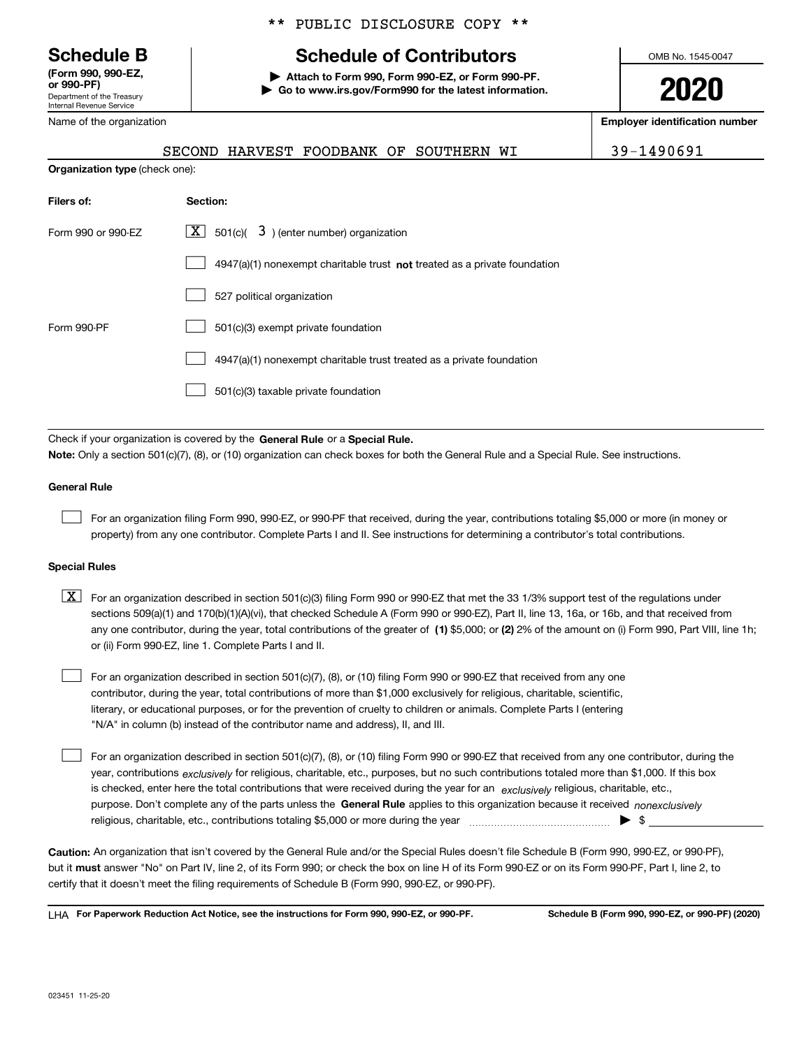Department of the Treasury Internal Revenue Service **(Form 990, 990-EZ, or 990-PF)**

Name of the organization

\*\* PUBLIC DISCLOSURE COPY \*\*

# **Schedule B Schedule of Contributors**

**| Attach to Form 990, Form 990-EZ, or Form 990-PF. | Go to www.irs.gov/Form990 for the latest information.** OMB No. 1545-0047

**2020**

**Employer identification number**

|                                       |  |  | SECOND HARVEST FOODBANK OF SOUTHERN W |  |
|---------------------------------------|--|--|---------------------------------------|--|
| <b>Organization type</b> (check one): |  |  |                                       |  |

SECOND HARVEST FOODBANK OF SOUTHERN WI 39-1490691

| Filers of:         | Section:                                                                    |
|--------------------|-----------------------------------------------------------------------------|
| Form 990 or 990-FZ | $X$ 501(c)( 3) (enter number) organization                                  |
|                    | $4947(a)(1)$ nonexempt charitable trust not treated as a private foundation |
|                    | 527 political organization                                                  |
| Form 990-PF        | 501(c)(3) exempt private foundation                                         |
|                    | 4947(a)(1) nonexempt charitable trust treated as a private foundation       |
|                    | 501(c)(3) taxable private foundation                                        |

Check if your organization is covered by the **General Rule** or a **Special Rule. Note:**  Only a section 501(c)(7), (8), or (10) organization can check boxes for both the General Rule and a Special Rule. See instructions.

#### **General Rule**

 $\mathcal{L}^{\text{max}}$ 

For an organization filing Form 990, 990-EZ, or 990-PF that received, during the year, contributions totaling \$5,000 or more (in money or property) from any one contributor. Complete Parts I and II. See instructions for determining a contributor's total contributions.

#### **Special Rules**

any one contributor, during the year, total contributions of the greater of  $\,$  (1) \$5,000; or **(2)** 2% of the amount on (i) Form 990, Part VIII, line 1h;  $\boxed{\textbf{X}}$  For an organization described in section 501(c)(3) filing Form 990 or 990-EZ that met the 33 1/3% support test of the regulations under sections 509(a)(1) and 170(b)(1)(A)(vi), that checked Schedule A (Form 990 or 990-EZ), Part II, line 13, 16a, or 16b, and that received from or (ii) Form 990-EZ, line 1. Complete Parts I and II.

For an organization described in section 501(c)(7), (8), or (10) filing Form 990 or 990-EZ that received from any one contributor, during the year, total contributions of more than \$1,000 exclusively for religious, charitable, scientific, literary, or educational purposes, or for the prevention of cruelty to children or animals. Complete Parts I (entering "N/A" in column (b) instead of the contributor name and address), II, and III.  $\mathcal{L}^{\text{max}}$ 

purpose. Don't complete any of the parts unless the **General Rule** applies to this organization because it received *nonexclusively* year, contributions <sub>exclusively</sub> for religious, charitable, etc., purposes, but no such contributions totaled more than \$1,000. If this box is checked, enter here the total contributions that were received during the year for an  $\;$ exclusively religious, charitable, etc., For an organization described in section 501(c)(7), (8), or (10) filing Form 990 or 990-EZ that received from any one contributor, during the religious, charitable, etc., contributions totaling \$5,000 or more during the year  $\Box$ — $\Box$   $\Box$  $\mathcal{L}^{\text{max}}$ 

**Caution:**  An organization that isn't covered by the General Rule and/or the Special Rules doesn't file Schedule B (Form 990, 990-EZ, or 990-PF),  **must** but it answer "No" on Part IV, line 2, of its Form 990; or check the box on line H of its Form 990-EZ or on its Form 990-PF, Part I, line 2, to certify that it doesn't meet the filing requirements of Schedule B (Form 990, 990-EZ, or 990-PF).

**For Paperwork Reduction Act Notice, see the instructions for Form 990, 990-EZ, or 990-PF. Schedule B (Form 990, 990-EZ, or 990-PF) (2020)** LHA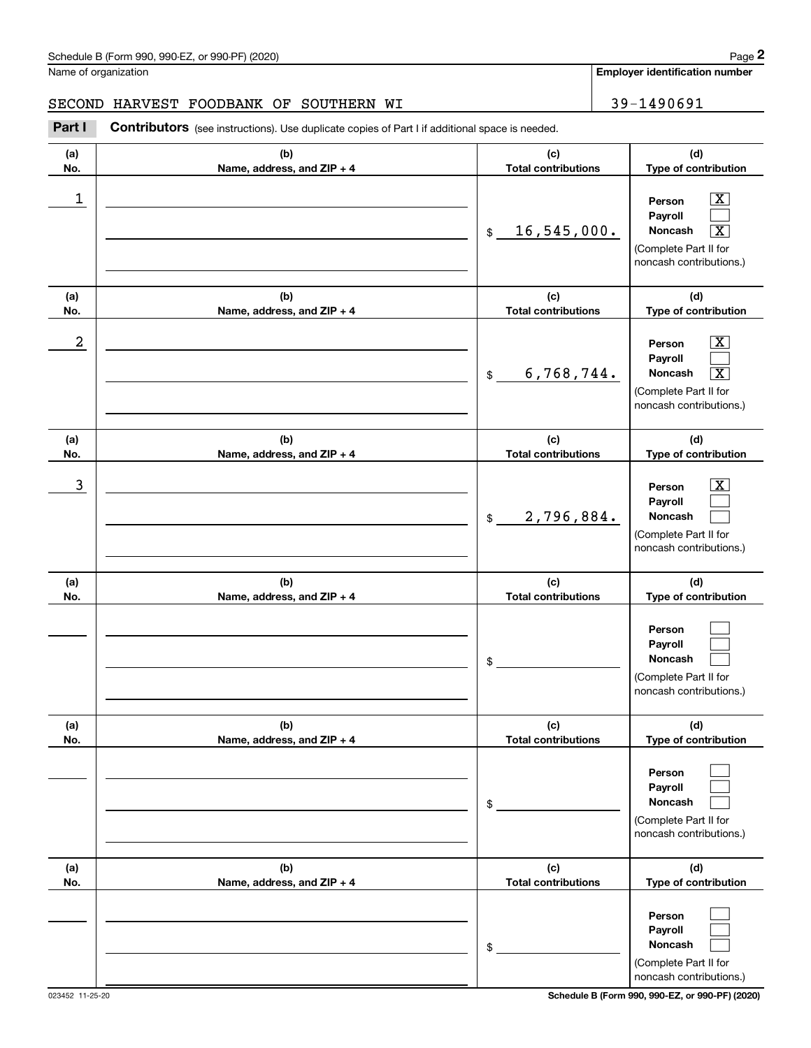Name of organization

**Employer identification number**

#### SECOND HARVEST FOODBANK OF SOUTHERN WI **39-1490691**

**(a)No.(b)Name, address, and ZIP + 4 (c)Total contributions (d)Type of contribution PersonPayrollNoncash (a)No.(b)Name, address, and ZIP + 4 (c)Total contributions (d)Type of contribution PersonPayrollNoncash (a)No.(b)Name, address, and ZIP + 4 (c)Total contributions (d)Type of contribution PersonPayrollNoncash (a) No.(b) Name, address, and ZIP + 4 (c) Total contributions (d) Type of contribution PersonPayrollNoncash(a) No.(b) Name, address, and ZIP + 4 (c) Total contributions (d) Type of contribution PersonPayrollNoncash (a) No.(b)Name, address, and ZIP + 4 (c) Total contributions (d)Type of contribution PersonPayrollNoncash Contributors** (see instructions). Use duplicate copies of Part I if additional space is needed. \$(Complete Part II for noncash contributions.) \$(Complete Part II for noncash contributions.) \$(Complete Part II for noncash contributions.) \$(Complete Part II for noncash contributions.) \$(Complete Part II for noncash contributions.) \$(Complete Part II for noncash contributions.) Chedule B (Form 990, 990-EZ, or 990-PF) (2020)<br>Iame of organization<br>**2Part I 2Part I Contributors** (see instructions). Use duplicate copies of Part I if additional space is needed.  $|X|$  $\mathcal{L}^{\text{max}}$  $\boxed{\text{X}}$  $\boxed{\text{X}}$  $\mathcal{L}^{\text{max}}$  $\overline{\mathbf{X}}$  $|X|$  $\mathcal{L}^{\text{max}}$  $\mathcal{L}^{\text{max}}$  $\mathcal{L}^{\text{max}}$  $\mathcal{L}^{\text{max}}$  $\mathcal{L}^{\text{max}}$  $\mathcal{L}^{\text{max}}$  $\mathcal{L}^{\text{max}}$  $\mathcal{L}^{\text{max}}$  $\mathcal{L}^{\text{max}}$  $\mathcal{L}^{\text{max}}$  $\mathcal{L}^{\text{max}}$  $\begin{array}{c|c|c|c|c|c} 1 & \hspace{1.5cm} & \hspace{1.5cm} & \hspace{1.5cm} & \hspace{1.5cm} & \hspace{1.5cm} & \hspace{1.5cm} & \hspace{1.5cm} & \hspace{1.5cm} & \hspace{1.5cm} & \hspace{1.5cm} & \hspace{1.5cm} & \hspace{1.5cm} & \hspace{1.5cm} & \hspace{1.5cm} & \hspace{1.5cm} & \hspace{1.5cm} & \hspace{1.5cm} & \hspace{1.5cm} & \hspace{1.5cm} & \hspace{1.5cm} &$ <u>16,545,000.</u>  $2$  | Person  $\overline{\text{X}}$ 6,768,744. X  $\overline{3}$  | Person  $\overline{X}$ 2,796,884.

023452 11-25-20 **Schedule B (Form 990, 990-EZ, or 990-PF) (2020)**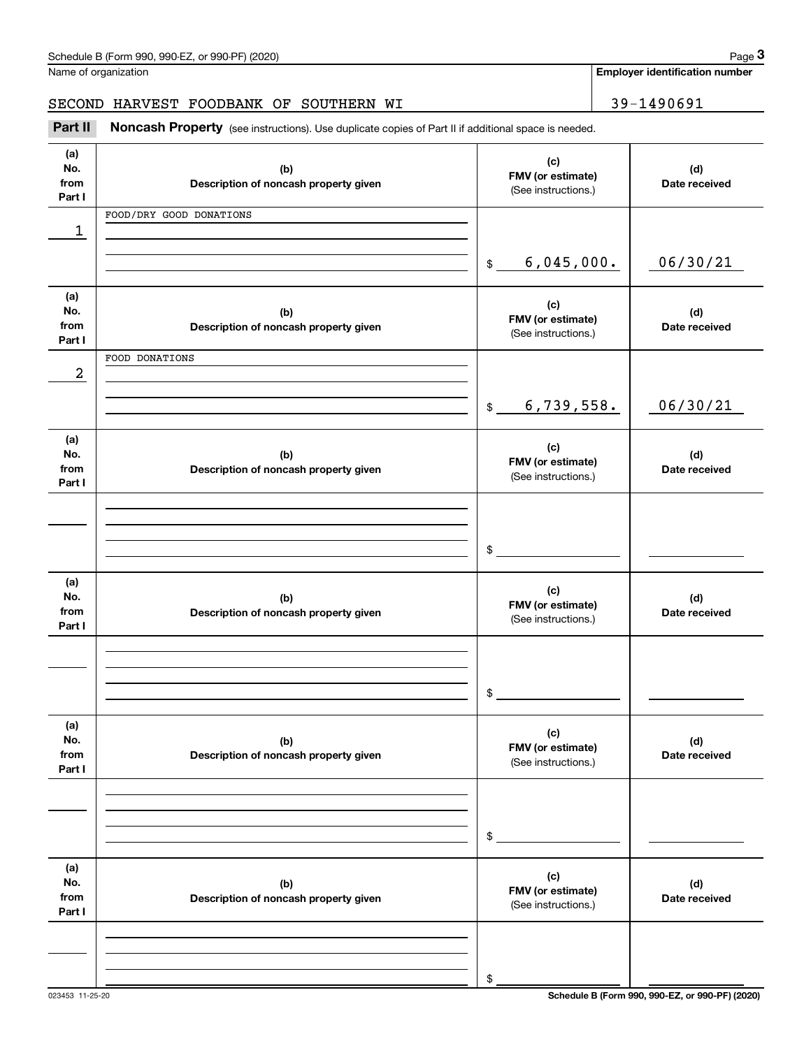| (a)<br>No.<br>from<br>Part I | (b)<br>Description of noncash property given | (c)<br>FMV (or estimate)<br>(See instructions.) | (d)<br>Date received |
|------------------------------|----------------------------------------------|-------------------------------------------------|----------------------|
|                              | FOOD/DRY GOOD DONATIONS                      |                                                 |                      |
| 1                            |                                              |                                                 |                      |
|                              |                                              | 6,045,000.<br>$$\tilde$$                        | 06/30/21             |
| (a)                          |                                              | (c)                                             |                      |
| No.<br>from                  | (b)                                          | FMV (or estimate)                               | (d)<br>Date received |
| Part I                       | Description of noncash property given        | (See instructions.)                             |                      |
|                              | FOOD DONATIONS                               |                                                 |                      |
| 2                            |                                              |                                                 |                      |
|                              |                                              | 6,739,558.<br>$$\tilde{\phantom{a}}$$           | 06/30/21             |
| (a)<br>No.                   | (b)                                          | (c)<br>FMV (or estimate)                        | (d)                  |
| from<br>Part I               | Description of noncash property given        | (See instructions.)                             | Date received        |
|                              |                                              |                                                 |                      |
|                              |                                              |                                                 |                      |
|                              |                                              |                                                 |                      |
|                              |                                              | \$                                              |                      |
| (a)                          |                                              | (c)                                             |                      |
| No.<br>from                  | (b)<br>Description of noncash property given | FMV (or estimate)                               | (d)<br>Date received |
| Part I                       |                                              | (See instructions.)                             |                      |
|                              |                                              |                                                 |                      |
|                              |                                              |                                                 |                      |
|                              |                                              | \$                                              |                      |
|                              |                                              |                                                 |                      |
| (a)<br>No.                   |                                              | (c)                                             |                      |
| from                         | (b)<br>Description of noncash property given | FMV (or estimate)                               | (d)<br>Date received |
| Part I                       |                                              | (See instructions.)                             |                      |
|                              |                                              |                                                 |                      |
|                              |                                              |                                                 |                      |
|                              |                                              | \$                                              |                      |
| (a)                          |                                              |                                                 |                      |
| No.                          | (b)                                          | (c)<br>FMV (or estimate)                        | (d)                  |
| from<br>Part I               | Description of noncash property given        | (See instructions.)                             | Date received        |
|                              |                                              |                                                 |                      |
|                              |                                              |                                                 |                      |
|                              |                                              | \$                                              |                      |
|                              |                                              |                                                 |                      |

**Employer identification number**

Τ

SECOND HARVEST FOODBANK OF SOUTHERN WI 39-1490691

Chedule B (Form 990, 990-EZ, or 990-PF) (2020)<br>Iame of organization<br>**39-1490691**<br>**Part II Roncash Property** (see instructions). Use duplicate copies of Part II if additional space is needed.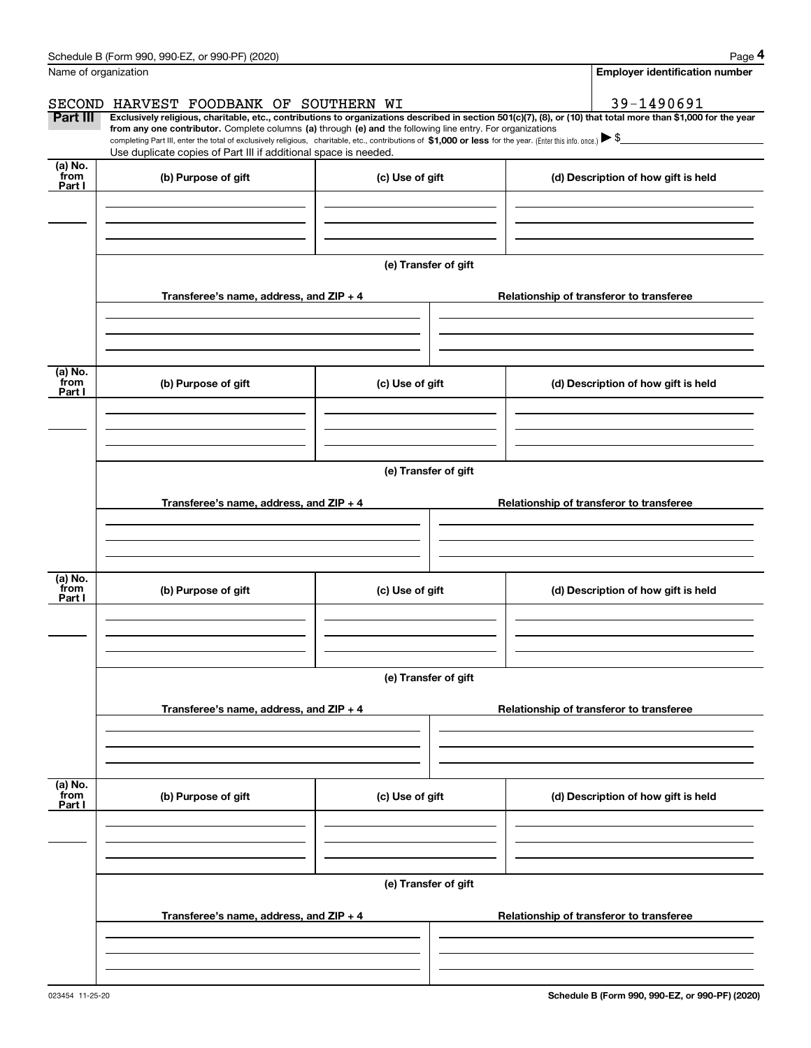|                           | Schedule B (Form 990, 990-EZ, or 990-PF) (2020)                                                                                                                                   |                      | Page 4                                                                                                                                                         |
|---------------------------|-----------------------------------------------------------------------------------------------------------------------------------------------------------------------------------|----------------------|----------------------------------------------------------------------------------------------------------------------------------------------------------------|
| Name of organization      |                                                                                                                                                                                   |                      | <b>Employer identification number</b>                                                                                                                          |
|                           | SECOND HARVEST FOODBANK OF SOUTHERN WI                                                                                                                                            |                      | 39-1490691                                                                                                                                                     |
| Part III                  | from any one contributor. Complete columns (a) through (e) and the following line entry. For organizations                                                                        |                      | Exclusively religious, charitable, etc., contributions to organizations described in section 501(c)(7), (8), or (10) that total more than \$1,000 for the year |
|                           | completing Part III, enter the total of exclusively religious, charitable, etc., contributions of \$1,000 or less for the year. (Enter this info. once.) $\blacktriangleright$ \$ |                      |                                                                                                                                                                |
| (a) No.                   | Use duplicate copies of Part III if additional space is needed.                                                                                                                   |                      |                                                                                                                                                                |
| from<br>Part I            | (b) Purpose of gift                                                                                                                                                               | (c) Use of gift      | (d) Description of how gift is held                                                                                                                            |
|                           |                                                                                                                                                                                   |                      |                                                                                                                                                                |
|                           |                                                                                                                                                                                   |                      |                                                                                                                                                                |
|                           |                                                                                                                                                                                   |                      |                                                                                                                                                                |
|                           |                                                                                                                                                                                   | (e) Transfer of gift |                                                                                                                                                                |
|                           | Transferee's name, address, and ZIP + 4                                                                                                                                           |                      | Relationship of transferor to transferee                                                                                                                       |
|                           |                                                                                                                                                                                   |                      |                                                                                                                                                                |
|                           |                                                                                                                                                                                   |                      |                                                                                                                                                                |
|                           |                                                                                                                                                                                   |                      |                                                                                                                                                                |
| (a) No.<br>from           | (b) Purpose of gift                                                                                                                                                               | (c) Use of gift      | (d) Description of how gift is held                                                                                                                            |
| Part I                    |                                                                                                                                                                                   |                      |                                                                                                                                                                |
|                           |                                                                                                                                                                                   |                      |                                                                                                                                                                |
|                           |                                                                                                                                                                                   |                      |                                                                                                                                                                |
|                           |                                                                                                                                                                                   | (e) Transfer of gift |                                                                                                                                                                |
|                           |                                                                                                                                                                                   |                      |                                                                                                                                                                |
|                           | Transferee's name, address, and ZIP + 4                                                                                                                                           |                      | Relationship of transferor to transferee                                                                                                                       |
|                           |                                                                                                                                                                                   |                      |                                                                                                                                                                |
|                           |                                                                                                                                                                                   |                      |                                                                                                                                                                |
| (a) No.<br>from           |                                                                                                                                                                                   |                      |                                                                                                                                                                |
| Part I                    | (b) Purpose of gift                                                                                                                                                               | (c) Use of gift      | (d) Description of how gift is held                                                                                                                            |
|                           |                                                                                                                                                                                   |                      |                                                                                                                                                                |
|                           |                                                                                                                                                                                   |                      |                                                                                                                                                                |
|                           |                                                                                                                                                                                   | (e) Transfer of gift |                                                                                                                                                                |
|                           |                                                                                                                                                                                   |                      |                                                                                                                                                                |
|                           | Transferee's name, address, and $ZIP + 4$                                                                                                                                         |                      | Relationship of transferor to transferee                                                                                                                       |
|                           |                                                                                                                                                                                   |                      |                                                                                                                                                                |
|                           |                                                                                                                                                                                   |                      |                                                                                                                                                                |
|                           |                                                                                                                                                                                   |                      |                                                                                                                                                                |
| (a) No.<br>from<br>Part I | (b) Purpose of gift                                                                                                                                                               | (c) Use of gift      | (d) Description of how gift is held                                                                                                                            |
|                           |                                                                                                                                                                                   |                      |                                                                                                                                                                |
|                           |                                                                                                                                                                                   |                      |                                                                                                                                                                |
|                           |                                                                                                                                                                                   |                      |                                                                                                                                                                |
|                           |                                                                                                                                                                                   | (e) Transfer of gift |                                                                                                                                                                |
|                           | Transferee's name, address, and $ZIP + 4$                                                                                                                                         |                      | Relationship of transferor to transferee                                                                                                                       |
|                           |                                                                                                                                                                                   |                      |                                                                                                                                                                |
|                           |                                                                                                                                                                                   |                      |                                                                                                                                                                |
|                           |                                                                                                                                                                                   |                      |                                                                                                                                                                |

Schedule B (Form 990, 990-EZ, or 990-PF) (2020) Page 4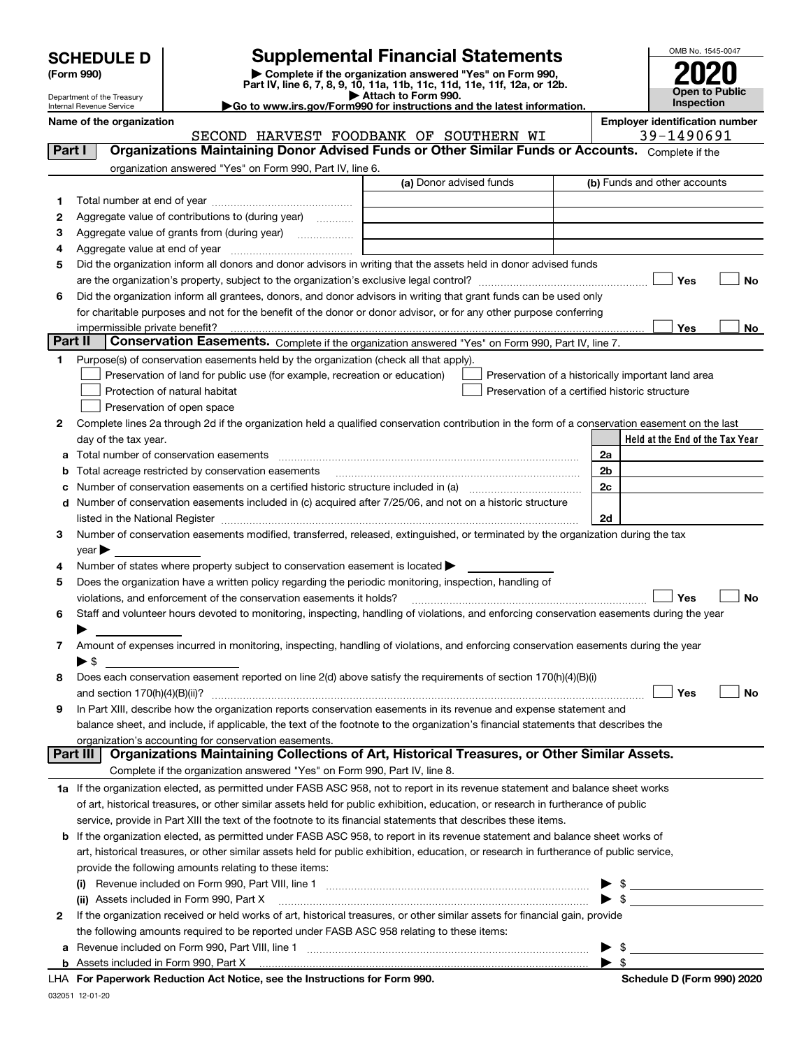| <b>SCHEDULE D</b> |  |
|-------------------|--|
|-------------------|--|

| (Form 990) |  |
|------------|--|
|------------|--|

## **SCHEDULE D Supplemental Financial Statements**

(Form 990)<br>
Pepartment of the Treasury<br>
Department of the Treasury<br>
Department of the Treasury<br>
Department of the Treasury<br> **Co to www.irs.gov/Form990 for instructions and the latest information.**<br> **Co to www.irs.gov/Form9** 



Department of the Treasury Internal Revenue Service

**Name of the organization Employer identification number**

|         | SECOND HARVEST FOODBANK OF SOUTHERN WI                                                                                                                                                                                                                                                                                                                            |                         |                          | 39-1490691                                         |           |
|---------|-------------------------------------------------------------------------------------------------------------------------------------------------------------------------------------------------------------------------------------------------------------------------------------------------------------------------------------------------------------------|-------------------------|--------------------------|----------------------------------------------------|-----------|
| Part I  | Organizations Maintaining Donor Advised Funds or Other Similar Funds or Accounts. Complete if the                                                                                                                                                                                                                                                                 |                         |                          |                                                    |           |
|         | organization answered "Yes" on Form 990, Part IV, line 6.                                                                                                                                                                                                                                                                                                         |                         |                          |                                                    |           |
|         |                                                                                                                                                                                                                                                                                                                                                                   | (a) Donor advised funds |                          | (b) Funds and other accounts                       |           |
| 1       |                                                                                                                                                                                                                                                                                                                                                                   |                         |                          |                                                    |           |
| 2       | Aggregate value of contributions to (during year)                                                                                                                                                                                                                                                                                                                 |                         |                          |                                                    |           |
| з       | Aggregate value of grants from (during year)                                                                                                                                                                                                                                                                                                                      |                         |                          |                                                    |           |
| 4       |                                                                                                                                                                                                                                                                                                                                                                   |                         |                          |                                                    |           |
| 5       | Did the organization inform all donors and donor advisors in writing that the assets held in donor advised funds                                                                                                                                                                                                                                                  |                         |                          |                                                    |           |
|         |                                                                                                                                                                                                                                                                                                                                                                   |                         |                          | Yes                                                | No        |
| 6       | Did the organization inform all grantees, donors, and donor advisors in writing that grant funds can be used only                                                                                                                                                                                                                                                 |                         |                          |                                                    |           |
|         | for charitable purposes and not for the benefit of the donor or donor advisor, or for any other purpose conferring                                                                                                                                                                                                                                                |                         |                          |                                                    |           |
|         | impermissible private benefit?                                                                                                                                                                                                                                                                                                                                    |                         |                          | Yes                                                | No        |
| Part II | Conservation Easements. Complete if the organization answered "Yes" on Form 990, Part IV, line 7.                                                                                                                                                                                                                                                                 |                         |                          |                                                    |           |
| 1       | Purpose(s) of conservation easements held by the organization (check all that apply).                                                                                                                                                                                                                                                                             |                         |                          |                                                    |           |
|         | Preservation of land for public use (for example, recreation or education)                                                                                                                                                                                                                                                                                        |                         |                          | Preservation of a historically important land area |           |
|         | Protection of natural habitat                                                                                                                                                                                                                                                                                                                                     |                         |                          | Preservation of a certified historic structure     |           |
|         | Preservation of open space                                                                                                                                                                                                                                                                                                                                        |                         |                          |                                                    |           |
| 2       | Complete lines 2a through 2d if the organization held a qualified conservation contribution in the form of a conservation easement on the last                                                                                                                                                                                                                    |                         |                          |                                                    |           |
|         | day of the tax year.                                                                                                                                                                                                                                                                                                                                              |                         |                          | Held at the End of the Tax Year                    |           |
|         |                                                                                                                                                                                                                                                                                                                                                                   |                         | 2a                       |                                                    |           |
| b       | Total acreage restricted by conservation easements                                                                                                                                                                                                                                                                                                                |                         | 2 <sub>b</sub>           |                                                    |           |
|         | Number of conservation easements on a certified historic structure included in (a) manufacture included in (a)                                                                                                                                                                                                                                                    |                         | 2c                       |                                                    |           |
| c       | d Number of conservation easements included in (c) acquired after 7/25/06, and not on a historic structure                                                                                                                                                                                                                                                        |                         |                          |                                                    |           |
|         |                                                                                                                                                                                                                                                                                                                                                                   |                         | 2d                       |                                                    |           |
| 3       | listed in the National Register [11, 1200] [12] The National Register [11, 1200] [12] The National Register [11, 1200] [12] The National Register [11, 1200] [12] The National Register [11, 1200] [12] The National Register<br>Number of conservation easements modified, transferred, released, extinguished, or terminated by the organization during the tax |                         |                          |                                                    |           |
|         | $year \blacktriangleright$                                                                                                                                                                                                                                                                                                                                        |                         |                          |                                                    |           |
| 4       | Number of states where property subject to conservation easement is located >                                                                                                                                                                                                                                                                                     |                         |                          |                                                    |           |
| 5       | Does the organization have a written policy regarding the periodic monitoring, inspection, handling of                                                                                                                                                                                                                                                            |                         |                          |                                                    |           |
|         | violations, and enforcement of the conservation easements it holds?                                                                                                                                                                                                                                                                                               |                         |                          | Yes                                                | <b>No</b> |
| 6       | Staff and volunteer hours devoted to monitoring, inspecting, handling of violations, and enforcing conservation easements during the year                                                                                                                                                                                                                         |                         |                          |                                                    |           |
|         |                                                                                                                                                                                                                                                                                                                                                                   |                         |                          |                                                    |           |
| 7       | Amount of expenses incurred in monitoring, inspecting, handling of violations, and enforcing conservation easements during the year                                                                                                                                                                                                                               |                         |                          |                                                    |           |
|         | $\blacktriangleright$ \$                                                                                                                                                                                                                                                                                                                                          |                         |                          |                                                    |           |
| 8       | Does each conservation easement reported on line 2(d) above satisfy the requirements of section 170(h)(4)(B)(i)                                                                                                                                                                                                                                                   |                         |                          |                                                    |           |
|         |                                                                                                                                                                                                                                                                                                                                                                   |                         |                          | Yes                                                | No        |
| 9       | In Part XIII, describe how the organization reports conservation easements in its revenue and expense statement and                                                                                                                                                                                                                                               |                         |                          |                                                    |           |
|         | balance sheet, and include, if applicable, the text of the footnote to the organization's financial statements that describes the                                                                                                                                                                                                                                 |                         |                          |                                                    |           |
|         | organization's accounting for conservation easements.                                                                                                                                                                                                                                                                                                             |                         |                          |                                                    |           |
|         | Organizations Maintaining Collections of Art, Historical Treasures, or Other Similar Assets.<br>Part III                                                                                                                                                                                                                                                          |                         |                          |                                                    |           |
|         | Complete if the organization answered "Yes" on Form 990, Part IV, line 8.                                                                                                                                                                                                                                                                                         |                         |                          |                                                    |           |
|         | 1a If the organization elected, as permitted under FASB ASC 958, not to report in its revenue statement and balance sheet works                                                                                                                                                                                                                                   |                         |                          |                                                    |           |
|         | of art, historical treasures, or other similar assets held for public exhibition, education, or research in furtherance of public                                                                                                                                                                                                                                 |                         |                          |                                                    |           |
|         | service, provide in Part XIII the text of the footnote to its financial statements that describes these items.                                                                                                                                                                                                                                                    |                         |                          |                                                    |           |
|         | b If the organization elected, as permitted under FASB ASC 958, to report in its revenue statement and balance sheet works of                                                                                                                                                                                                                                     |                         |                          |                                                    |           |
|         | art, historical treasures, or other similar assets held for public exhibition, education, or research in furtherance of public service,                                                                                                                                                                                                                           |                         |                          |                                                    |           |
|         | provide the following amounts relating to these items:                                                                                                                                                                                                                                                                                                            |                         |                          |                                                    |           |
|         |                                                                                                                                                                                                                                                                                                                                                                   |                         | ▶                        | - \$                                               |           |
|         | (ii) Assets included in Form 990, Part X                                                                                                                                                                                                                                                                                                                          |                         | $\blacktriangleright$ \$ |                                                    |           |
| 2       | If the organization received or held works of art, historical treasures, or other similar assets for financial gain, provide                                                                                                                                                                                                                                      |                         |                          |                                                    |           |
|         | the following amounts required to be reported under FASB ASC 958 relating to these items:                                                                                                                                                                                                                                                                         |                         |                          |                                                    |           |
| а       |                                                                                                                                                                                                                                                                                                                                                                   |                         | $\blacktriangleright$ \$ |                                                    |           |
|         |                                                                                                                                                                                                                                                                                                                                                                   |                         | $\blacktriangleright$ \$ |                                                    |           |

|  | LHA For Paperwork Reduction Act Notice, see the Instructions for Form 990. |  |  |  |
|--|----------------------------------------------------------------------------|--|--|--|
|--|----------------------------------------------------------------------------|--|--|--|

**For Paperwork Reduction Act Notice, Schedule D (Form 990) 2020**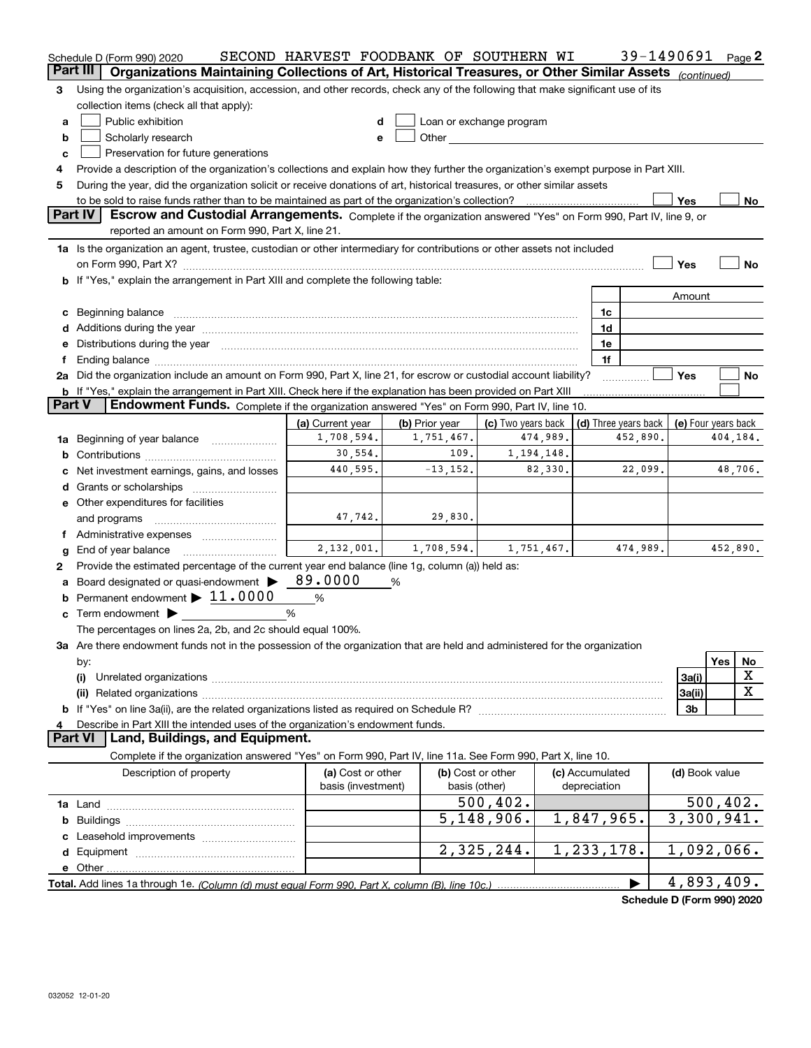|               | Schedule D (Form 990) 2020                                                                                                                                                                                                                                                                                                             | SECOND HARVEST FOODBANK OF SOUTHERN WI  |                |                                    |            |                                 | 39-1490691            |                     |           | Page 2      |
|---------------|----------------------------------------------------------------------------------------------------------------------------------------------------------------------------------------------------------------------------------------------------------------------------------------------------------------------------------------|-----------------------------------------|----------------|------------------------------------|------------|---------------------------------|-----------------------|---------------------|-----------|-------------|
| Part III      | Organizations Maintaining Collections of Art, Historical Treasures, or Other Similar Assets (continued)                                                                                                                                                                                                                                |                                         |                |                                    |            |                                 |                       |                     |           |             |
| З             | Using the organization's acquisition, accession, and other records, check any of the following that make significant use of its                                                                                                                                                                                                        |                                         |                |                                    |            |                                 |                       |                     |           |             |
|               | collection items (check all that apply):                                                                                                                                                                                                                                                                                               |                                         |                |                                    |            |                                 |                       |                     |           |             |
| a             | Public exhibition                                                                                                                                                                                                                                                                                                                      | d                                       |                | Loan or exchange program           |            |                                 |                       |                     |           |             |
| b             | Scholarly research                                                                                                                                                                                                                                                                                                                     | е                                       | Other          |                                    |            |                                 |                       |                     |           |             |
| c             | Preservation for future generations                                                                                                                                                                                                                                                                                                    |                                         |                |                                    |            |                                 |                       |                     |           |             |
| 4             | Provide a description of the organization's collections and explain how they further the organization's exempt purpose in Part XIII.                                                                                                                                                                                                   |                                         |                |                                    |            |                                 |                       |                     |           |             |
| 5             | During the year, did the organization solicit or receive donations of art, historical treasures, or other similar assets                                                                                                                                                                                                               |                                         |                |                                    |            |                                 |                       |                     |           |             |
|               |                                                                                                                                                                                                                                                                                                                                        |                                         |                |                                    |            |                                 |                       | Yes                 |           | No          |
|               | Part IV<br>Escrow and Custodial Arrangements. Complete if the organization answered "Yes" on Form 990, Part IV, line 9, or                                                                                                                                                                                                             |                                         |                |                                    |            |                                 |                       |                     |           |             |
|               | reported an amount on Form 990, Part X, line 21.                                                                                                                                                                                                                                                                                       |                                         |                |                                    |            |                                 |                       |                     |           |             |
|               | 1a Is the organization an agent, trustee, custodian or other intermediary for contributions or other assets not included                                                                                                                                                                                                               |                                         |                |                                    |            |                                 |                       |                     |           |             |
|               |                                                                                                                                                                                                                                                                                                                                        |                                         |                |                                    |            |                                 |                       | Yes                 |           | No          |
|               | b If "Yes," explain the arrangement in Part XIII and complete the following table:                                                                                                                                                                                                                                                     |                                         |                |                                    |            |                                 |                       |                     |           |             |
|               |                                                                                                                                                                                                                                                                                                                                        |                                         |                |                                    |            | 1c                              |                       | Amount              |           |             |
|               | c Beginning balance                                                                                                                                                                                                                                                                                                                    |                                         |                |                                    |            | 1d                              |                       |                     |           |             |
| е             | d Additions during the year manufactured and an account of the year manufactured and account of the year manufactured and account of the year manufactured and account of the year manufactured and account of the year manufa<br>Distributions during the year manufactured and an intervention of the year manufactured and the year |                                         |                |                                    |            | 1e                              |                       |                     |           |             |
|               | Ending balance <i>www.communicality.communicality.communicality.communicality.communicality.communicality.communicality.com</i>                                                                                                                                                                                                        |                                         |                |                                    |            | 1f                              |                       |                     |           |             |
|               | 2a Did the organization include an amount on Form 990, Part X, line 21, for escrow or custodial account liability?                                                                                                                                                                                                                     |                                         |                |                                    |            |                                 |                       | Yes                 |           | No          |
|               | <b>b</b> If "Yes," explain the arrangement in Part XIII. Check here if the explanation has been provided on Part XIII                                                                                                                                                                                                                  |                                         |                |                                    |            |                                 |                       |                     |           |             |
| <b>Part V</b> | Endowment Funds. Complete if the organization answered "Yes" on Form 990, Part IV, line 10.                                                                                                                                                                                                                                            |                                         |                |                                    |            |                                 |                       |                     |           |             |
|               |                                                                                                                                                                                                                                                                                                                                        | (a) Current year                        | (b) Prior year | (c) Two years back                 |            |                                 | (d) Three years back  | (e) Four years back |           |             |
| 1a            | Beginning of year balance                                                                                                                                                                                                                                                                                                              | 1,708,594.                              | 1,751,467.     |                                    | 474,989.   |                                 | 452,890.              |                     | 404,184.  |             |
| b             |                                                                                                                                                                                                                                                                                                                                        | 30,554.                                 | 109.           |                                    | 1,194,148. |                                 |                       |                     |           |             |
|               | Net investment earnings, gains, and losses                                                                                                                                                                                                                                                                                             | 440,595.                                | $-13, 152.$    |                                    | 82,330.    |                                 | 22,099.               |                     |           | 48,706.     |
| d             |                                                                                                                                                                                                                                                                                                                                        |                                         |                |                                    |            |                                 |                       |                     |           |             |
|               | e Other expenditures for facilities                                                                                                                                                                                                                                                                                                    |                                         |                |                                    |            |                                 |                       |                     |           |             |
|               | and programs                                                                                                                                                                                                                                                                                                                           | 47,742.                                 | 29,830.        |                                    |            |                                 |                       |                     |           |             |
| Ť.            |                                                                                                                                                                                                                                                                                                                                        |                                         |                |                                    |            |                                 |                       |                     |           |             |
| g             | End of year balance                                                                                                                                                                                                                                                                                                                    | 2,132,001.                              | 1,708,594.     |                                    | 1,751,467. |                                 | 474,989.              |                     | 452,890.  |             |
| 2             | Provide the estimated percentage of the current year end balance (line 1g, column (a)) held as:                                                                                                                                                                                                                                        |                                         |                |                                    |            |                                 |                       |                     |           |             |
| a             | Board designated or quasi-endowment                                                                                                                                                                                                                                                                                                    | 89.0000                                 | %              |                                    |            |                                 |                       |                     |           |             |
|               | <b>b</b> Permanent endowment $\blacktriangleright$ 11.0000                                                                                                                                                                                                                                                                             | $\%$                                    |                |                                    |            |                                 |                       |                     |           |             |
|               | Term endowment $\blacktriangleright$<br>%                                                                                                                                                                                                                                                                                              |                                         |                |                                    |            |                                 |                       |                     |           |             |
|               | The percentages on lines 2a, 2b, and 2c should equal 100%.                                                                                                                                                                                                                                                                             |                                         |                |                                    |            |                                 |                       |                     |           |             |
|               | 3a Are there endowment funds not in the possession of the organization that are held and administered for the organization                                                                                                                                                                                                             |                                         |                |                                    |            |                                 |                       |                     |           |             |
|               | by:                                                                                                                                                                                                                                                                                                                                    |                                         |                |                                    |            |                                 |                       |                     | Yes       | No          |
|               | (i)                                                                                                                                                                                                                                                                                                                                    |                                         |                |                                    |            |                                 |                       | 3a(i)               |           | X           |
|               |                                                                                                                                                                                                                                                                                                                                        |                                         |                |                                    |            |                                 |                       | 3a(ii)              |           | $\mathbf X$ |
|               |                                                                                                                                                                                                                                                                                                                                        |                                         |                |                                    |            |                                 |                       | 3 <sub>b</sub>      |           |             |
| 4             | Describe in Part XIII the intended uses of the organization's endowment funds.<br><b>Part VI</b>                                                                                                                                                                                                                                       |                                         |                |                                    |            |                                 |                       |                     |           |             |
|               | Land, Buildings, and Equipment.                                                                                                                                                                                                                                                                                                        |                                         |                |                                    |            |                                 |                       |                     |           |             |
|               | Complete if the organization answered "Yes" on Form 990, Part IV, line 11a. See Form 990, Part X, line 10.                                                                                                                                                                                                                             |                                         |                |                                    |            |                                 |                       |                     |           |             |
|               | Description of property                                                                                                                                                                                                                                                                                                                | (a) Cost or other<br>basis (investment) |                | (b) Cost or other<br>basis (other) |            | (c) Accumulated<br>depreciation |                       | (d) Book value      |           |             |
|               |                                                                                                                                                                                                                                                                                                                                        |                                         |                | 500, 402.                          |            |                                 |                       |                     | 500, 402. |             |
|               |                                                                                                                                                                                                                                                                                                                                        |                                         |                | 5,148,906.                         |            | 1,847,965.                      |                       | 3,300,941.          |           |             |
|               |                                                                                                                                                                                                                                                                                                                                        |                                         |                |                                    |            |                                 |                       |                     |           |             |
|               |                                                                                                                                                                                                                                                                                                                                        |                                         |                | 2,325,244.                         |            | 1,233,178.                      |                       | 1,092,066.          |           |             |
|               |                                                                                                                                                                                                                                                                                                                                        |                                         |                |                                    |            |                                 |                       |                     |           |             |
|               |                                                                                                                                                                                                                                                                                                                                        |                                         |                |                                    |            |                                 | $\blacktriangleright$ | 4,893,409.          |           |             |

**Schedule D (Form 990) 2020**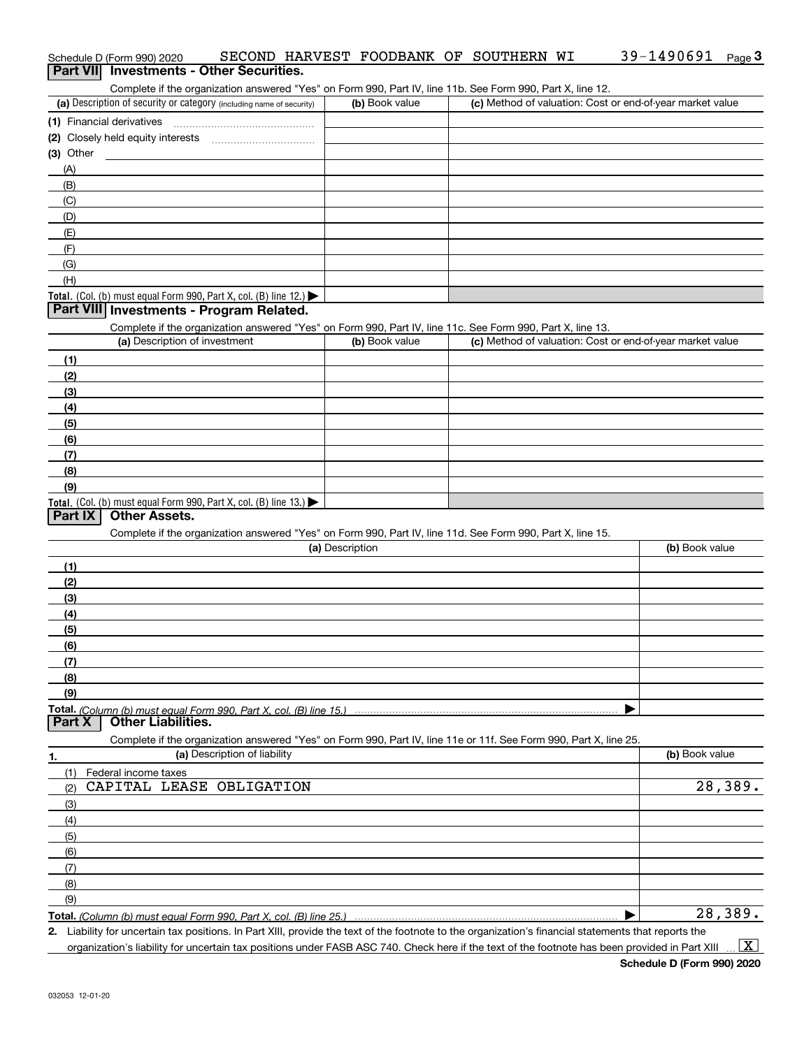| Schedule D (Form 990) 2020                                                                                                                           |                              |                 |                | SECOND HARVEST FOODBANK OF SOUTHERN WI                                                                            | 39-1490691<br>Page <sup>3</sup> |
|------------------------------------------------------------------------------------------------------------------------------------------------------|------------------------------|-----------------|----------------|-------------------------------------------------------------------------------------------------------------------|---------------------------------|
| Part VII Investments - Other Securities.                                                                                                             |                              |                 |                |                                                                                                                   |                                 |
|                                                                                                                                                      |                              |                 |                | Complete if the organization answered "Yes" on Form 990, Part IV, line 11b. See Form 990, Part X, line 12.        |                                 |
| (a) Description of security or category (including name of security)                                                                                 |                              |                 | (b) Book value | (c) Method of valuation: Cost or end-of-year market value                                                         |                                 |
| (1) Financial derivatives                                                                                                                            |                              |                 |                |                                                                                                                   |                                 |
|                                                                                                                                                      |                              |                 |                |                                                                                                                   |                                 |
| (3) Other                                                                                                                                            |                              |                 |                |                                                                                                                   |                                 |
| (A)                                                                                                                                                  |                              |                 |                |                                                                                                                   |                                 |
| (B)                                                                                                                                                  |                              |                 |                |                                                                                                                   |                                 |
| (C)                                                                                                                                                  |                              |                 |                |                                                                                                                   |                                 |
| (D)                                                                                                                                                  |                              |                 |                |                                                                                                                   |                                 |
| (E)                                                                                                                                                  |                              |                 |                |                                                                                                                   |                                 |
| (F)                                                                                                                                                  |                              |                 |                |                                                                                                                   |                                 |
| (G)                                                                                                                                                  |                              |                 |                |                                                                                                                   |                                 |
| (H)                                                                                                                                                  |                              |                 |                |                                                                                                                   |                                 |
| Total. (Col. (b) must equal Form 990, Part X, col. (B) line 12.)                                                                                     |                              |                 |                |                                                                                                                   |                                 |
| Part VIII Investments - Program Related.                                                                                                             |                              |                 |                |                                                                                                                   |                                 |
|                                                                                                                                                      |                              |                 |                | Complete if the organization answered "Yes" on Form 990, Part IV, line 11c. See Form 990, Part X, line 13.        |                                 |
| (a) Description of investment                                                                                                                        |                              |                 | (b) Book value | (c) Method of valuation: Cost or end-of-year market value                                                         |                                 |
| (1)                                                                                                                                                  |                              |                 |                |                                                                                                                   |                                 |
| (2)                                                                                                                                                  |                              |                 |                |                                                                                                                   |                                 |
| (3)                                                                                                                                                  |                              |                 |                |                                                                                                                   |                                 |
| (4)                                                                                                                                                  |                              |                 |                |                                                                                                                   |                                 |
| (5)                                                                                                                                                  |                              |                 |                |                                                                                                                   |                                 |
| (6)                                                                                                                                                  |                              |                 |                |                                                                                                                   |                                 |
| (7)                                                                                                                                                  |                              |                 |                |                                                                                                                   |                                 |
| (8)                                                                                                                                                  |                              |                 |                |                                                                                                                   |                                 |
| (9)                                                                                                                                                  |                              |                 |                |                                                                                                                   |                                 |
| <b>Total.</b> (Col. (b) must equal Form 990, Part X, col. (B) line 13.)<br>Part IX<br><b>Other Assets.</b>                                           |                              |                 |                |                                                                                                                   |                                 |
|                                                                                                                                                      |                              |                 |                |                                                                                                                   |                                 |
|                                                                                                                                                      |                              | (a) Description |                | Complete if the organization answered "Yes" on Form 990, Part IV, line 11d. See Form 990, Part X, line 15.        | (b) Book value                  |
|                                                                                                                                                      |                              |                 |                |                                                                                                                   |                                 |
| (1)<br>(2)                                                                                                                                           |                              |                 |                |                                                                                                                   |                                 |
|                                                                                                                                                      |                              |                 |                |                                                                                                                   |                                 |
| (3)                                                                                                                                                  |                              |                 |                |                                                                                                                   |                                 |
| (4)                                                                                                                                                  |                              |                 |                |                                                                                                                   |                                 |
| (5)<br>(6)                                                                                                                                           |                              |                 |                |                                                                                                                   |                                 |
| (7)                                                                                                                                                  |                              |                 |                |                                                                                                                   |                                 |
| (8)                                                                                                                                                  |                              |                 |                |                                                                                                                   |                                 |
| (9)                                                                                                                                                  |                              |                 |                |                                                                                                                   |                                 |
| Total. (Column (b) must equal Form 990. Part X, col. (B) line 15.)                                                                                   |                              |                 |                |                                                                                                                   |                                 |
| <b>Other Liabilities.</b><br>Part X                                                                                                                  |                              |                 |                |                                                                                                                   |                                 |
|                                                                                                                                                      |                              |                 |                | Complete if the organization answered "Yes" on Form 990, Part IV, line 11e or 11f. See Form 990, Part X, line 25. |                                 |
| 1.                                                                                                                                                   | (a) Description of liability |                 |                |                                                                                                                   | (b) Book value                  |
| (1)<br>Federal income taxes                                                                                                                          |                              |                 |                |                                                                                                                   |                                 |
| CAPITAL LEASE OBLIGATION<br>(2)                                                                                                                      |                              |                 |                |                                                                                                                   | 28,389.                         |
| (3)                                                                                                                                                  |                              |                 |                |                                                                                                                   |                                 |
| (4)                                                                                                                                                  |                              |                 |                |                                                                                                                   |                                 |
| (5)                                                                                                                                                  |                              |                 |                |                                                                                                                   |                                 |
| (6)                                                                                                                                                  |                              |                 |                |                                                                                                                   |                                 |
| (7)                                                                                                                                                  |                              |                 |                |                                                                                                                   |                                 |
| (8)                                                                                                                                                  |                              |                 |                |                                                                                                                   |                                 |
| (9)                                                                                                                                                  |                              |                 |                |                                                                                                                   |                                 |
| Total. (Column (b) must equal Form 990, Part X, col. (B) line 25.)                                                                                   |                              |                 |                |                                                                                                                   | 28,389.                         |
| 2. Liability for uncertain tax positions. In Part XIII, provide the text of the footnote to the organization's financial statements that reports the |                              |                 |                |                                                                                                                   |                                 |

organization's liability for uncertain tax positions under FASB ASC 740. Check here if the text of the footnote has been provided in Part XIII

 $\vert$  X  $\vert$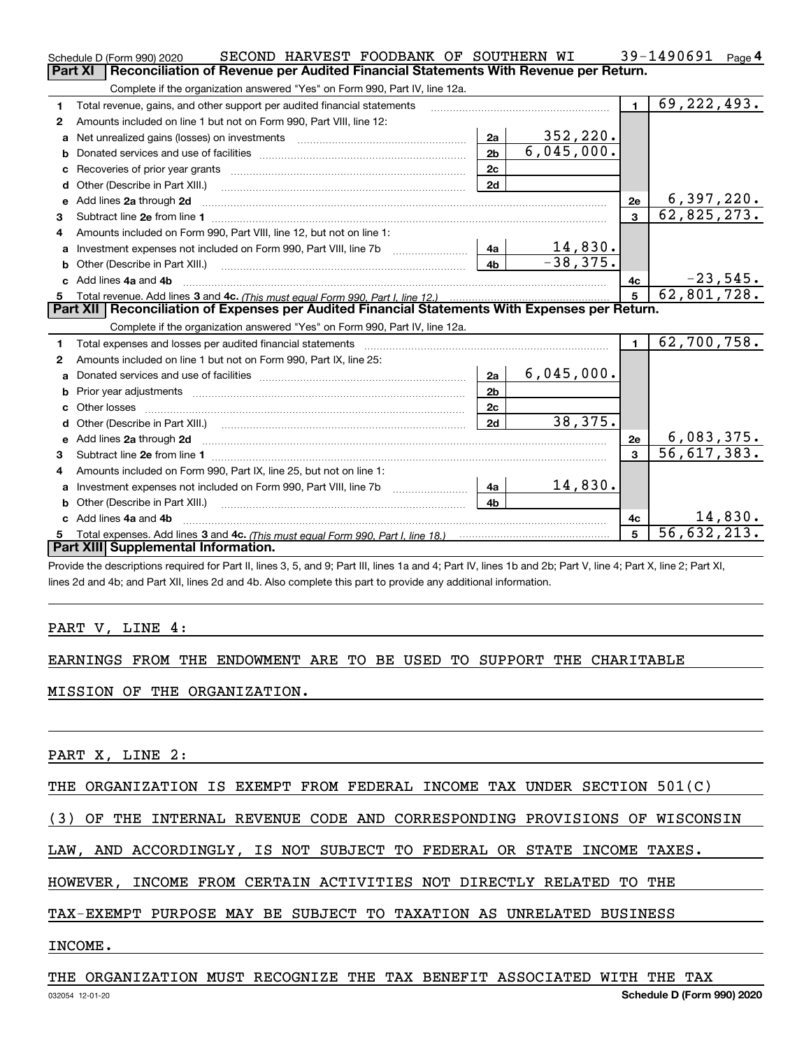|    | SECOND HARVEST FOODBANK OF SOUTHERN WI<br>Schedule D (Form 990) 2020                                                |                |                            |                | 39-1490691<br>Page $4$      |
|----|---------------------------------------------------------------------------------------------------------------------|----------------|----------------------------|----------------|-----------------------------|
|    | <b>Part XI</b><br>Reconciliation of Revenue per Audited Financial Statements With Revenue per Return.               |                |                            |                |                             |
|    | Complete if the organization answered "Yes" on Form 990, Part IV, line 12a.                                         |                |                            |                |                             |
| 1  | Total revenue, gains, and other support per audited financial statements                                            |                |                            | $\blacksquare$ | $\overline{69}$ , 222, 493. |
| 2  | Amounts included on line 1 but not on Form 990, Part VIII, line 12:                                                 |                |                            |                |                             |
| a  | Net unrealized gains (losses) on investments [11] matter contracts and the unrealized gains (losses) on investments | 2a             | 352, 220.                  |                |                             |
|    |                                                                                                                     | 2 <sub>b</sub> | 6,045,000.                 |                |                             |
| с  |                                                                                                                     | 2c             |                            |                |                             |
| d  |                                                                                                                     | 2d             |                            |                |                             |
| е  | Add lines 2a through 2d                                                                                             |                |                            | 2e             | 6,397,220.                  |
| З. |                                                                                                                     |                |                            | $\mathbf{a}$   | 62,825,273.                 |
| 4  | Amounts included on Form 990, Part VIII, line 12, but not on line 1:                                                |                |                            |                |                             |
|    |                                                                                                                     |                | $\frac{14,830}{-38,375}$ . |                |                             |
| b  |                                                                                                                     | 4 <sub>h</sub> |                            |                |                             |
|    | Add lines 4a and 4b                                                                                                 |                |                            | 4c             | $-23,545.$                  |
|    |                                                                                                                     |                |                            | 5              | 62,801,728.                 |
| 5. |                                                                                                                     |                |                            |                |                             |
|    | Part XII   Reconciliation of Expenses per Audited Financial Statements With Expenses per Return.                    |                |                            |                |                             |
|    | Complete if the organization answered "Yes" on Form 990, Part IV, line 12a.                                         |                |                            |                |                             |
| 1  |                                                                                                                     |                |                            | $\blacksquare$ | 62,700,758.                 |
| 2  | Amounts included on line 1 but not on Form 990, Part IX, line 25:                                                   |                |                            |                |                             |
| a  |                                                                                                                     | 2a             | 6,045,000.                 |                |                             |
|    |                                                                                                                     | 2 <sub>b</sub> |                            |                |                             |
| c  |                                                                                                                     | 2c             |                            |                |                             |
|    |                                                                                                                     | 2d             | 38, 375.                   |                |                             |
| е  |                                                                                                                     |                |                            | 2e             | 6,083,375.                  |
| З. |                                                                                                                     |                |                            | $\mathbf{a}$   | $\overline{56}$ , 617, 383. |
| 4  | Amounts included on Form 990, Part IX, line 25, but not on line 1:                                                  |                |                            |                |                             |
| a  | Investment expenses not included on Form 990, Part VIII, line 7b [1000000000000000000000000000000000                | 4a             | 14,830.                    |                |                             |
|    |                                                                                                                     | 4b             |                            |                |                             |
|    | Add lines 4a and 4b                                                                                                 |                |                            | 4c             | 14,830.                     |
| 5  | Part XIII Supplemental Information.                                                                                 |                |                            |                | 56,632,213.                 |

Provide the descriptions required for Part II, lines 3, 5, and 9; Part III, lines 1a and 4; Part IV, lines 1b and 2b; Part V, line 4; Part X, line 2; Part XI, lines 2d and 4b; and Part XII, lines 2d and 4b. Also complete this part to provide any additional information.

#### PART V, LINE 4:

#### EARNINGS FROM THE ENDOWMENT ARE TO BE USED TO SUPPORT THE CHARITABLE

#### MISSION OF THE ORGANIZATION.

PART X, LINE 2:

THE ORGANIZATION IS EXEMPT FROM FEDERAL INCOME TAX UNDER SECTION 501(C)

(3) OF THE INTERNAL REVENUE CODE AND CORRESPONDING PROVISIONS OF WISCONSIN

LAW, AND ACCORDINGLY, IS NOT SUBJECT TO FEDERAL OR STATE INCOME TAXES.

HOWEVER, INCOME FROM CERTAIN ACTIVITIES NOT DIRECTLY RELATED TO THE

TAX-EXEMPT PURPOSE MAY BE SUBJECT TO TAXATION AS UNRELATED BUSINESS

## INCOME.

#### THE ORGANIZATION MUST RECOGNIZE THE TAX BENEFIT ASSOCIATED WITH THE TAX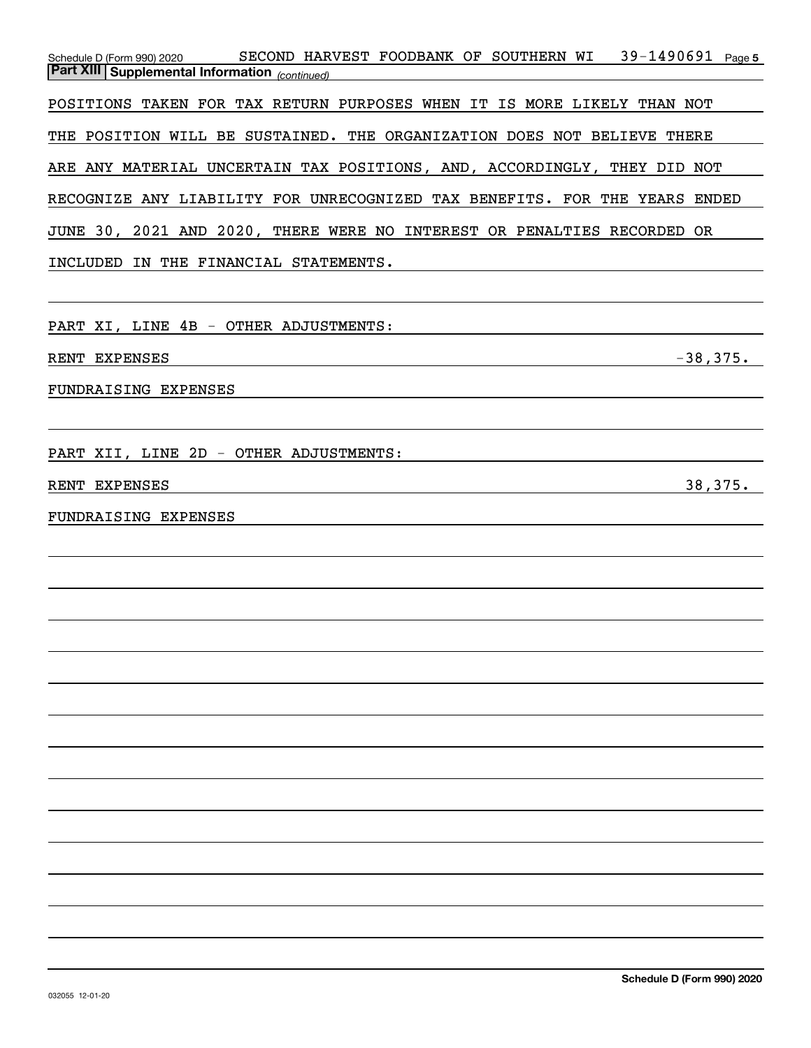| Schedule D (Form 990) 2020 SECOND HARVEST FOODBANK OF SOUTHERN WI 39-1490691 Page 5<br><b>Part XIII Supplemental Information</b> (continued)  |
|-----------------------------------------------------------------------------------------------------------------------------------------------|
| POSITIONS TAKEN FOR TAX RETURN PURPOSES WHEN IT IS MORE LIKELY THAN NOT                                                                       |
| THE POSITION WILL BE SUSTAINED. THE ORGANIZATION DOES NOT BELIEVE THERE                                                                       |
| ARE ANY MATERIAL UNCERTAIN TAX POSITIONS, AND, ACCORDINGLY, THEY DID NOT                                                                      |
| RECOGNIZE ANY LIABILITY FOR UNRECOGNIZED TAX BENEFITS. FOR THE YEARS ENDED                                                                    |
| JUNE 30, 2021 AND 2020, THERE WERE NO INTEREST OR PENALTIES RECORDED OR                                                                       |
|                                                                                                                                               |
|                                                                                                                                               |
| PART XI, LINE 4B - OTHER ADJUSTMENTS: Network and the set of the set of the set of the set of the set of the s                                |
| $-38,375.$<br>RENT EXPENSES                                                                                                                   |
| FUNDRAISING EXPENSES<br><u> 1989 - Johann Stoff, deutscher Stoff, der Stoff, der Stoff, der Stoff, der Stoff, der Stoff, der Stoff, der S</u> |
|                                                                                                                                               |
| PART XII, LINE 2D - OTHER ADJUSTMENTS: Network and the set of the set of the set of the set of the set of the                                 |
| 38,375.<br>RENT EXPENSES                                                                                                                      |
| FUNDRAISING EXPENSES<br><u> 1989 - Johann Stoff, deutscher Stoff, der Stoff, der Stoff, der Stoff, der Stoff, der Stoff, der Stoff, der S</u> |
|                                                                                                                                               |
|                                                                                                                                               |
|                                                                                                                                               |
|                                                                                                                                               |
|                                                                                                                                               |
|                                                                                                                                               |
|                                                                                                                                               |
|                                                                                                                                               |
|                                                                                                                                               |
|                                                                                                                                               |
|                                                                                                                                               |
|                                                                                                                                               |
|                                                                                                                                               |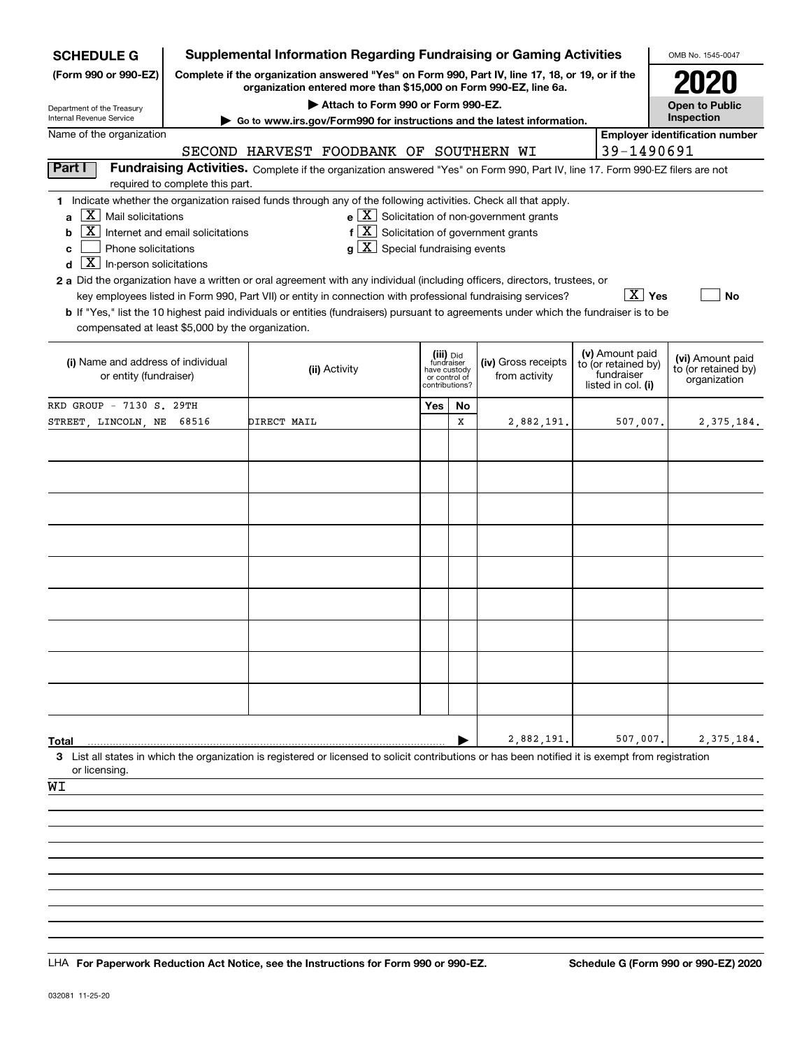| <b>SCHEDULE G</b>                                                                                                                         |                                  | <b>Supplemental Information Regarding Fundraising or Gaming Activities</b>                                                                                                                                                                                                                                                                                                                                                                                                                                                                                                                                            |                                                                                       |    |                                                       |                                                                            | OMB No. 1545-0047                                       |
|-------------------------------------------------------------------------------------------------------------------------------------------|----------------------------------|-----------------------------------------------------------------------------------------------------------------------------------------------------------------------------------------------------------------------------------------------------------------------------------------------------------------------------------------------------------------------------------------------------------------------------------------------------------------------------------------------------------------------------------------------------------------------------------------------------------------------|---------------------------------------------------------------------------------------|----|-------------------------------------------------------|----------------------------------------------------------------------------|---------------------------------------------------------|
| (Form 990 or 990-EZ)                                                                                                                      |                                  | Complete if the organization answered "Yes" on Form 990, Part IV, line 17, 18, or 19, or if the<br>organization entered more than \$15,000 on Form 990-EZ, line 6a.                                                                                                                                                                                                                                                                                                                                                                                                                                                   |                                                                                       |    |                                                       |                                                                            | <b>2020</b>                                             |
| Department of the Treasury                                                                                                                |                                  | Attach to Form 990 or Form 990-EZ.                                                                                                                                                                                                                                                                                                                                                                                                                                                                                                                                                                                    |                                                                                       |    |                                                       |                                                                            | <b>Open to Public</b>                                   |
| Internal Revenue Service<br>Name of the organization                                                                                      |                                  | Go to www.irs.gov/Form990 for instructions and the latest information.                                                                                                                                                                                                                                                                                                                                                                                                                                                                                                                                                |                                                                                       |    |                                                       |                                                                            | Inspection<br><b>Employer identification number</b>     |
|                                                                                                                                           |                                  | SECOND HARVEST FOODBANK OF SOUTHERN WI                                                                                                                                                                                                                                                                                                                                                                                                                                                                                                                                                                                |                                                                                       |    |                                                       | 39-1490691                                                                 |                                                         |
| Part I                                                                                                                                    |                                  | Fundraising Activities. Complete if the organization answered "Yes" on Form 990, Part IV, line 17. Form 990-EZ filers are not                                                                                                                                                                                                                                                                                                                                                                                                                                                                                         |                                                                                       |    |                                                       |                                                                            |                                                         |
|                                                                                                                                           | required to complete this part.  |                                                                                                                                                                                                                                                                                                                                                                                                                                                                                                                                                                                                                       |                                                                                       |    |                                                       |                                                                            |                                                         |
| $\boxed{\text{X}}$ Mail solicitations<br>a<br>  X  <br>b<br>Phone solicitations<br>c<br>$\boxed{\textbf{X}}$ In-person solicitations<br>d | Internet and email solicitations | 1 Indicate whether the organization raised funds through any of the following activities. Check all that apply.<br>$f\left[\frac{X}{X}\right]$ Solicitation of government grants<br>$g\mid X$ Special fundraising events<br>2 a Did the organization have a written or oral agreement with any individual (including officers, directors, trustees, or<br>key employees listed in Form 990, Part VII) or entity in connection with professional fundraising services?<br><b>b</b> If "Yes," list the 10 highest paid individuals or entities (fundraisers) pursuant to agreements under which the fundraiser is to be |                                                                                       |    | $e$ $\boxed{X}$ Solicitation of non-government grants | $\boxed{\text{X}}$ Yes                                                     | No                                                      |
| compensated at least \$5,000 by the organization.                                                                                         |                                  |                                                                                                                                                                                                                                                                                                                                                                                                                                                                                                                                                                                                                       |                                                                                       |    |                                                       |                                                                            |                                                         |
| (i) Name and address of individual<br>or entity (fundraiser)                                                                              |                                  | (ii) Activity                                                                                                                                                                                                                                                                                                                                                                                                                                                                                                                                                                                                         | (iii) <sub>Did</sub><br>fundraiser<br>have custody<br>or control of<br>contributions? |    | (iv) Gross receipts<br>from activity                  | (v) Amount paid<br>to (or retained by)<br>fundraiser<br>listed in col. (i) | (vi) Amount paid<br>to (or retained by)<br>organization |
| RKD GROUP - 7130 S. 29TH                                                                                                                  |                                  |                                                                                                                                                                                                                                                                                                                                                                                                                                                                                                                                                                                                                       | Yes                                                                                   | No |                                                       |                                                                            |                                                         |
| STREET, LINCOLN, NE                                                                                                                       | 68516                            | DIRECT MAIL                                                                                                                                                                                                                                                                                                                                                                                                                                                                                                                                                                                                           |                                                                                       | x  | 2,882,191.                                            | 507,007.                                                                   | 2, 375, 184.                                            |
| Total<br>or licensing.<br>WI                                                                                                              |                                  | 3 List all states in which the organization is registered or licensed to solicit contributions or has been notified it is exempt from registration                                                                                                                                                                                                                                                                                                                                                                                                                                                                    |                                                                                       |    | 2,882,191.                                            | 507,007.                                                                   | 2, 375, 184.                                            |
|                                                                                                                                           |                                  |                                                                                                                                                                                                                                                                                                                                                                                                                                                                                                                                                                                                                       |                                                                                       |    |                                                       |                                                                            |                                                         |
|                                                                                                                                           |                                  |                                                                                                                                                                                                                                                                                                                                                                                                                                                                                                                                                                                                                       |                                                                                       |    |                                                       |                                                                            |                                                         |
|                                                                                                                                           |                                  |                                                                                                                                                                                                                                                                                                                                                                                                                                                                                                                                                                                                                       |                                                                                       |    |                                                       |                                                                            |                                                         |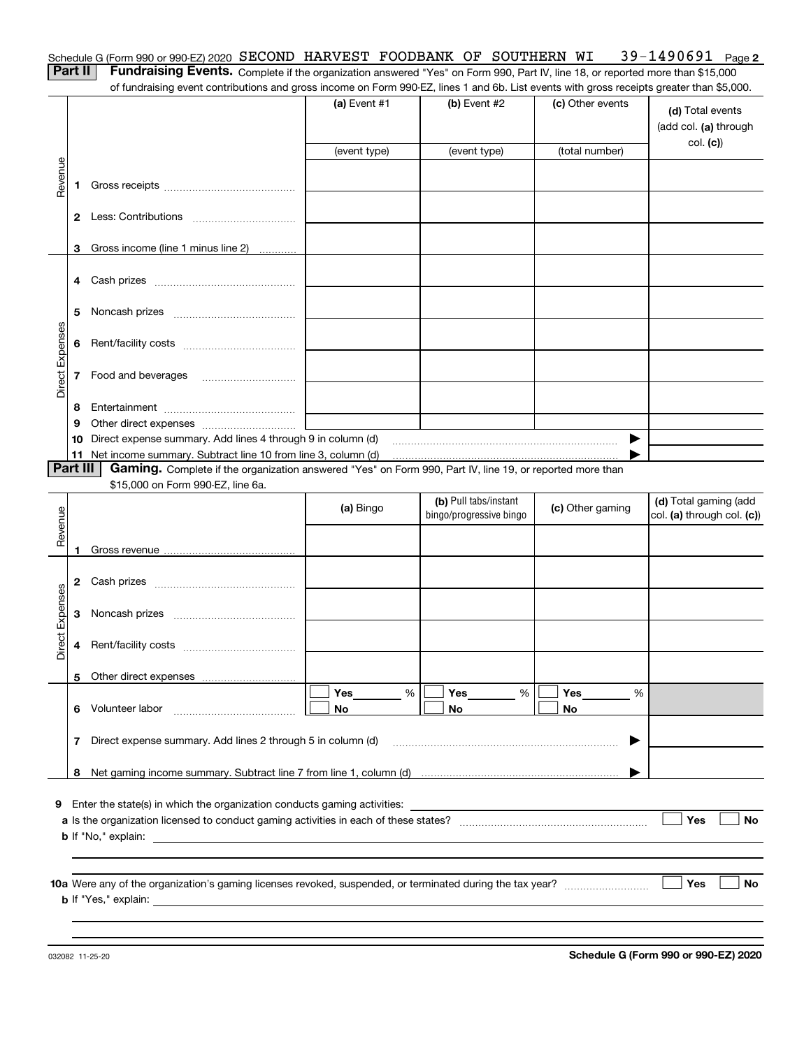| Schedule G (Form 990 or 990-EZ) 2020 SECOND HARVEST FOODBANK OF SOUTHERN WI 39-1490691 Page 2                                                |  |  |  |  |
|----------------------------------------------------------------------------------------------------------------------------------------------|--|--|--|--|
| <b>Part II</b> Fundraising Events. Complete if the organization answered "Yes" on Form 990, Part IV, line 18, or reported more than \$15,000 |  |  |  |  |

of fundraising event contributions and gross income on Form 990-EZ, lines 1 and 6b. List events with gross receipts greater than \$5,000.

|                 |    |                                                                                                                                                                                                                                           | (a) Event $#1$ | $(b)$ Event #2          | (c) Other events | (d) Total events<br>(add col. (a) through<br>col. (c) |
|-----------------|----|-------------------------------------------------------------------------------------------------------------------------------------------------------------------------------------------------------------------------------------------|----------------|-------------------------|------------------|-------------------------------------------------------|
|                 |    |                                                                                                                                                                                                                                           | (event type)   | (event type)            | (total number)   |                                                       |
| Revenue         | 1  |                                                                                                                                                                                                                                           |                |                         |                  |                                                       |
|                 | 2  |                                                                                                                                                                                                                                           |                |                         |                  |                                                       |
|                 |    | 3 Gross income (line 1 minus line 2)                                                                                                                                                                                                      |                |                         |                  |                                                       |
|                 |    |                                                                                                                                                                                                                                           |                |                         |                  |                                                       |
|                 | 5  |                                                                                                                                                                                                                                           |                |                         |                  |                                                       |
|                 |    |                                                                                                                                                                                                                                           |                |                         |                  |                                                       |
| Direct Expenses | 6  |                                                                                                                                                                                                                                           |                |                         |                  |                                                       |
|                 | 7  | Food and beverages                                                                                                                                                                                                                        |                |                         |                  |                                                       |
|                 | 8  |                                                                                                                                                                                                                                           |                |                         |                  |                                                       |
|                 | 9  |                                                                                                                                                                                                                                           |                |                         |                  |                                                       |
|                 | 10 | Direct expense summary. Add lines 4 through 9 in column (d)                                                                                                                                                                               |                |                         | ▶                |                                                       |
| <b>Part III</b> |    | 11 Net income summary. Subtract line 10 from line 3, column (d)<br>Gaming. Complete if the organization answered "Yes" on Form 990, Part IV, line 19, or reported more than                                                               |                |                         |                  |                                                       |
|                 |    | \$15,000 on Form 990-EZ, line 6a.                                                                                                                                                                                                         |                |                         |                  |                                                       |
|                 |    |                                                                                                                                                                                                                                           |                | (b) Pull tabs/instant   |                  | (d) Total gaming (add                                 |
|                 |    |                                                                                                                                                                                                                                           | (a) Bingo      | bingo/progressive bingo | (c) Other gaming | col. (a) through col. (c))                            |
| Revenue         |    |                                                                                                                                                                                                                                           |                |                         |                  |                                                       |
|                 |    |                                                                                                                                                                                                                                           |                |                         |                  |                                                       |
|                 |    |                                                                                                                                                                                                                                           |                |                         |                  |                                                       |
|                 | 2  |                                                                                                                                                                                                                                           |                |                         |                  |                                                       |
| Direct Expenses | 3  |                                                                                                                                                                                                                                           |                |                         |                  |                                                       |
|                 | 4  |                                                                                                                                                                                                                                           |                |                         |                  |                                                       |
|                 |    |                                                                                                                                                                                                                                           |                |                         |                  |                                                       |
|                 |    |                                                                                                                                                                                                                                           | Yes            | Yes<br>%                | Yes<br>%         |                                                       |
|                 | 6. | Volunteer labor                                                                                                                                                                                                                           | %<br>No        | No                      | No               |                                                       |
|                 | 7  | Direct expense summary. Add lines 2 through 5 in column (d)                                                                                                                                                                               |                |                         |                  |                                                       |
|                 |    |                                                                                                                                                                                                                                           |                |                         |                  |                                                       |
|                 | 8  |                                                                                                                                                                                                                                           |                |                         |                  |                                                       |
|                 |    |                                                                                                                                                                                                                                           |                |                         |                  |                                                       |
|                 |    | 9 Enter the state(s) in which the organization conducts gaming activities:                                                                                                                                                                |                |                         |                  |                                                       |
|                 |    |                                                                                                                                                                                                                                           |                |                         |                  | Yes<br>No                                             |
|                 |    | <b>b</b> If "No," explain:                                                                                                                                                                                                                |                |                         |                  |                                                       |
|                 |    |                                                                                                                                                                                                                                           |                |                         |                  |                                                       |
|                 |    |                                                                                                                                                                                                                                           |                |                         |                  | Yes<br>No                                             |
|                 |    | <b>b</b> If "Yes," explain: <u>example and a set of the set of the set of the set of the set of the set of the set of the set of the set of the set of the set of the set of the set of the set of the set of the set of the set of t</u> |                |                         |                  |                                                       |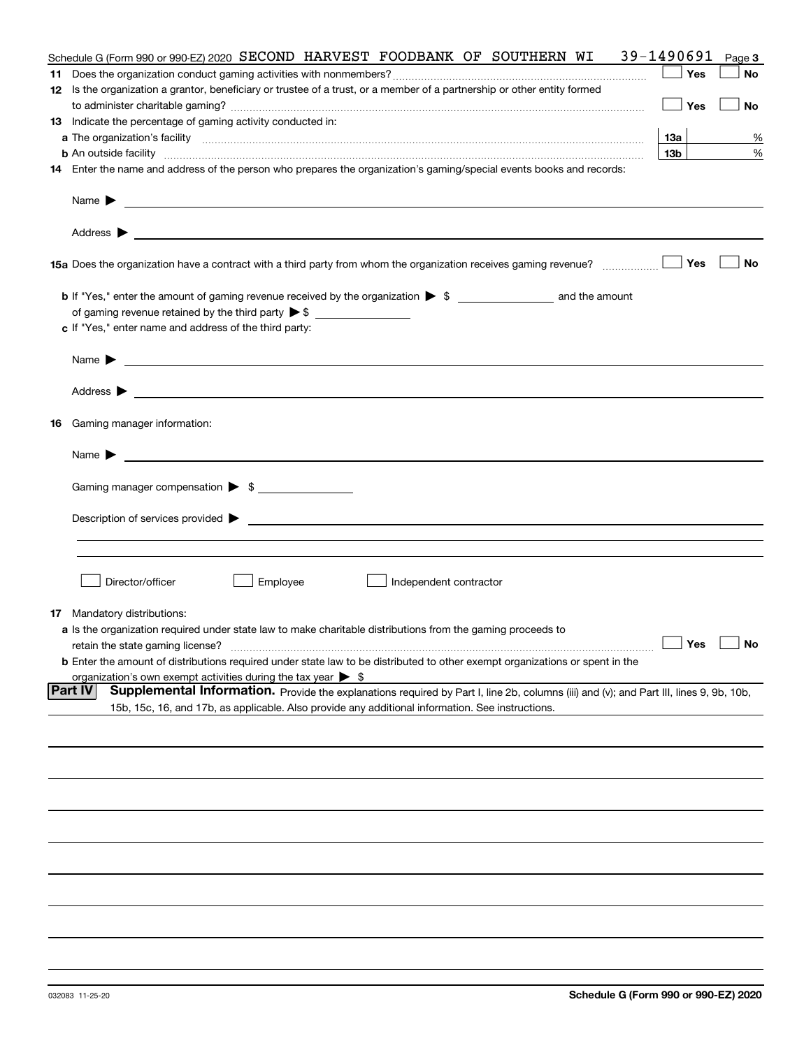| Schedule G (Form 990 or 990-EZ) 2020 SECOND HARVEST FOODBANK OF SOUTHERN WI                                                                                                                                                                                        | 39-1490691      | Page 3    |
|--------------------------------------------------------------------------------------------------------------------------------------------------------------------------------------------------------------------------------------------------------------------|-----------------|-----------|
|                                                                                                                                                                                                                                                                    | Yes             | No        |
| 12 Is the organization a grantor, beneficiary or trustee of a trust, or a member of a partnership or other entity formed                                                                                                                                           |                 |           |
|                                                                                                                                                                                                                                                                    | Yes             | No        |
| 13 Indicate the percentage of gaming activity conducted in:                                                                                                                                                                                                        |                 |           |
|                                                                                                                                                                                                                                                                    | 13а             | %         |
| <b>b</b> An outside facility <b>contained an according to the contract of the contract of the contract of the contract of the contract of the contract of the contract of the contract of the contract of the contract of the contrac</b>                          | 13 <sub>b</sub> | %         |
| 14 Enter the name and address of the person who prepares the organization's gaming/special events books and records:                                                                                                                                               |                 |           |
|                                                                                                                                                                                                                                                                    |                 |           |
| Name $\blacktriangleright$<br><u>state and the state of the state of the state of the state of the state of the state of the state of the state of the state of the state of the state of the state of the state of the state of the state of the state of the</u> |                 |           |
|                                                                                                                                                                                                                                                                    |                 |           |
| <u>and the contract of the contract of the contract of the contract of the contract of the contract of the contract of</u><br>Address $\blacktriangleright$                                                                                                        |                 |           |
| 15a Does the organization have a contract with a third party from whom the organization receives gaming revenue?                                                                                                                                                   | Yes             | No        |
|                                                                                                                                                                                                                                                                    |                 |           |
|                                                                                                                                                                                                                                                                    |                 |           |
| c If "Yes," enter name and address of the third party:                                                                                                                                                                                                             |                 |           |
|                                                                                                                                                                                                                                                                    |                 |           |
| Name $\blacktriangleright$                                                                                                                                                                                                                                         |                 |           |
| Address $\blacktriangleright$                                                                                                                                                                                                                                      |                 |           |
|                                                                                                                                                                                                                                                                    |                 |           |
| 16 Gaming manager information:                                                                                                                                                                                                                                     |                 |           |
| <u> 1989 - Johann Barbara, martin amerikan basal dan berasal dalam basal dan berasal dalam basal dalam basal dala</u><br>Name $\blacktriangleright$                                                                                                                |                 |           |
|                                                                                                                                                                                                                                                                    |                 |           |
| Gaming manager compensation > \$                                                                                                                                                                                                                                   |                 |           |
|                                                                                                                                                                                                                                                                    |                 |           |
|                                                                                                                                                                                                                                                                    |                 |           |
|                                                                                                                                                                                                                                                                    |                 |           |
|                                                                                                                                                                                                                                                                    |                 |           |
| Director/officer<br>Employee<br>Independent contractor                                                                                                                                                                                                             |                 |           |
|                                                                                                                                                                                                                                                                    |                 |           |
| <b>17</b> Mandatory distributions:                                                                                                                                                                                                                                 |                 |           |
| a Is the organization required under state law to make charitable distributions from the gaming proceeds to                                                                                                                                                        |                 |           |
| retain the state gaming license?                                                                                                                                                                                                                                   | Yes $\lfloor$   | <b>No</b> |
| <b>b</b> Enter the amount of distributions required under state law to be distributed to other exempt organizations or spent in the                                                                                                                                |                 |           |
| organization's own exempt activities during the tax year $\triangleright$ \$                                                                                                                                                                                       |                 |           |
| Part IV<br>Supplemental Information. Provide the explanations required by Part I, line 2b, columns (iii) and (v); and Part III, lines 9, 9b, 10b,                                                                                                                  |                 |           |
| 15b, 15c, 16, and 17b, as applicable. Also provide any additional information. See instructions.                                                                                                                                                                   |                 |           |
|                                                                                                                                                                                                                                                                    |                 |           |
|                                                                                                                                                                                                                                                                    |                 |           |
|                                                                                                                                                                                                                                                                    |                 |           |
|                                                                                                                                                                                                                                                                    |                 |           |
|                                                                                                                                                                                                                                                                    |                 |           |
|                                                                                                                                                                                                                                                                    |                 |           |
|                                                                                                                                                                                                                                                                    |                 |           |
|                                                                                                                                                                                                                                                                    |                 |           |
|                                                                                                                                                                                                                                                                    |                 |           |
|                                                                                                                                                                                                                                                                    |                 |           |
|                                                                                                                                                                                                                                                                    |                 |           |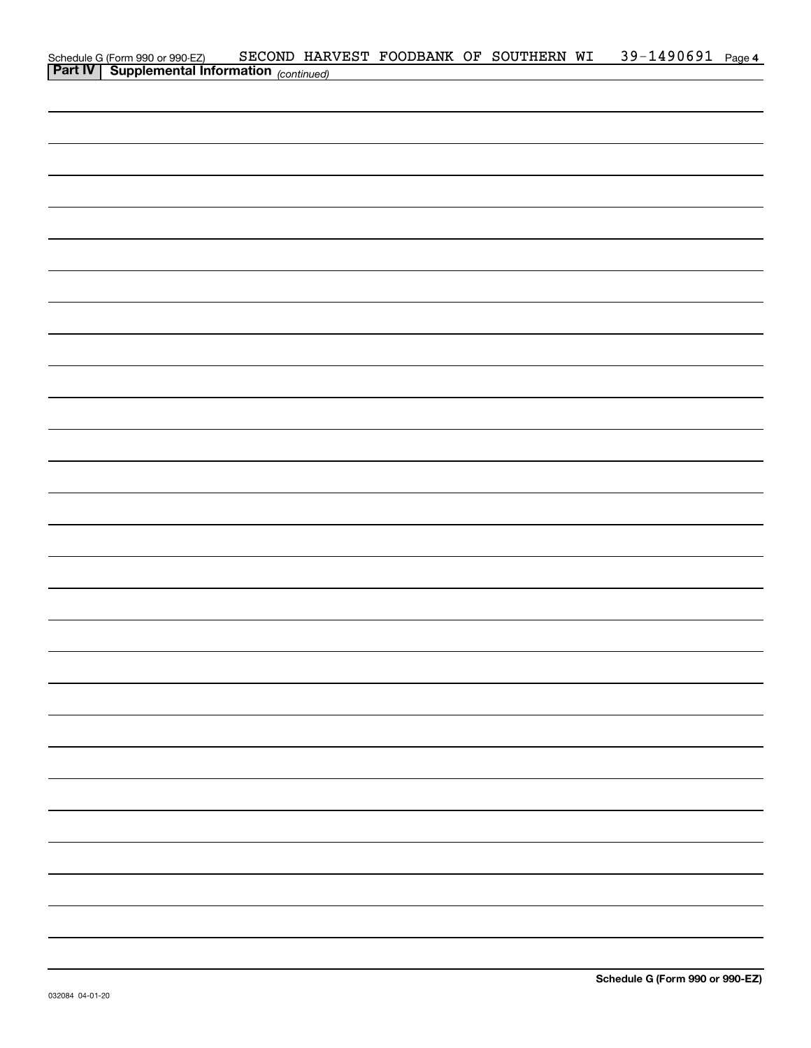| Schedule G (Form 990 or 990-EZ) SECOND HAR<br><b>Part IV</b> Supplemental Information (continued) |  |  | SECOND HARVEST FOODBANK OF SOUTHERN WI | 39-1490691 Page 4 |  |
|---------------------------------------------------------------------------------------------------|--|--|----------------------------------------|-------------------|--|
|                                                                                                   |  |  |                                        |                   |  |
|                                                                                                   |  |  |                                        |                   |  |
|                                                                                                   |  |  |                                        |                   |  |
|                                                                                                   |  |  |                                        |                   |  |
|                                                                                                   |  |  |                                        |                   |  |
|                                                                                                   |  |  |                                        |                   |  |
|                                                                                                   |  |  |                                        |                   |  |
|                                                                                                   |  |  |                                        |                   |  |
|                                                                                                   |  |  |                                        |                   |  |
|                                                                                                   |  |  |                                        |                   |  |
|                                                                                                   |  |  |                                        |                   |  |
|                                                                                                   |  |  |                                        |                   |  |
|                                                                                                   |  |  |                                        |                   |  |
|                                                                                                   |  |  |                                        |                   |  |
|                                                                                                   |  |  |                                        |                   |  |
|                                                                                                   |  |  |                                        |                   |  |
|                                                                                                   |  |  |                                        |                   |  |
|                                                                                                   |  |  |                                        |                   |  |
|                                                                                                   |  |  |                                        |                   |  |
|                                                                                                   |  |  |                                        |                   |  |
|                                                                                                   |  |  |                                        |                   |  |
|                                                                                                   |  |  |                                        |                   |  |
|                                                                                                   |  |  |                                        |                   |  |
|                                                                                                   |  |  |                                        |                   |  |
|                                                                                                   |  |  |                                        |                   |  |
|                                                                                                   |  |  |                                        |                   |  |
|                                                                                                   |  |  |                                        |                   |  |
|                                                                                                   |  |  |                                        |                   |  |
|                                                                                                   |  |  |                                        |                   |  |
|                                                                                                   |  |  |                                        |                   |  |
|                                                                                                   |  |  |                                        |                   |  |
|                                                                                                   |  |  |                                        |                   |  |
|                                                                                                   |  |  |                                        |                   |  |
|                                                                                                   |  |  |                                        |                   |  |
|                                                                                                   |  |  |                                        |                   |  |
|                                                                                                   |  |  |                                        |                   |  |
|                                                                                                   |  |  |                                        |                   |  |
|                                                                                                   |  |  |                                        |                   |  |
|                                                                                                   |  |  |                                        |                   |  |
|                                                                                                   |  |  |                                        |                   |  |
|                                                                                                   |  |  |                                        |                   |  |
|                                                                                                   |  |  |                                        |                   |  |
|                                                                                                   |  |  |                                        |                   |  |
|                                                                                                   |  |  |                                        |                   |  |
|                                                                                                   |  |  |                                        |                   |  |
|                                                                                                   |  |  |                                        |                   |  |
|                                                                                                   |  |  |                                        |                   |  |
|                                                                                                   |  |  |                                        |                   |  |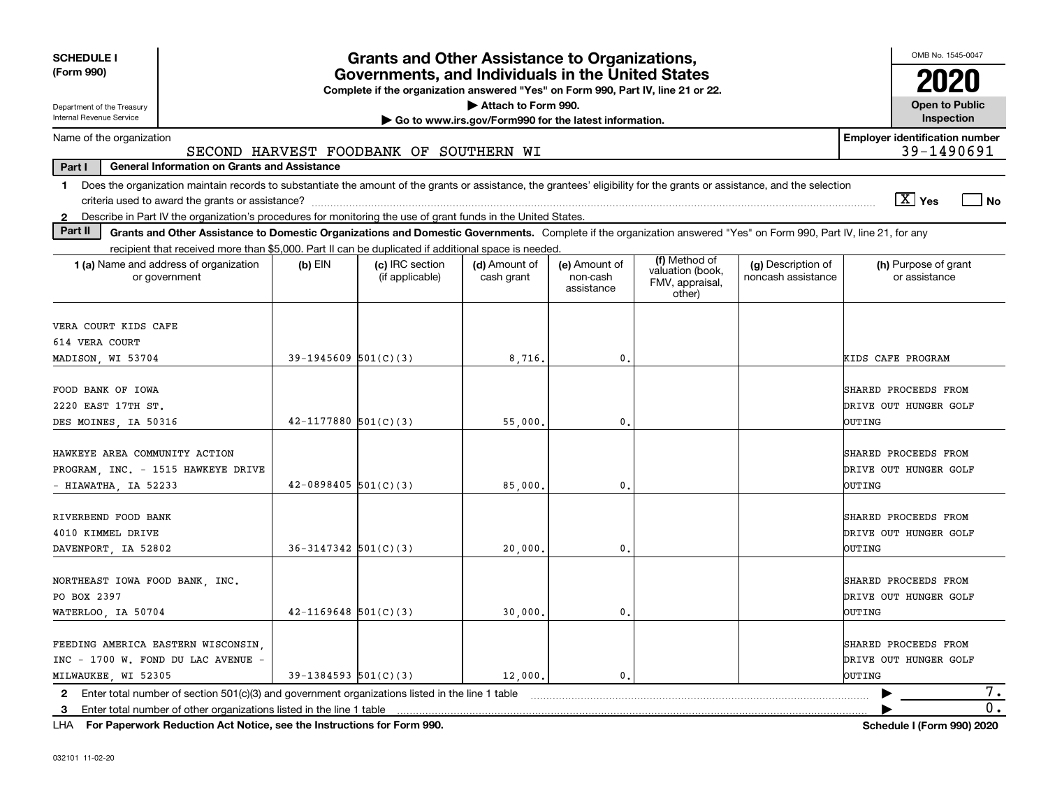| <b>SCHEDULE I</b><br>(Form 990)                                                                                                                                                                                                                                                                                 |                          | <b>Grants and Other Assistance to Organizations,</b><br>Governments, and Individuals in the United States<br>Complete if the organization answered "Yes" on Form 990, Part IV, line 21 or 22. |                                                       |                                         |                                                                |                                          | OMB No. 1545-0047                                       |
|-----------------------------------------------------------------------------------------------------------------------------------------------------------------------------------------------------------------------------------------------------------------------------------------------------------------|--------------------------|-----------------------------------------------------------------------------------------------------------------------------------------------------------------------------------------------|-------------------------------------------------------|-----------------------------------------|----------------------------------------------------------------|------------------------------------------|---------------------------------------------------------|
| Department of the Treasury<br>Internal Revenue Service                                                                                                                                                                                                                                                          |                          |                                                                                                                                                                                               | Attach to Form 990.                                   |                                         |                                                                |                                          | <b>Open to Public</b><br>Inspection                     |
| Name of the organization                                                                                                                                                                                                                                                                                        |                          |                                                                                                                                                                                               | Go to www.irs.gov/Form990 for the latest information. |                                         |                                                                |                                          | <b>Employer identification number</b>                   |
| Part I<br><b>General Information on Grants and Assistance</b>                                                                                                                                                                                                                                                   |                          | SECOND HARVEST FOODBANK OF SOUTHERN WI                                                                                                                                                        |                                                       |                                         |                                                                |                                          | 39-1490691                                              |
| Does the organization maintain records to substantiate the amount of the grants or assistance, the grantees' eligibility for the grants or assistance, and the selection<br>1.<br>Describe in Part IV the organization's procedures for monitoring the use of grant funds in the United States.<br>$\mathbf{2}$ |                          |                                                                                                                                                                                               |                                                       |                                         |                                                                |                                          | $\sqrt{X}$ Yes<br>l No                                  |
| Part II<br>Grants and Other Assistance to Domestic Organizations and Domestic Governments. Complete if the organization answered "Yes" on Form 990, Part IV, line 21, for any                                                                                                                                   |                          |                                                                                                                                                                                               |                                                       |                                         |                                                                |                                          |                                                         |
| recipient that received more than \$5,000. Part II can be duplicated if additional space is needed.<br><b>1 (a)</b> Name and address of organization<br>or government                                                                                                                                           | $(b)$ EIN                | (c) IRC section<br>(if applicable)                                                                                                                                                            | (d) Amount of<br>cash grant                           | (e) Amount of<br>non-cash<br>assistance | (f) Method of<br>valuation (book,<br>FMV, appraisal,<br>other) | (g) Description of<br>noncash assistance | (h) Purpose of grant<br>or assistance                   |
| VERA COURT KIDS CAFE<br>614 VERA COURT<br>MADISON, WI 53704                                                                                                                                                                                                                                                     | $39-1945609$ $501(C)(3)$ |                                                                                                                                                                                               | 8,716,                                                | $\mathbf{0}$ .                          |                                                                |                                          | KIDS CAFE PROGRAM                                       |
| FOOD BANK OF IOWA<br>2220 EAST 17TH ST.<br>DES MOINES, IA 50316                                                                                                                                                                                                                                                 | $42 - 1177880$ 501(C)(3) |                                                                                                                                                                                               | 55,000                                                | $\mathbf{0}$ .                          |                                                                |                                          | SHARED PROCEEDS FROM<br>DRIVE OUT HUNGER GOLF<br>OUTING |
| HAWKEYE AREA COMMUNITY ACTION<br>PROGRAM INC. - 1515 HAWKEYE DRIVE<br>HIAWATHA, IA 52233                                                                                                                                                                                                                        | $42 - 0898405$ 501(C)(3) |                                                                                                                                                                                               | 85,000                                                | $\mathbf{0}$ .                          |                                                                |                                          | SHARED PROCEEDS FROM<br>DRIVE OUT HUNGER GOLF<br>buting |
| RIVERBEND FOOD BANK<br>4010 KIMMEL DRIVE<br>DAVENPORT, IA 52802                                                                                                                                                                                                                                                 | $36 - 3147342$ 501(C)(3) |                                                                                                                                                                                               | 20,000                                                | $\mathbf{0}$ .                          |                                                                |                                          | SHARED PROCEEDS FROM<br>DRIVE OUT HUNGER GOLF<br>OUTING |
| NORTHEAST IOWA FOOD BANK, INC.<br>PO BOX 2397<br>WATERLOO, IA 50704                                                                                                                                                                                                                                             | $42 - 1169648$ 501(C)(3) |                                                                                                                                                                                               | 30,000,                                               | $\mathbf{0}$ .                          |                                                                |                                          | SHARED PROCEEDS FROM<br>DRIVE OUT HUNGER GOLF<br>buting |
| FEEDING AMERICA EASTERN WISCONSIN<br>INC - 1700 W. FOND DU LAC AVENUE -<br>MILWAUKEE, WI 52305                                                                                                                                                                                                                  | $39-1384593$ $501(C)(3)$ |                                                                                                                                                                                               | 12,000.                                               | $\mathbf{0}$ .                          |                                                                |                                          | SHARED PROCEEDS FROM<br>DRIVE OUT HUNGER GOLF<br>OUTING |
| 2 Enter total number of section 501(c)(3) and government organizations listed in the line 1 table<br>3 Enter total number of other organizations listed in the line 1 table                                                                                                                                     |                          |                                                                                                                                                                                               |                                                       |                                         |                                                                |                                          | 7.<br>$\overline{0}$ .                                  |

**For Paperwork Reduction Act Notice, see the Instructions for Form 990. Schedule I (Form 990) 2020** LHA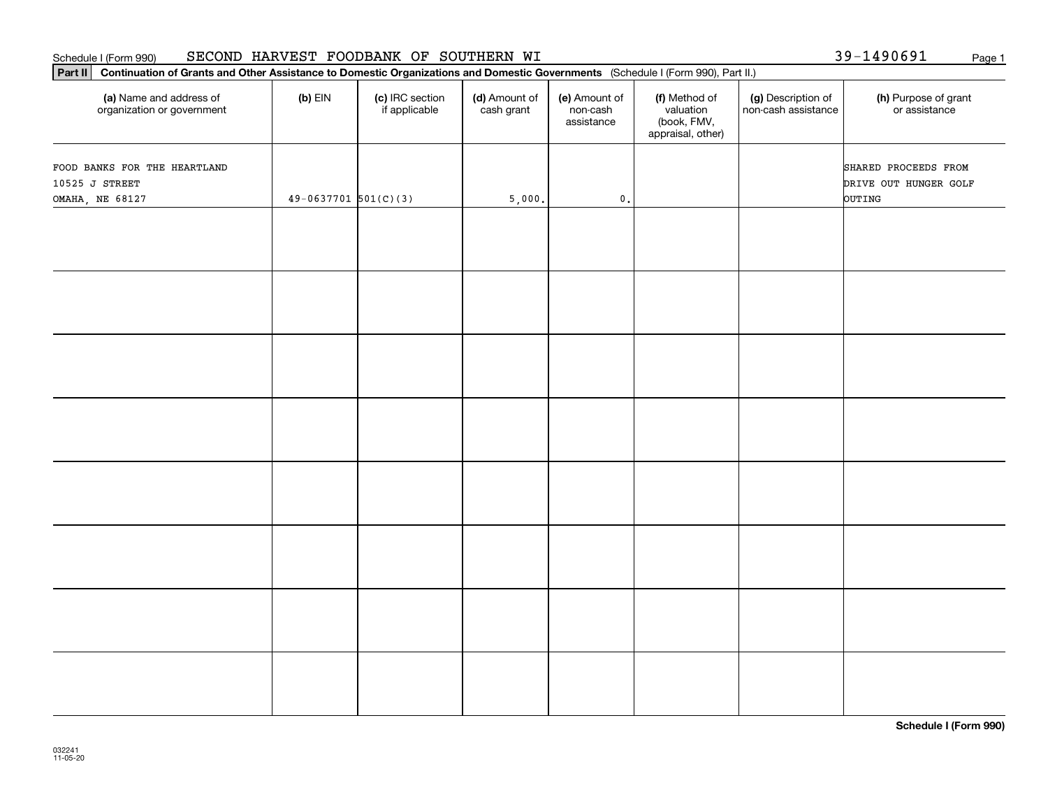# **Part II Continuation of Grants and Other Assistance to Domestic Organizations and Domestic Governments**  (Schedule I (Form 990), Part II.) **(a) (b) (c) (d) (e) (f) (g) (h)** Name and address of organization or government  $(b)$  EIN  $(c)$  IRC section if applicable (d) Amount of cash grant (e) Amount of non-cash assistance(f) Method of valuation (book, FMV, appraisal, other) (g) Description of non-cash assistance (h) Purpose of grant or assistance FOOD BANKS FOR THE HEARTLAND SHARED PROCEEDS FROM 10525 J STREET DRIVE OUT HUNGER GOLF OMAHA, NE 68127 (2013) 49-0637701 501(C)(3) (3) 5,000. 0.

Schedule I (Form 990) Page 1 SECOND HARVEST FOODBANK OF SOUTHERN WI

**Schedule I (Form 990)**

39-1490691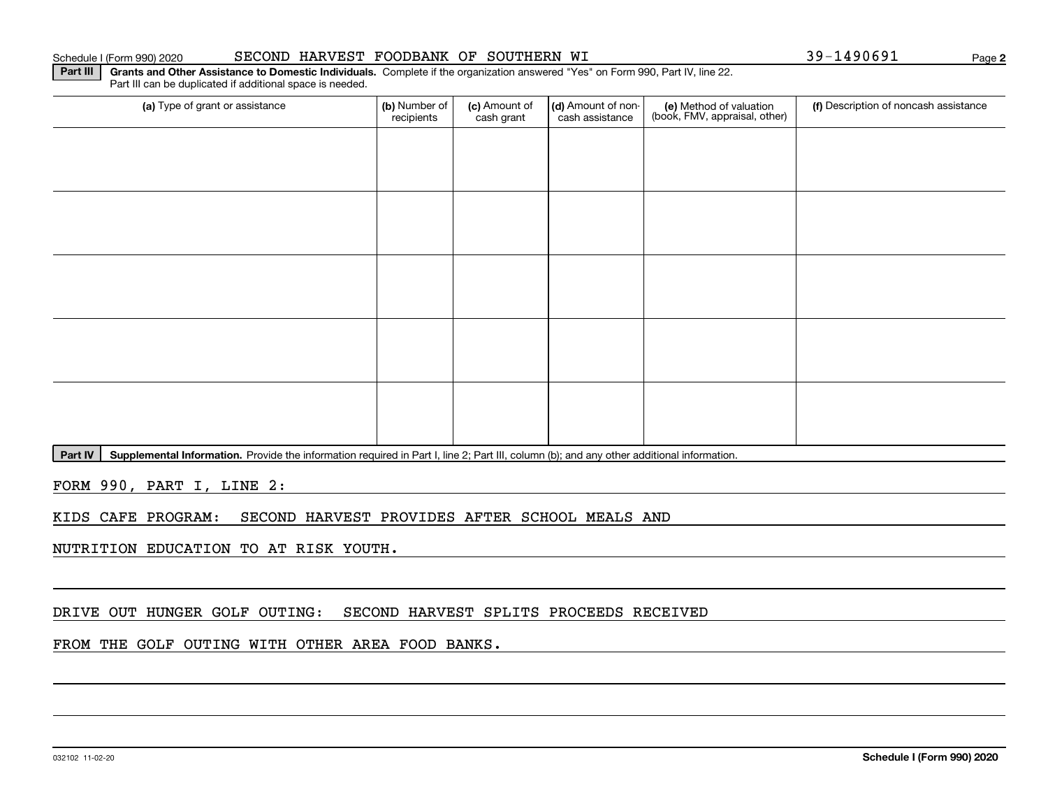#### Schedule I (Form 990) 2020 Page SECOND HARVEST FOODBANK OF SOUTHERN WI 39-1490691

**2**

**Part III | Grants and Other Assistance to Domestic Individuals. Complete if the organization answered "Yes" on Form 990, Part IV, line 22.** Part III can be duplicated if additional space is needed.

| (a) Type of grant or assistance | (b) Number of<br>recipients | (c) Amount of<br>cash grant | (d) Amount of non-<br>cash assistance | (e) Method of valuation<br>(book, FMV, appraisal, other) | (f) Description of noncash assistance |
|---------------------------------|-----------------------------|-----------------------------|---------------------------------------|----------------------------------------------------------|---------------------------------------|
|                                 |                             |                             |                                       |                                                          |                                       |
|                                 |                             |                             |                                       |                                                          |                                       |
|                                 |                             |                             |                                       |                                                          |                                       |
|                                 |                             |                             |                                       |                                                          |                                       |
|                                 |                             |                             |                                       |                                                          |                                       |
|                                 |                             |                             |                                       |                                                          |                                       |
|                                 |                             |                             |                                       |                                                          |                                       |
|                                 |                             |                             |                                       |                                                          |                                       |
|                                 |                             |                             |                                       |                                                          |                                       |
|                                 |                             |                             |                                       |                                                          |                                       |

Part IV | Supplemental Information. Provide the information required in Part I, line 2; Part III, column (b); and any other additional information.

FORM 990, PART I, LINE 2:

KIDS CAFE PROGRAM: SECOND HARVEST PROVIDES AFTER SCHOOL MEALS AND

NUTRITION EDUCATION TO AT RISK YOUTH.

#### DRIVE OUT HUNGER GOLF OUTING: SECOND HARVEST SPLITS PROCEEDS RECEIVED

FROM THE GOLF OUTING WITH OTHER AREA FOOD BANKS.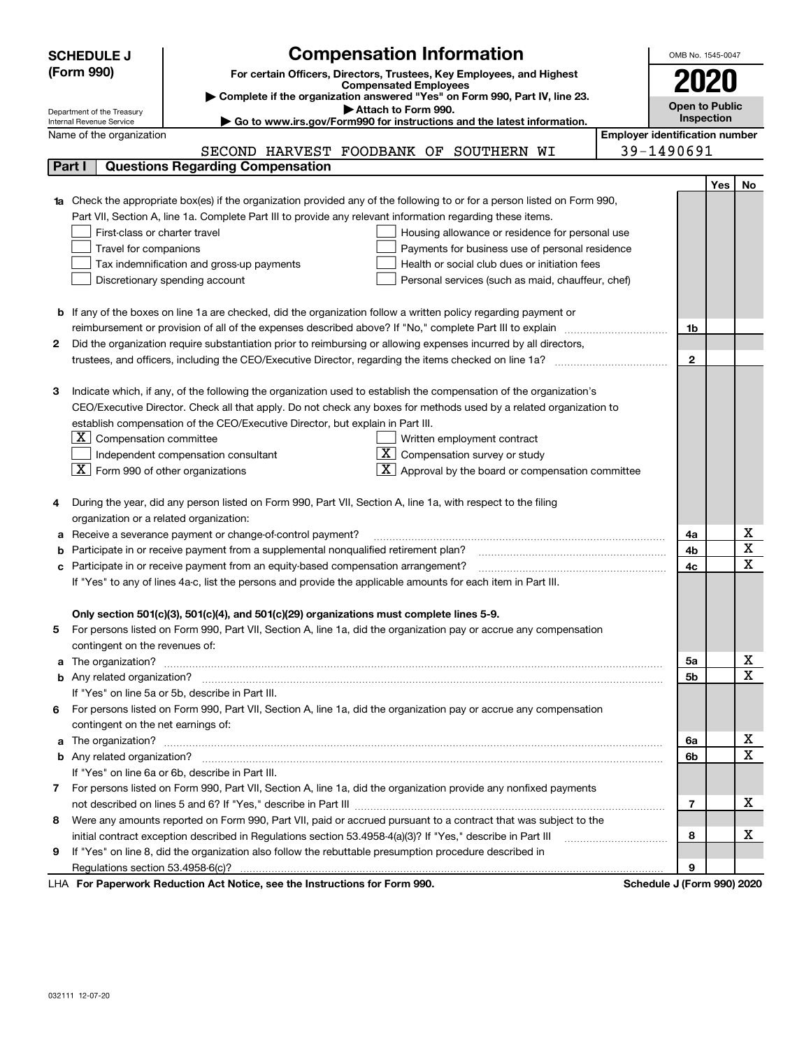|   | <b>SCHEDULE J</b>                                       | <b>Compensation Information</b>                                                                                        | OMB No. 1545-0047                     |     |                  |
|---|---------------------------------------------------------|------------------------------------------------------------------------------------------------------------------------|---------------------------------------|-----|------------------|
|   | (Form 990)                                              | For certain Officers, Directors, Trustees, Key Employees, and Highest                                                  |                                       |     |                  |
|   |                                                         | <b>Compensated Employees</b>                                                                                           | 2020                                  |     |                  |
|   |                                                         | Complete if the organization answered "Yes" on Form 990, Part IV, line 23.                                             | <b>Open to Public</b>                 |     |                  |
|   | Department of the Treasury<br>Internal Revenue Service  | Attach to Form 990.<br>$\blacktriangleright$ Go to www.irs.gov/Form990 for instructions and the latest information.    | Inspection                            |     |                  |
|   | Name of the organization                                |                                                                                                                        | <b>Employer identification number</b> |     |                  |
|   |                                                         | SECOND HARVEST FOODBANK OF SOUTHERN WI                                                                                 | 39-1490691                            |     |                  |
|   | Part I                                                  | <b>Questions Regarding Compensation</b>                                                                                |                                       |     |                  |
|   |                                                         |                                                                                                                        |                                       | Yes | No               |
|   |                                                         | Check the appropriate box(es) if the organization provided any of the following to or for a person listed on Form 990, |                                       |     |                  |
|   |                                                         | Part VII, Section A, line 1a. Complete Part III to provide any relevant information regarding these items.             |                                       |     |                  |
|   | First-class or charter travel                           | Housing allowance or residence for personal use                                                                        |                                       |     |                  |
|   | Travel for companions                                   | Payments for business use of personal residence                                                                        |                                       |     |                  |
|   |                                                         | Tax indemnification and gross-up payments<br>Health or social club dues or initiation fees                             |                                       |     |                  |
|   |                                                         | Discretionary spending account<br>Personal services (such as maid, chauffeur, chef)                                    |                                       |     |                  |
|   |                                                         |                                                                                                                        |                                       |     |                  |
|   |                                                         | <b>b</b> If any of the boxes on line 1a are checked, did the organization follow a written policy regarding payment or |                                       |     |                  |
|   |                                                         |                                                                                                                        | 1b                                    |     |                  |
| 2 |                                                         | Did the organization require substantiation prior to reimbursing or allowing expenses incurred by all directors,       |                                       |     |                  |
|   |                                                         |                                                                                                                        | $\mathbf{2}$                          |     |                  |
|   |                                                         |                                                                                                                        |                                       |     |                  |
| З |                                                         | Indicate which, if any, of the following the organization used to establish the compensation of the organization's     |                                       |     |                  |
|   |                                                         | CEO/Executive Director. Check all that apply. Do not check any boxes for methods used by a related organization to     |                                       |     |                  |
|   |                                                         | establish compensation of the CEO/Executive Director, but explain in Part III.                                         |                                       |     |                  |
|   | $\boxed{\textbf{X}}$ Compensation committee             | Written employment contract                                                                                            |                                       |     |                  |
|   |                                                         | $X$ Compensation survey or study<br>Independent compensation consultant                                                |                                       |     |                  |
|   | $\overline{\mathbf{X}}$ Form 990 of other organizations | $\mathbf{X}$ Approval by the board or compensation committee                                                           |                                       |     |                  |
|   |                                                         |                                                                                                                        |                                       |     |                  |
| 4 |                                                         | During the year, did any person listed on Form 990, Part VII, Section A, line 1a, with respect to the filing           |                                       |     |                  |
|   | organization or a related organization:                 |                                                                                                                        |                                       |     |                  |
| а |                                                         | Receive a severance payment or change-of-control payment?                                                              | 4a                                    |     | х                |
| b |                                                         | Participate in or receive payment from a supplemental nonqualified retirement plan?                                    | 4b                                    |     | X                |
|   |                                                         | Participate in or receive payment from an equity-based compensation arrangement?                                       | 4c                                    |     | $\mathbf x$      |
|   |                                                         | If "Yes" to any of lines 4a-c, list the persons and provide the applicable amounts for each item in Part III.          |                                       |     |                  |
|   |                                                         |                                                                                                                        |                                       |     |                  |
|   |                                                         | Only section 501(c)(3), 501(c)(4), and 501(c)(29) organizations must complete lines 5-9.                               |                                       |     |                  |
| 5 |                                                         | For persons listed on Form 990, Part VII, Section A, line 1a, did the organization pay or accrue any compensation      |                                       |     |                  |
|   | contingent on the revenues of:                          |                                                                                                                        |                                       |     |                  |
| a |                                                         |                                                                                                                        | 5a                                    |     | х                |
|   |                                                         |                                                                                                                        | 5b                                    |     | $\mathbf x$      |
|   |                                                         | If "Yes" on line 5a or 5b, describe in Part III.                                                                       |                                       |     |                  |
| 6 |                                                         | For persons listed on Form 990, Part VII, Section A, line 1a, did the organization pay or accrue any compensation      |                                       |     |                  |
|   | contingent on the net earnings of:                      |                                                                                                                        |                                       |     |                  |
| a |                                                         |                                                                                                                        | 6a                                    |     | х<br>$\mathbf x$ |
|   |                                                         |                                                                                                                        | 6b                                    |     |                  |
|   |                                                         | If "Yes" on line 6a or 6b, describe in Part III.                                                                       |                                       |     |                  |
| 7 |                                                         | For persons listed on Form 990, Part VII, Section A, line 1a, did the organization provide any nonfixed payments       |                                       |     |                  |
|   |                                                         |                                                                                                                        | 7                                     |     | х                |
| 8 |                                                         | Were any amounts reported on Form 990, Part VII, paid or accrued pursuant to a contract that was subject to the        |                                       |     |                  |
|   |                                                         | initial contract exception described in Regulations section 53.4958-4(a)(3)? If "Yes," describe in Part III            | 8                                     |     | х                |
| 9 |                                                         | If "Yes" on line 8, did the organization also follow the rebuttable presumption procedure described in                 |                                       |     |                  |
|   |                                                         |                                                                                                                        | 9                                     |     |                  |

LHA For Paperwork Reduction Act Notice, see the Instructions for Form 990. Schedule J (Form 990) 2020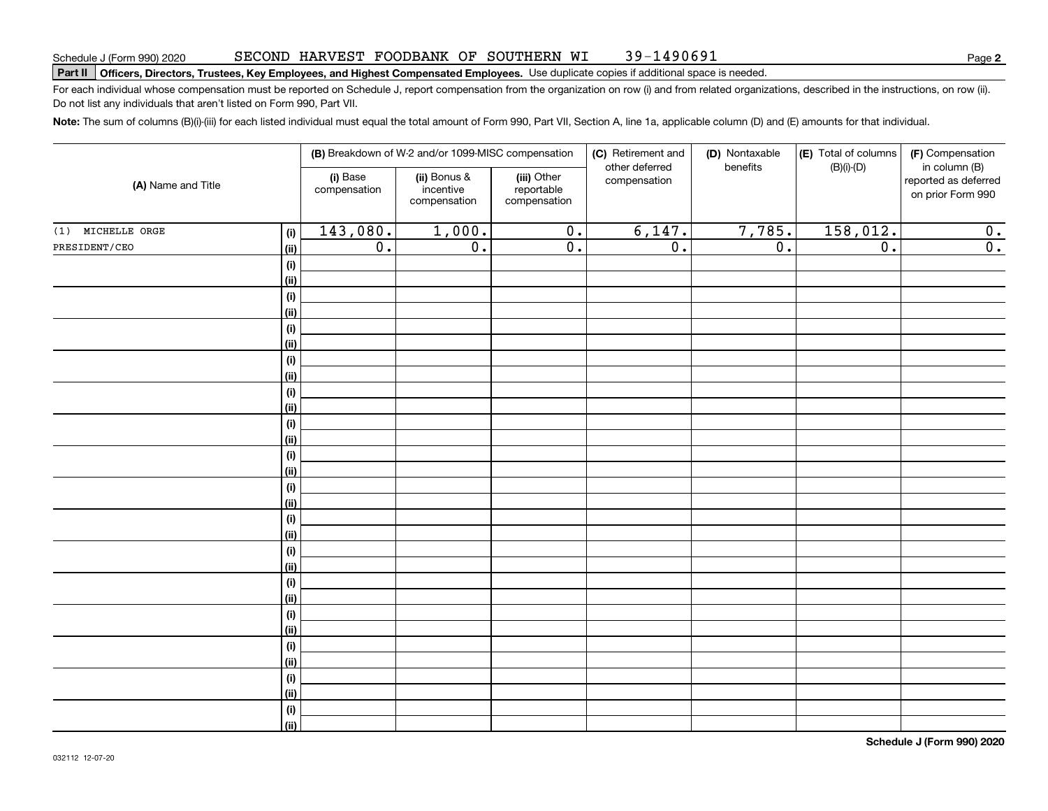#### SECOND HARVEST FOODBANK OF SOUTHERN WI 39-1490691

# **Part II Officers, Directors, Trustees, Key Employees, and Highest Compensated Employees.**  Schedule J (Form 990) 2020 Page Use duplicate copies if additional space is needed.

For each individual whose compensation must be reported on Schedule J, report compensation from the organization on row (i) and from related organizations, described in the instructions, on row (ii). Do not list any individuals that aren't listed on Form 990, Part VII.

**Note:**  The sum of columns (B)(i)-(iii) for each listed individual must equal the total amount of Form 990, Part VII, Section A, line 1a, applicable column (D) and (E) amounts for that individual.

|                    |                              | (B) Breakdown of W-2 and/or 1099-MISC compensation |                                           |                                           | (C) Retirement and<br>other deferred | (D) Nontaxable   | (E) Total of columns | (F) Compensation                                           |
|--------------------|------------------------------|----------------------------------------------------|-------------------------------------------|-------------------------------------------|--------------------------------------|------------------|----------------------|------------------------------------------------------------|
| (A) Name and Title |                              | (i) Base<br>compensation                           | (ii) Bonus &<br>incentive<br>compensation | (iii) Other<br>reportable<br>compensation | compensation                         | benefits         | $(B)(i)$ - $(D)$     | in column (B)<br>reported as deferred<br>on prior Form 990 |
| (1) MICHELLE ORGE  | (i)                          | 143,080.                                           | 1,000.                                    | $\overline{0}$ .                          | 6,147.                               | 7,785.           | 158,012.             | $\mathbf 0$ .                                              |
| PRESIDENT/CEO      | (ii)                         | $\overline{0}$ .                                   | $\overline{\mathfrak{o}}$ .               | $\overline{\mathbf{0}}$ .                 | $\overline{0}$ .                     | $\overline{0}$ . | $\overline{0}$ .     | $\overline{\mathbf{0}}$ .                                  |
|                    | $\qquad \qquad \textbf{(i)}$ |                                                    |                                           |                                           |                                      |                  |                      |                                                            |
|                    | (ii)                         |                                                    |                                           |                                           |                                      |                  |                      |                                                            |
|                    | (i)                          |                                                    |                                           |                                           |                                      |                  |                      |                                                            |
|                    | (ii)                         |                                                    |                                           |                                           |                                      |                  |                      |                                                            |
|                    | (i)                          |                                                    |                                           |                                           |                                      |                  |                      |                                                            |
|                    | (ii)                         |                                                    |                                           |                                           |                                      |                  |                      |                                                            |
|                    | (i)                          |                                                    |                                           |                                           |                                      |                  |                      |                                                            |
|                    | (ii)                         |                                                    |                                           |                                           |                                      |                  |                      |                                                            |
|                    | (i)                          |                                                    |                                           |                                           |                                      |                  |                      |                                                            |
|                    | (ii)                         |                                                    |                                           |                                           |                                      |                  |                      |                                                            |
|                    | (i)                          |                                                    |                                           |                                           |                                      |                  |                      |                                                            |
|                    | (ii)                         |                                                    |                                           |                                           |                                      |                  |                      |                                                            |
|                    | (i)                          |                                                    |                                           |                                           |                                      |                  |                      |                                                            |
|                    | (ii)                         |                                                    |                                           |                                           |                                      |                  |                      |                                                            |
|                    | (i)<br>(ii)                  |                                                    |                                           |                                           |                                      |                  |                      |                                                            |
|                    | (i)                          |                                                    |                                           |                                           |                                      |                  |                      |                                                            |
|                    | (ii)                         |                                                    |                                           |                                           |                                      |                  |                      |                                                            |
|                    | (i)                          |                                                    |                                           |                                           |                                      |                  |                      |                                                            |
|                    | (ii)                         |                                                    |                                           |                                           |                                      |                  |                      |                                                            |
|                    | (i)                          |                                                    |                                           |                                           |                                      |                  |                      |                                                            |
|                    | (ii)                         |                                                    |                                           |                                           |                                      |                  |                      |                                                            |
|                    | (i)                          |                                                    |                                           |                                           |                                      |                  |                      |                                                            |
|                    | (ii)                         |                                                    |                                           |                                           |                                      |                  |                      |                                                            |
|                    | (i)                          |                                                    |                                           |                                           |                                      |                  |                      |                                                            |
|                    | (ii)                         |                                                    |                                           |                                           |                                      |                  |                      |                                                            |
|                    | (i)                          |                                                    |                                           |                                           |                                      |                  |                      |                                                            |
|                    | (ii)                         |                                                    |                                           |                                           |                                      |                  |                      |                                                            |
|                    | (i)                          |                                                    |                                           |                                           |                                      |                  |                      |                                                            |
|                    | (ii)                         |                                                    |                                           |                                           |                                      |                  |                      |                                                            |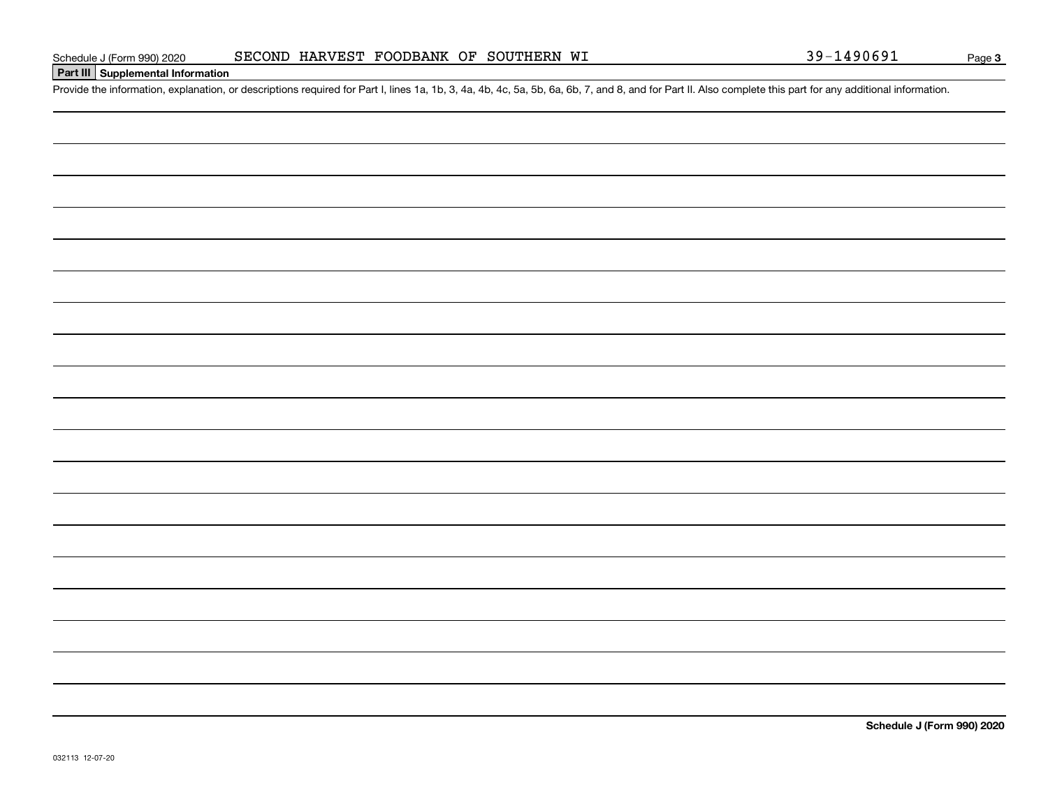## **Part III Supplemental Information**

Schedule J (Form 990) 2020 SECOND HARVEST FOODBANK OF SOUTHERN WI<br>Part III Supplemental Information<br>Provide the information, explanation, or descriptions required for Part I, lines 1a, 1b, 3, 4a, 4b, 4c, 5a, 5b, 6a, 6b, 7,

**Schedule J (Form 990) 2020**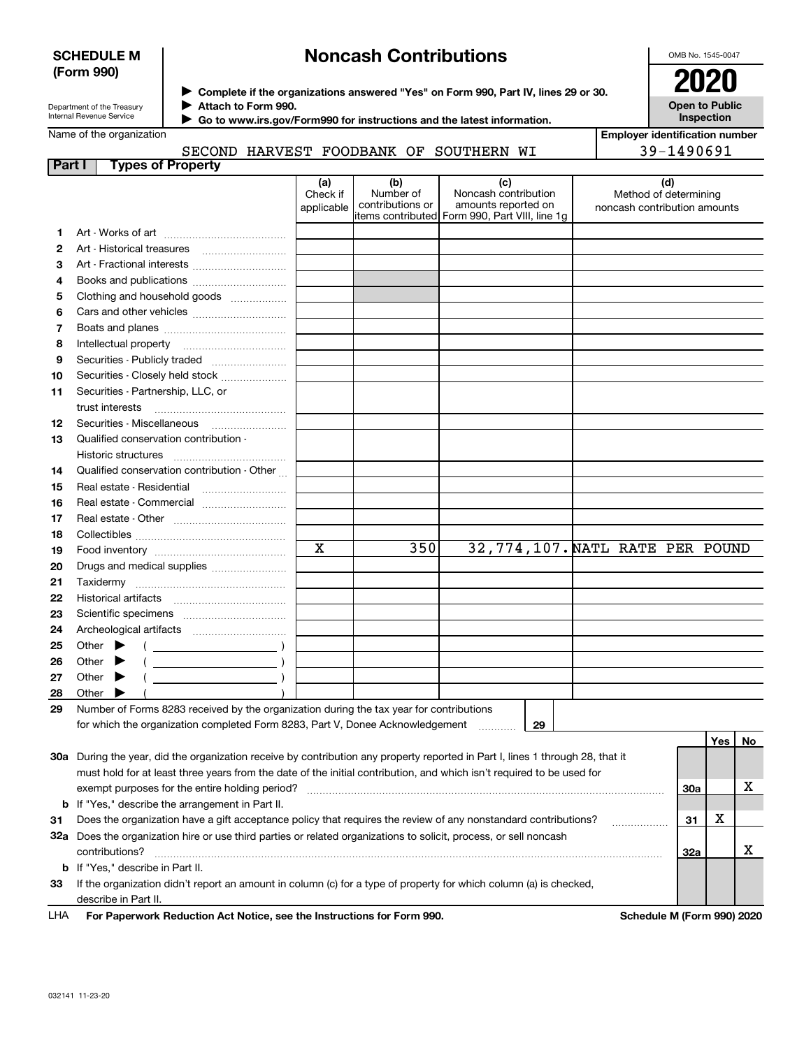## **SCHEDULE M (Form 990)**

# **Noncash Contributions**

OMB No. 1545-0047

| Department of the Treasury |
|----------------------------|
| Internal Revenue Service   |

**Complete if the organizations answered "Yes" on Form 990, Part IV, lines 29 or 30.** <sup>J</sup>**2020 Attach to Form 990.** J

**Open to Public Inspection**

**Employer identification number**

39-1490691

|  | Name of the organization |
|--|--------------------------|
|  |                          |

 **Go to www.irs.gov/Form990 for instructions and the latest information.** J

|  |  |  | SECOND HARVEST FOODBANK OF SOUTHERN WI |  |  |  |  |
|--|--|--|----------------------------------------|--|--|--|--|
|--|--|--|----------------------------------------|--|--|--|--|

| Part I | <b>Types of Property</b>                                                                                                       |                        |                               |                                                 |                                                       |     |     |     |
|--------|--------------------------------------------------------------------------------------------------------------------------------|------------------------|-------------------------------|-------------------------------------------------|-------------------------------------------------------|-----|-----|-----|
|        |                                                                                                                                | (a)                    | (b)                           | (c)                                             | (d)                                                   |     |     |     |
|        |                                                                                                                                | Check if<br>applicable | Number of<br>contributions or | Noncash contribution<br>amounts reported on     | Method of determining<br>noncash contribution amounts |     |     |     |
|        |                                                                                                                                |                        |                               | litems contributed Form 990, Part VIII, line 1g |                                                       |     |     |     |
| 1      |                                                                                                                                |                        |                               |                                                 |                                                       |     |     |     |
| 2      | Art - Historical treasures                                                                                                     |                        |                               |                                                 |                                                       |     |     |     |
| З      |                                                                                                                                |                        |                               |                                                 |                                                       |     |     |     |
| 4      |                                                                                                                                |                        |                               |                                                 |                                                       |     |     |     |
| 5      | Clothing and household goods                                                                                                   |                        |                               |                                                 |                                                       |     |     |     |
| 6      |                                                                                                                                |                        |                               |                                                 |                                                       |     |     |     |
| 7      |                                                                                                                                |                        |                               |                                                 |                                                       |     |     |     |
| 8      |                                                                                                                                |                        |                               |                                                 |                                                       |     |     |     |
| 9      | Securities - Publicly traded                                                                                                   |                        |                               |                                                 |                                                       |     |     |     |
| 10     | Securities - Closely held stock                                                                                                |                        |                               |                                                 |                                                       |     |     |     |
| 11     | Securities - Partnership, LLC, or                                                                                              |                        |                               |                                                 |                                                       |     |     |     |
|        | trust interests                                                                                                                |                        |                               |                                                 |                                                       |     |     |     |
| 12     | Securities - Miscellaneous                                                                                                     |                        |                               |                                                 |                                                       |     |     |     |
| 13     | Qualified conservation contribution -                                                                                          |                        |                               |                                                 |                                                       |     |     |     |
|        | Historic structures                                                                                                            |                        |                               |                                                 |                                                       |     |     |     |
| 14     | Qualified conservation contribution - Other                                                                                    |                        |                               |                                                 |                                                       |     |     |     |
| 15     | Real estate - Residential                                                                                                      |                        |                               |                                                 |                                                       |     |     |     |
| 16     | Real estate - Commercial                                                                                                       |                        |                               |                                                 |                                                       |     |     |     |
| 17     |                                                                                                                                |                        |                               |                                                 |                                                       |     |     |     |
| 18     |                                                                                                                                |                        |                               |                                                 |                                                       |     |     |     |
| 19     |                                                                                                                                | $\mathbf X$            | 350                           | 32,774,107. NATL RATE PER POUND                 |                                                       |     |     |     |
| 20     | Drugs and medical supplies                                                                                                     |                        |                               |                                                 |                                                       |     |     |     |
| 21     |                                                                                                                                |                        |                               |                                                 |                                                       |     |     |     |
| 22     |                                                                                                                                |                        |                               |                                                 |                                                       |     |     |     |
| 23     |                                                                                                                                |                        |                               |                                                 |                                                       |     |     |     |
| 24     |                                                                                                                                |                        |                               |                                                 |                                                       |     |     |     |
| 25     | Other $\blacktriangleright$                                                                                                    |                        |                               |                                                 |                                                       |     |     |     |
| 26     | Other                                                                                                                          |                        |                               |                                                 |                                                       |     |     |     |
| 27     | $\overline{\phantom{a}}$ )<br>Other $\blacktriangleright$                                                                      |                        |                               |                                                 |                                                       |     |     |     |
| 28     | Other<br>▸                                                                                                                     |                        |                               |                                                 |                                                       |     |     |     |
| 29     | Number of Forms 8283 received by the organization during the tax year for contributions                                        |                        |                               |                                                 |                                                       |     |     |     |
|        | for which the organization completed Form 8283, Part V, Donee Acknowledgement                                                  |                        |                               | 29                                              |                                                       |     |     |     |
|        |                                                                                                                                |                        |                               |                                                 |                                                       |     | Yes | No. |
|        | 30a During the year, did the organization receive by contribution any property reported in Part I, lines 1 through 28, that it |                        |                               |                                                 |                                                       |     |     |     |
|        | must hold for at least three years from the date of the initial contribution, and which isn't required to be used for          |                        |                               |                                                 |                                                       |     |     |     |
|        | exempt purposes for the entire holding period?                                                                                 |                        |                               |                                                 |                                                       | 30a |     | х   |
|        | <b>b</b> If "Yes," describe the arrangement in Part II.                                                                        |                        |                               |                                                 |                                                       |     |     |     |
| 31     | Does the organization have a gift acceptance policy that requires the review of any nonstandard contributions?                 |                        |                               |                                                 | .                                                     | 31  | X   |     |
|        | 32a Does the organization hire or use third parties or related organizations to solicit, process, or sell noncash              |                        |                               |                                                 |                                                       |     |     |     |
|        | contributions?                                                                                                                 |                        |                               |                                                 |                                                       | 32a |     | X   |
|        | <b>b</b> If "Yes," describe in Part II.                                                                                        |                        |                               |                                                 |                                                       |     |     |     |

**33**If the organization didn't report an amount in column (c) for a type of property for which column (a) is checked, describe in Part II.

**For Paperwork Reduction Act Notice, see the Instructions for Form 990. Schedule M (Form 990) 2020** LHA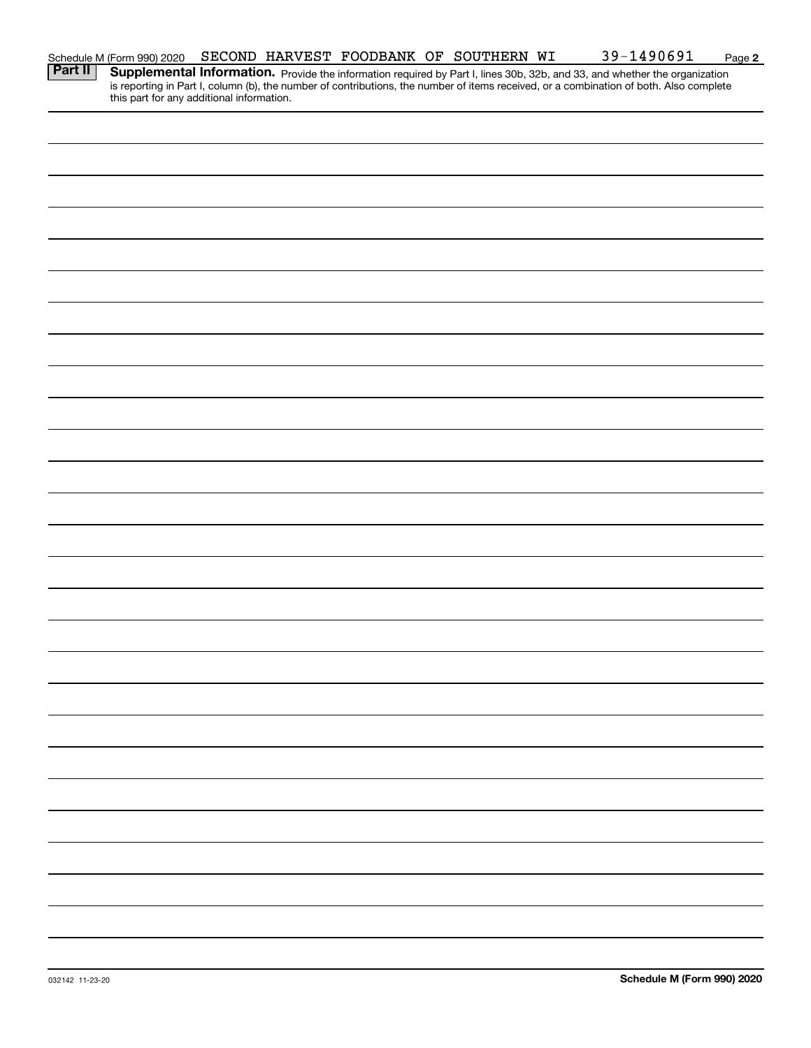|                | Schedule M (Form 990) 2020                |  | SECOND HARVEST FOODBANK OF SOUTHERN WI |  | 39-1490691                                                                                                                                                                                                                          | Page 2 |
|----------------|-------------------------------------------|--|----------------------------------------|--|-------------------------------------------------------------------------------------------------------------------------------------------------------------------------------------------------------------------------------------|--------|
| <b>Part II</b> |                                           |  |                                        |  | <b>Supplemental Information.</b> Provide the information required by Part I, lines 30b, 32b, and 33, and whether the organization is reporting in Part I, column (b), the number of contributions, the number of items received, or |        |
|                | this part for any additional information. |  |                                        |  |                                                                                                                                                                                                                                     |        |
|                |                                           |  |                                        |  |                                                                                                                                                                                                                                     |        |
|                |                                           |  |                                        |  |                                                                                                                                                                                                                                     |        |
|                |                                           |  |                                        |  |                                                                                                                                                                                                                                     |        |
|                |                                           |  |                                        |  |                                                                                                                                                                                                                                     |        |
|                |                                           |  |                                        |  |                                                                                                                                                                                                                                     |        |
|                |                                           |  |                                        |  |                                                                                                                                                                                                                                     |        |
|                |                                           |  |                                        |  |                                                                                                                                                                                                                                     |        |
|                |                                           |  |                                        |  |                                                                                                                                                                                                                                     |        |
|                |                                           |  |                                        |  |                                                                                                                                                                                                                                     |        |
|                |                                           |  |                                        |  |                                                                                                                                                                                                                                     |        |
|                |                                           |  |                                        |  |                                                                                                                                                                                                                                     |        |
|                |                                           |  |                                        |  |                                                                                                                                                                                                                                     |        |
|                |                                           |  |                                        |  |                                                                                                                                                                                                                                     |        |
|                |                                           |  |                                        |  |                                                                                                                                                                                                                                     |        |
|                |                                           |  |                                        |  |                                                                                                                                                                                                                                     |        |
|                |                                           |  |                                        |  |                                                                                                                                                                                                                                     |        |
|                |                                           |  |                                        |  |                                                                                                                                                                                                                                     |        |
|                |                                           |  |                                        |  |                                                                                                                                                                                                                                     |        |
|                |                                           |  |                                        |  |                                                                                                                                                                                                                                     |        |
|                |                                           |  |                                        |  |                                                                                                                                                                                                                                     |        |
|                |                                           |  |                                        |  |                                                                                                                                                                                                                                     |        |
|                |                                           |  |                                        |  |                                                                                                                                                                                                                                     |        |
|                |                                           |  |                                        |  |                                                                                                                                                                                                                                     |        |
|                |                                           |  |                                        |  |                                                                                                                                                                                                                                     |        |
|                |                                           |  |                                        |  |                                                                                                                                                                                                                                     |        |
|                |                                           |  |                                        |  |                                                                                                                                                                                                                                     |        |
|                |                                           |  |                                        |  |                                                                                                                                                                                                                                     |        |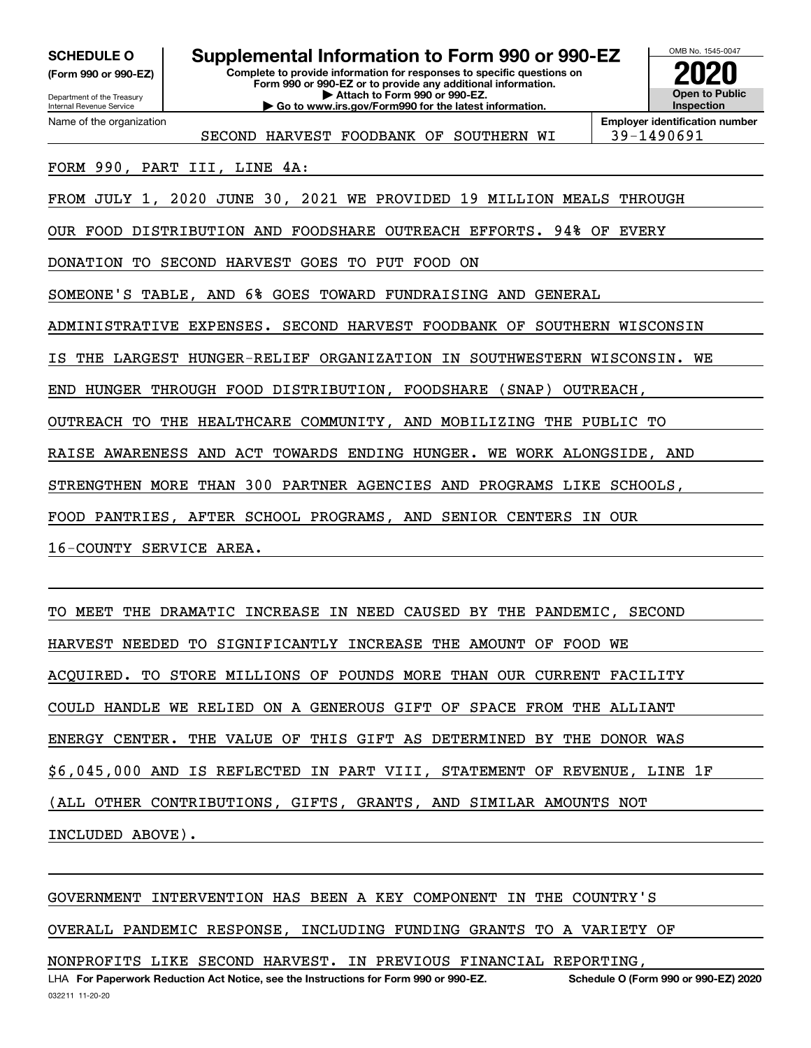**(Form 990 or 990-EZ)**

Department of the Treasury Internal Revenue Service Name of the organization

# **SCHEDULE O Supplemental Information to Form 990 or 990-EZ**

**Complete to provide information for responses to specific questions on Form 990 or 990-EZ or to provide any additional information. | Attach to Form 990 or 990-EZ. | Go to www.irs.gov/Form990 for the latest information.**



SECOND HARVEST FOODBANK OF SOUTHERN WI 39-1490691

**Employer identification number**

FORM 990, PART III, LINE 4A:

FROM JULY 1, 2020 JUNE 30, 2021 WE PROVIDED 19 MILLION MEALS THROUGH

OUR FOOD DISTRIBUTION AND FOODSHARE OUTREACH EFFORTS. 94% OF EVERY

DONATION TO SECOND HARVEST GOES TO PUT FOOD ON

SOMEONE'S TABLE, AND 6% GOES TOWARD FUNDRAISING AND GENERAL

ADMINISTRATIVE EXPENSES. SECOND HARVEST FOODBANK OF SOUTHERN WISCONSIN

IS THE LARGEST HUNGER-RELIEF ORGANIZATION IN SOUTHWESTERN WISCONSIN. WE

END HUNGER THROUGH FOOD DISTRIBUTION, FOODSHARE (SNAP) OUTREACH,

OUTREACH TO THE HEALTHCARE COMMUNITY, AND MOBILIZING THE PUBLIC TO

RAISE AWARENESS AND ACT TOWARDS ENDING HUNGER. WE WORK ALONGSIDE, AND

STRENGTHEN MORE THAN 300 PARTNER AGENCIES AND PROGRAMS LIKE SCHOOLS,

FOOD PANTRIES, AFTER SCHOOL PROGRAMS, AND SENIOR CENTERS IN OUR

16-COUNTY SERVICE AREA.

TO MEET THE DRAMATIC INCREASE IN NEED CAUSED BY THE PANDEMIC, SECOND HARVEST NEEDED TO SIGNIFICANTLY INCREASE THE AMOUNT OF FOOD WE ACQUIRED. TO STORE MILLIONS OF POUNDS MORE THAN OUR CURRENT FACILITY COULD HANDLE WE RELIED ON A GENEROUS GIFT OF SPACE FROM THE ALLIANT ENERGY CENTER. THE VALUE OF THIS GIFT AS DETERMINED BY THE DONOR WAS \$6,045,000 AND IS REFLECTED IN PART VIII, STATEMENT OF REVENUE, LINE 1F (ALL OTHER CONTRIBUTIONS, GIFTS, GRANTS, AND SIMILAR AMOUNTS NOT INCLUDED ABOVE).

GOVERNMENT INTERVENTION HAS BEEN A KEY COMPONENT IN THE COUNTRY'S OVERALL PANDEMIC RESPONSE, INCLUDING FUNDING GRANTS TO A VARIETY OF NONPROFITS LIKE SECOND HARVEST. IN PREVIOUS FINANCIAL REPORTING,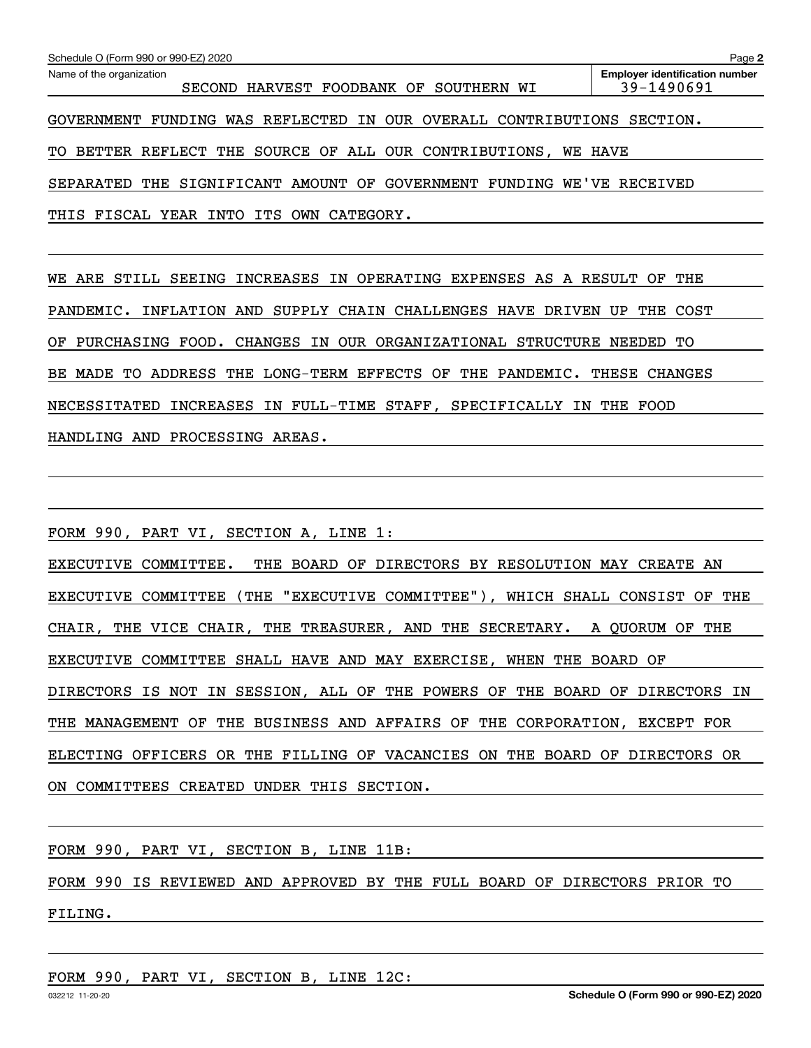| Schedule O (Form 990 or 990-EZ) 2020                                | Page 2                                |
|---------------------------------------------------------------------|---------------------------------------|
| Name of the organization                                            | <b>Employer identification number</b> |
| HARVEST FOODBANK OF SOUTHERN WI<br>SECOND                           | 39-1490691                            |
|                                                                     |                                       |
| FUNDING WAS REFLECTED IN OUR OVERALL CONTRIBUTIONS<br>GOVERNMENT    | SECTION.                              |
|                                                                     |                                       |
| REFLECT THE SOURCE OF ALL OUR CONTRIBUTIONS,<br>BETTER<br>TО        | WE HAVE                               |
|                                                                     |                                       |
| SIGNIFICANT AMOUNT OF GOVERNMENT FUNDING<br><b>SEPARATED</b><br>THE | WE'VE RECEIVED                        |
|                                                                     |                                       |
| FISCAL YEAR INTO ITS<br>THIS<br>OWN<br>CATEGORY.                    |                                       |

WE ARE STILL SEEING INCREASES IN OPERATING EXPENSES AS A RESULT OF THE PANDEMIC. INFLATION AND SUPPLY CHAIN CHALLENGES HAVE DRIVEN UP THE COST OF PURCHASING FOOD. CHANGES IN OUR ORGANIZATIONAL STRUCTURE NEEDED TO BE MADE TO ADDRESS THE LONG-TERM EFFECTS OF THE PANDEMIC. THESE CHANGES NECESSITATED INCREASES IN FULL-TIME STAFF, SPECIFICALLY IN THE FOOD HANDLING AND PROCESSING AREAS.

FORM 990, PART VI, SECTION A, LINE 1:

EXECUTIVE COMMITTEE. THE BOARD OF DIRECTORS BY RESOLUTION MAY CREATE AN EXECUTIVE COMMITTEE (THE "EXECUTIVE COMMITTEE"), WHICH SHALL CONSIST OF THE CHAIR, THE VICE CHAIR, THE TREASURER, AND THE SECRETARY. A QUORUM OF THE EXECUTIVE COMMITTEE SHALL HAVE AND MAY EXERCISE, WHEN THE BOARD OF DIRECTORS IS NOT IN SESSION, ALL OF THE POWERS OF THE BOARD OF DIRECTORS IN THE MANAGEMENT OF THE BUSINESS AND AFFAIRS OF THE CORPORATION, EXCEPT FOR ELECTING OFFICERS OR THE FILLING OF VACANCIES ON THE BOARD OF DIRECTORS OR ON COMMITTEES CREATED UNDER THIS SECTION.

FORM 990, PART VI, SECTION B, LINE 11B:

FORM 990 IS REVIEWED AND APPROVED BY THE FULL BOARD OF DIRECTORS PRIOR TO FILING.

FORM 990, PART VI, SECTION B, LINE 12C: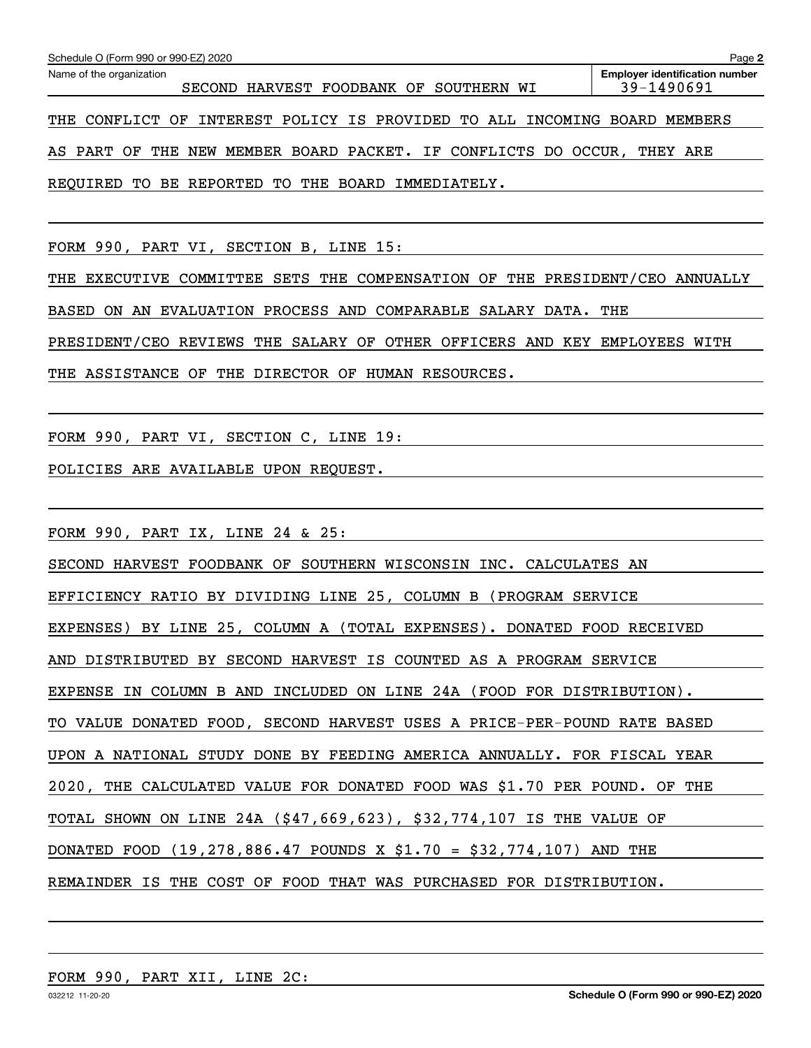| Page 2<br>Schedule O (Form 990 or 990-EZ) 2020                            |                                                     |  |  |  |  |  |  |  |  |
|---------------------------------------------------------------------------|-----------------------------------------------------|--|--|--|--|--|--|--|--|
| Name of the organization<br>HARVEST FOODBANK OF SOUTHERN WI<br>SECOND     | <b>Employer identification number</b><br>39-1490691 |  |  |  |  |  |  |  |  |
| THE CONFLICT OF INTEREST POLICY IS PROVIDED TO ALL INCOMING BOARD MEMBERS |                                                     |  |  |  |  |  |  |  |  |
| AS PART OF THE NEW MEMBER BOARD PACKET. IF CONFLICTS DO OCCUR, THEY ARE   |                                                     |  |  |  |  |  |  |  |  |
| REQUIRED TO BE REPORTED TO THE BOARD IMMEDIATELY.                         |                                                     |  |  |  |  |  |  |  |  |

FORM 990, PART VI, SECTION B, LINE 15:

THE EXECUTIVE COMMITTEE SETS THE COMPENSATION OF THE PRESIDENT/CEO ANNUALLY BASED ON AN EVALUATION PROCESS AND COMPARABLE SALARY DATA. THE PRESIDENT/CEO REVIEWS THE SALARY OF OTHER OFFICERS AND KEY EMPLOYEES WITH THE ASSISTANCE OF THE DIRECTOR OF HUMAN RESOURCES.

FORM 990, PART VI, SECTION C, LINE 19:

POLICIES ARE AVAILABLE UPON REQUEST.

FORM 990, PART IX, LINE 24 & 25:

SECOND HARVEST FOODBANK OF SOUTHERN WISCONSIN INC. CALCULATES AN EFFICIENCY RATIO BY DIVIDING LINE 25, COLUMN B (PROGRAM SERVICE EXPENSES) BY LINE 25, COLUMN A (TOTAL EXPENSES). DONATED FOOD RECEIVED AND DISTRIBUTED BY SECOND HARVEST IS COUNTED AS A PROGRAM SERVICE EXPENSE IN COLUMN B AND INCLUDED ON LINE 24A (FOOD FOR DISTRIBUTION). TO VALUE DONATED FOOD, SECOND HARVEST USES A PRICE-PER-POUND RATE BASED UPON A NATIONAL STUDY DONE BY FEEDING AMERICA ANNUALLY. FOR FISCAL YEAR 2020, THE CALCULATED VALUE FOR DONATED FOOD WAS \$1.70 PER POUND. OF THE TOTAL SHOWN ON LINE 24A (\$47,669,623), \$32,774,107 IS THE VALUE OF DONATED FOOD (19,278,886.47 POUNDS X \$1.70 = \$32,774,107) AND THE REMAINDER IS THE COST OF FOOD THAT WAS PURCHASED FOR DISTRIBUTION.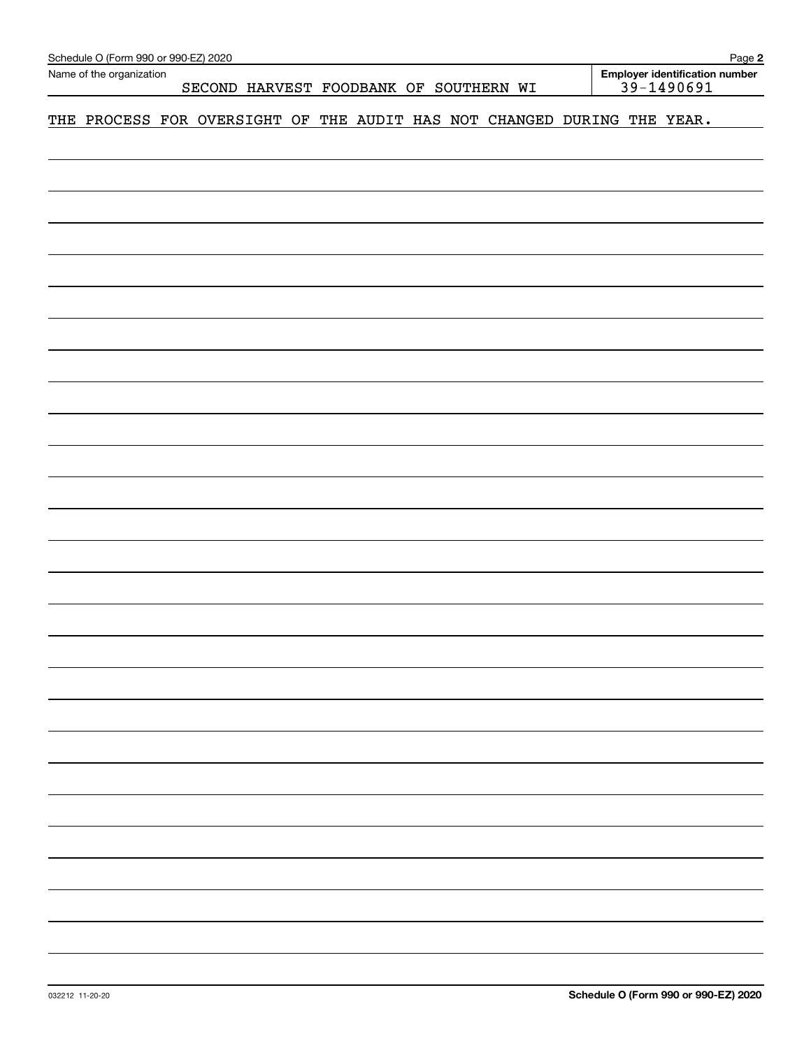| Schedule O (Form 990 or 990-EZ) 2020                                    |  |  |  |  |                                        |  |                                                  | Page 2 |
|-------------------------------------------------------------------------|--|--|--|--|----------------------------------------|--|--------------------------------------------------|--------|
| Name of the organization                                                |  |  |  |  | SECOND HARVEST FOODBANK OF SOUTHERN WI |  | Employer identification number<br>$39 - 1490691$ |        |
| THE PROCESS FOR OVERSIGHT OF THE AUDIT HAS NOT CHANGED DURING THE YEAR. |  |  |  |  |                                        |  |                                                  |        |
|                                                                         |  |  |  |  |                                        |  |                                                  |        |
|                                                                         |  |  |  |  |                                        |  |                                                  |        |
|                                                                         |  |  |  |  |                                        |  |                                                  |        |
|                                                                         |  |  |  |  |                                        |  |                                                  |        |
|                                                                         |  |  |  |  |                                        |  |                                                  |        |
|                                                                         |  |  |  |  |                                        |  |                                                  |        |
|                                                                         |  |  |  |  |                                        |  |                                                  |        |
|                                                                         |  |  |  |  |                                        |  |                                                  |        |
|                                                                         |  |  |  |  |                                        |  |                                                  |        |
|                                                                         |  |  |  |  |                                        |  |                                                  |        |
|                                                                         |  |  |  |  |                                        |  |                                                  |        |
|                                                                         |  |  |  |  |                                        |  |                                                  |        |
|                                                                         |  |  |  |  |                                        |  |                                                  |        |
|                                                                         |  |  |  |  |                                        |  |                                                  |        |
|                                                                         |  |  |  |  |                                        |  |                                                  |        |
|                                                                         |  |  |  |  |                                        |  |                                                  |        |
|                                                                         |  |  |  |  |                                        |  |                                                  |        |
|                                                                         |  |  |  |  |                                        |  |                                                  |        |
|                                                                         |  |  |  |  |                                        |  |                                                  |        |
|                                                                         |  |  |  |  |                                        |  |                                                  |        |
|                                                                         |  |  |  |  |                                        |  |                                                  |        |
|                                                                         |  |  |  |  |                                        |  |                                                  |        |
|                                                                         |  |  |  |  |                                        |  |                                                  |        |
|                                                                         |  |  |  |  |                                        |  |                                                  |        |
|                                                                         |  |  |  |  |                                        |  |                                                  |        |
|                                                                         |  |  |  |  |                                        |  |                                                  |        |
|                                                                         |  |  |  |  |                                        |  |                                                  |        |
|                                                                         |  |  |  |  |                                        |  |                                                  |        |
|                                                                         |  |  |  |  |                                        |  |                                                  |        |
|                                                                         |  |  |  |  |                                        |  |                                                  |        |
|                                                                         |  |  |  |  |                                        |  |                                                  |        |